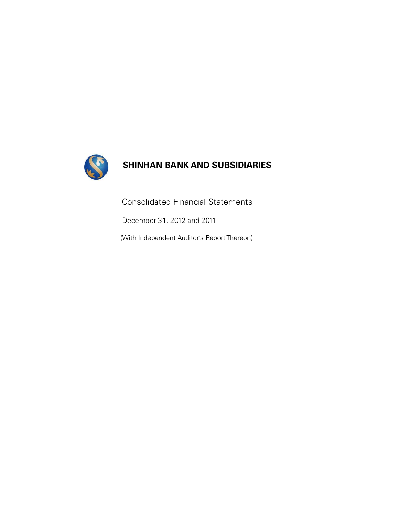

Consolidated Financial Statements

December 31, 2012 and 2011

(With Independent Auditor's Report Thereon)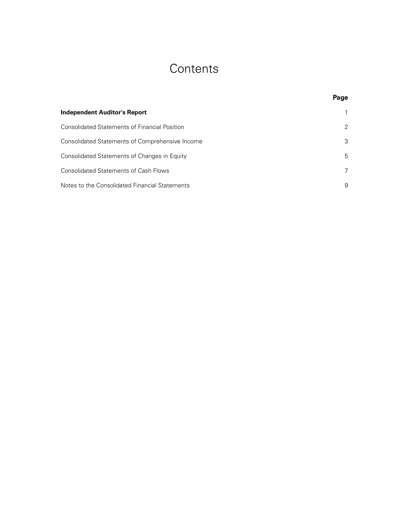# **Contents**

| <b>Independent Auditor's Report</b>                  |               |
|------------------------------------------------------|---------------|
| <b>Consolidated Statements of Financial Position</b> | $\mathcal{P}$ |
| Consolidated Statements of Comprehensive Income      | 3             |
| Consolidated Statements of Changes in Equity         | 5             |
| <b>Consolidated Statements of Cash Flows</b>         | 7             |
| Notes to the Consolidated Financial Statements       | 9             |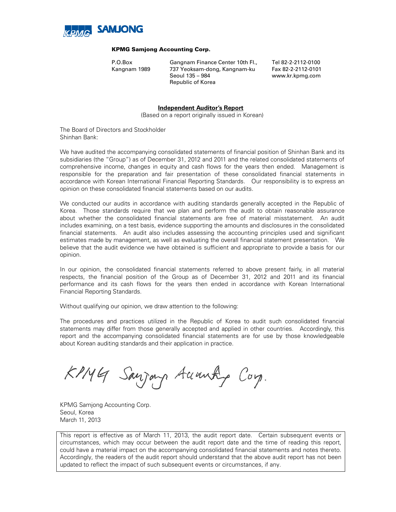

#### KPMG Samjong Accounting Corp.

P.O.Box Kangnam 1989 Gangnam Finance Center 10th Fl., 737 Yeoksam-dong, Kangnam-ku Seoul 135 – 984 Republic of Korea

Tel 82-2-2112-0100 Fax 82-2-2112-0101 www.kr.kpmg.com

#### **Independent Auditor's Report**

(Based on a report originally issued in Korean)

The Board of Directors and Stockholder Shinhan Bank:

We have audited the accompanying consolidated statements of financial position of Shinhan Bank and its subsidiaries (the "Group") as of December 31, 2012 and 2011 and the related consolidated statements of comprehensive income, changes in equity and cash flows for the years then ended. Management is responsible for the preparation and fair presentation of these consolidated financial statements in accordance with Korean International Financial Reporting Standards. Our responsibility is to express an opinion on these consolidated financial statements based on our audits.

We conducted our audits in accordance with auditing standards generally accepted in the Republic of Korea. Those standards require that we plan and perform the audit to obtain reasonable assurance about whether the consolidated financial statements are free of material misstatement. An audit includes examining, on a test basis, evidence supporting the amounts and disclosures in the consolidated financial statements. An audit also includes assessing the accounting principles used and significant estimates made by management, as well as evaluating the overall financial statement presentation. We believe that the audit evidence we have obtained is sufficient and appropriate to provide a basis for our opinion.

In our opinion, the consolidated financial statements referred to above present fairly, in all material respects, the financial position of the Group as of December 31, 2012 and 2011 and its financial performance and its cash flows for the years then ended in accordance with Korean International Financial Reporting Standards.

Without qualifying our opinion, we draw attention to the following:

The procedures and practices utilized in the Republic of Korea to audit such consolidated financial statements may differ from those generally accepted and applied in other countries. Accordingly, this report and the accompanying consolidated financial statements are for use by those knowledgeable about Korean auditing standards and their application in practice.

KPMG Sanjong Accounty Corp.

KPMG Samjong Accounting Corp. Seoul, Korea March 11, 2013

This report is effective as of March 11, 2013, the audit report date. Certain subsequent events or circumstances, which may occur between the audit report date and the time of reading this report, could have a material impact on the accompanying consolidated financial statements and notes thereto. Accordingly, the readers of the audit report should understand that the above audit report has not been updated to reflect the impact of such subsequent events or circumstances, if any.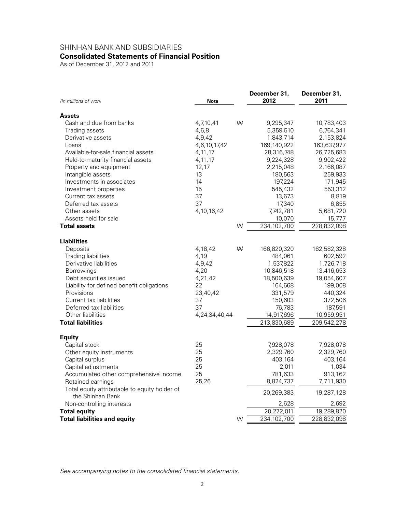### **Consolidated Statements of Financial Position**

As of December 31, 2012 and 2011

| (In millions of won)                                              | <b>Note</b>   |   | December 31,<br>2012 | December 31,<br>2011 |
|-------------------------------------------------------------------|---------------|---|----------------------|----------------------|
| <b>Assets</b>                                                     |               |   |                      |                      |
| Cash and due from banks                                           | 4,7,10,41     | W | 9,295,347            | 10,783,403           |
| Trading assets                                                    | 4,6,8         |   | 5,359,510            | 6,764,341            |
| Derivative assets                                                 | 4,9,42        |   | 1,843,714            | 2,153,824            |
| Loans                                                             | 4,6,10,17,42  |   | 169, 140, 922        | 163,637,977          |
| Available-for-sale financial assets                               | 4, 11, 17     |   | 28,316,748           | 26,725,683           |
| Held-to-maturity financial assets                                 | 4, 11, 17     |   | 9,224,328            | 9,902,422            |
| Property and equipment                                            | 12,17         |   | 2,215,048            | 2,166,087            |
| Intangible assets                                                 | 13            |   | 180,563              | 259,933              |
| Investments in associates                                         | 14            |   | 197,224              | 171,945              |
| Investment properties                                             | 15            |   | 545,432              | 553,312              |
| Current tax assets                                                | 37            |   | 13,673               | 8,819                |
| Deferred tax assets                                               | 37            |   | 17,340               | 6,855                |
| Other assets                                                      | 4, 10, 16, 42 |   | 7,742,781            | 5,681,720            |
| Assets held for sale                                              |               |   | 10,070               | 15,777               |
| <b>Total assets</b>                                               |               | W | 234, 102, 700        | 228,832,098          |
| Liabilities                                                       |               |   |                      |                      |
| Deposits                                                          | 4,18,42       | W | 166,820,320          | 162,582,328          |
| <b>Trading liabilities</b>                                        | 4,19          |   | 484,061              | 602,592              |
| Derivative liabilities                                            | 4,9,42        |   | 1,537,822            | 1,726,718            |
| Borrowings                                                        | 4,20          |   | 10,846,518           | 13,416,653           |
| Debt securities issued                                            | 4,21,42       |   | 18,500,639           | 19,054,607           |
| Liability for defined benefit obligations                         | 22            |   | 164,668              | 199,008              |
| Provisions                                                        | 23,40,42      |   | 331,579              | 440,324              |
| Current tax liabilities                                           | 37            |   | 150,603              | 372,506              |
| Deferred tax liabilities                                          | 37            |   | 76,783               | 187,591              |
| Other liabilities                                                 | 4,24,34,40,44 |   | 14,917,696           | 10,959,951           |
| <b>Total liabilities</b>                                          |               |   | 213,830,689          | 209,542,278          |
| Equity                                                            |               |   |                      |                      |
| Capital stock                                                     | 25            |   | 7,928,078            | 7,928,078            |
| Other equity instruments                                          | 25            |   | 2,329,760            | 2,329,760            |
| Capital surplus                                                   | 25            |   | 403,164              | 403,164              |
| Capital adjustments                                               | 25            |   | 2,011                | 1,034                |
| Accumulated other comprehensive income                            | 25            |   | 781,633              | 913,162              |
| Retained earnings                                                 | 25,26         |   | 8,824,737            | 7,711,930            |
| Total equity attributable to equity holder of<br>the Shinhan Bank |               |   | 20,269,383           | 19,287,128           |
| Non-controlling interests                                         |               |   | 2,628                | 2,692                |
| <b>Total equity</b>                                               |               |   | 20,272,011           | 19,289,820           |
| <b>Total liabilities and equity</b>                               |               | W | 234,102,700          | 228,832,098          |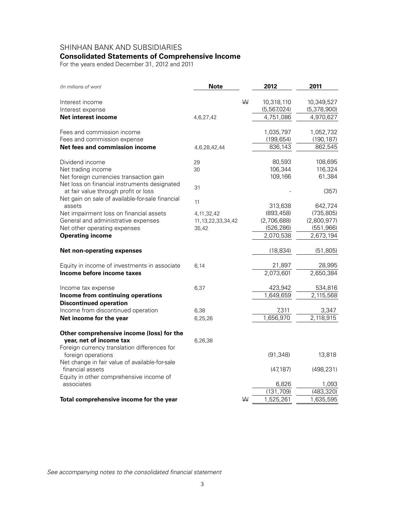### **Consolidated Statements of Comprehensive Income**

For the years ended December 31, 2012 and 2011

| (In millions of won)                                                           | <b>Note</b>            |   | 2012                    | 2011                    |
|--------------------------------------------------------------------------------|------------------------|---|-------------------------|-------------------------|
| Interest income                                                                |                        | W | 10,318,110              | 10,349,527              |
| Interest expense                                                               |                        |   | (5, 567, 024)           | (5,378,900)             |
| Net interest income                                                            | 4,6,27,42              |   | 4,751,086               | 4,970,627               |
|                                                                                |                        |   |                         |                         |
| Fees and commission income                                                     |                        |   | 1,035,797               | 1,052,732               |
| Fees and commission expense                                                    |                        |   | (199, 654)              | (190, 187)              |
| Net fees and commission income                                                 | 4,6,28,42,44           |   | 836,143                 | 862,545                 |
|                                                                                |                        |   |                         |                         |
| Dividend income                                                                | 29                     |   | 80,593                  | 108,695                 |
| Net trading income                                                             | 30                     |   | 106,344                 | 116,324                 |
| Net foreign currencies transaction gain                                        |                        |   | 109,166                 | 61,384                  |
| Net loss on financial instruments designated                                   | 31                     |   |                         |                         |
| at fair value through profit or loss                                           |                        |   |                         | (357)                   |
| Net gain on sale of available-for-sale financial                               | 11                     |   |                         | 642,724                 |
| assets                                                                         |                        |   | 313,638<br>(893, 458)   | (735, 805)              |
| Net impairment loss on financial assets<br>General and administrative expenses | 4, 11, 32, 42          |   | (2,706,688)             | (2,800,977)             |
| Net other operating expenses                                                   | 11, 13, 22, 33, 34, 42 |   |                         |                         |
|                                                                                | 35,42                  |   | (526, 286)<br>2,070,538 | (551, 966)<br>2,673,194 |
| <b>Operating income</b>                                                        |                        |   |                         |                         |
| <b>Net non-operating expenses</b>                                              |                        |   | (18, 834)               | (51, 805)               |
| Equity in income of investments in associate                                   | 6,14                   |   | 21,897                  | 28,995                  |
| Income before income taxes                                                     |                        |   | 2,073,601               | 2,650,384               |
|                                                                                |                        |   |                         |                         |
| Income tax expense                                                             | 6,37                   |   | 423,942                 | 534,816                 |
| Income from continuing operations                                              |                        |   | 1,649,659               | 2,115,568               |
| <b>Discontinued operation</b>                                                  |                        |   |                         |                         |
| Income from discontinued operation                                             | 6,38                   |   | 7,311                   | 3,347                   |
| Net income for the year                                                        | 6,25,26                |   | 1,656,970               | 2,118,915               |
|                                                                                |                        |   |                         |                         |
| Other comprehensive income (loss) for the                                      |                        |   |                         |                         |
| year, net of income tax                                                        | 6,26,38                |   |                         |                         |
| Foreign currency translation differences for                                   |                        |   |                         |                         |
| foreign operations                                                             |                        |   | (91, 348)               | 13,818                  |
| Net change in fair value of available-for-sale                                 |                        |   |                         |                         |
| financial assets<br>Equity in other comprehensive income of                    |                        |   | (47, 187)               | (498, 231)              |
| associates                                                                     |                        |   | 6,826                   | 1,093                   |
|                                                                                |                        |   | (131, 709)              | (483, 320)              |
| Total comprehensive income for the year                                        |                        | W | 1,525,261               | 1,635,595               |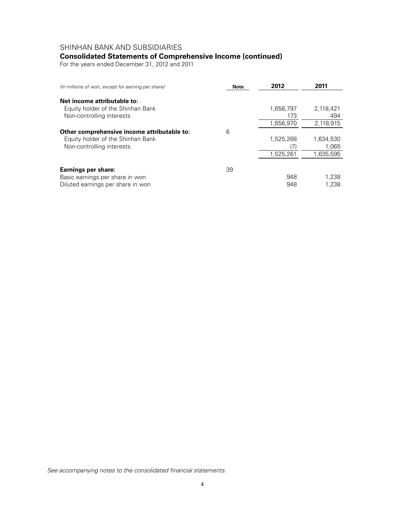## **Consolidated Statements of Comprehensive Income (continued)**

For the years ended December 31, 2012 and 2011

| (In millions of won, except for earning per share) | <b>Note</b> | 2012      | 2011      |
|----------------------------------------------------|-------------|-----------|-----------|
| Net income attributable to:                        |             |           |           |
| Equity holder of the Shinhan Bank                  |             | 1,656,797 | 2,118,421 |
| Non-controlling interests                          |             | 173       | 494       |
|                                                    |             | 1.656.970 | 2,118,915 |
| Other comprehensive income attributable to:        | 6           |           |           |
| Equity holder of the Shinhan Bank                  |             | 1,525,268 | 1,634,530 |
| Non-controlling interests                          |             | (7)       | 1,065     |
|                                                    |             | 1.525.261 | 1.635.595 |
|                                                    |             |           |           |
| Earnings per share:                                | 39          |           |           |
| Basic earnings per share in won                    |             | 948       | 1,238     |
| Diluted earnings per share in won                  |             | 948       | 1.238     |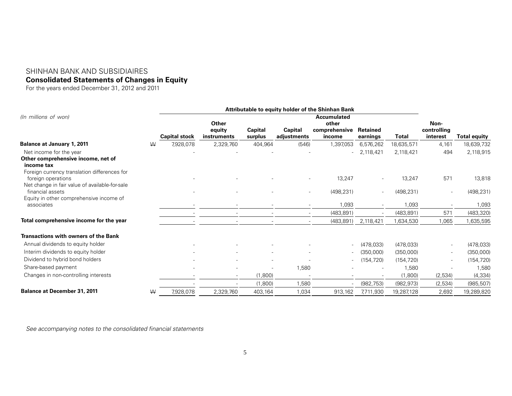### SHINHAN BANK AND SUBSIDIAIRES **Consolidated Statements of Changes in Equity**

For the years ended December 31, 2012 and 2011

|                                                                                                  |   |                      |                                |                           |                        | Attributable to equity holder of the Shinhan Bank |                             |            |                                 |                     |
|--------------------------------------------------------------------------------------------------|---|----------------------|--------------------------------|---------------------------|------------------------|---------------------------------------------------|-----------------------------|------------|---------------------------------|---------------------|
| (In millions of won)                                                                             |   |                      |                                |                           |                        | <b>Accumulated</b>                                |                             |            |                                 |                     |
|                                                                                                  |   | <b>Capital stock</b> | Other<br>equity<br>instruments | <b>Capital</b><br>surplus | Capital<br>adjustments | other<br>comprehensive<br>income                  | <b>Retained</b><br>earnings | Total      | Non-<br>controlling<br>interest | <b>Total equity</b> |
| <b>Balance at January 1, 2011</b>                                                                | W | 7,928,078            | 2,329,760                      | 404,964                   | (546)                  | 1,397,053                                         | 6,576,262                   | 18,635,571 | 4,161                           | 18,639,732          |
| Net income for the year                                                                          |   |                      |                                |                           |                        |                                                   | 2,118,421                   | 2,118,421  | 494                             | 2,118,915           |
| Other comprehensive income, net of<br>income tax<br>Foreign currency translation differences for |   |                      |                                |                           |                        |                                                   |                             |            |                                 |                     |
| foreign operations<br>Net change in fair value of available-for-sale                             |   |                      |                                |                           |                        | 13,247                                            | ۰                           | 13,247     | 571                             | 13,818              |
| financial assets<br>Equity in other comprehensive income of                                      |   |                      |                                |                           |                        | (498, 231)                                        | $\overline{\phantom{a}}$    | (498, 231) | $\sim$                          | (498, 231)          |
| associates                                                                                       |   |                      |                                |                           |                        | 1,093                                             |                             | 1,093      |                                 | 1,093               |
|                                                                                                  |   |                      |                                |                           |                        | (483, 891)                                        | $\sim$                      | (483, 891) | 571                             | (483, 320)          |
| Total comprehensive income for the year                                                          |   |                      |                                |                           |                        | (483, 891)                                        | 2,118,421                   | 1,634,530  | 1,065                           | 1,635,595           |
| <b>Transactions with owners of the Bank</b>                                                      |   |                      |                                |                           |                        |                                                   |                             |            |                                 |                     |
| Annual dividends to equity holder                                                                |   |                      |                                |                           |                        | $\overline{\phantom{a}}$                          | (478,033)                   | (478,033)  | $\sim$                          | (478, 033)          |
| Interim dividends to equity holder                                                               |   |                      |                                |                           |                        |                                                   | (350,000)                   | (350,000)  | $\overline{\phantom{a}}$        | (350,000)           |
| Dividend to hybrid bond holders                                                                  |   |                      |                                |                           |                        |                                                   | (154, 720)                  | (154, 720) |                                 | (154, 720)          |
| Share-based payment                                                                              |   |                      |                                |                           | 1,580                  |                                                   |                             | 1,580      |                                 | 1,580               |
| Changes in non-controlling interests                                                             |   |                      |                                | (1,800)                   |                        |                                                   |                             | (1,800)    | (2,534)                         | (4, 334)            |
|                                                                                                  |   |                      | $\overline{\phantom{a}}$       | (1,800)                   | 1,580                  |                                                   | (982, 753)                  | (982, 973) | (2,534)                         | (985, 507)          |
| <b>Balance at December 31, 2011</b>                                                              | ₩ | 7,928,078            | 2,329,760                      | 403,164                   | 1,034                  | 913,162                                           | 7,711,930                   | 19,287,128 | 2,692                           | 19,289,820          |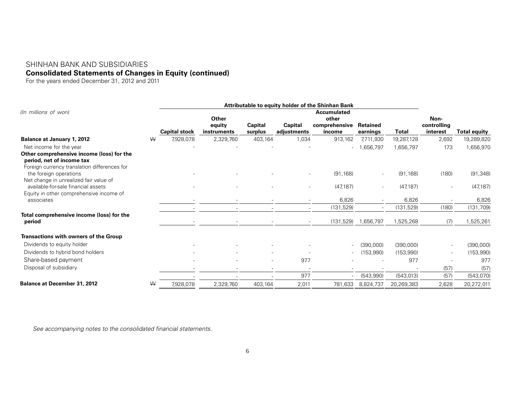## **Consolidated Statements of Changes in Equity (continued)**

For the years ended December 31, 2012 and 2011

|                                                                                                                        |   |                      |                                |                           |                        | Attributable to equity holder of the Shinhan Bank |                          |            |                                 |                     |
|------------------------------------------------------------------------------------------------------------------------|---|----------------------|--------------------------------|---------------------------|------------------------|---------------------------------------------------|--------------------------|------------|---------------------------------|---------------------|
| (In millions of won)                                                                                                   |   |                      |                                |                           |                        | Accumulated                                       |                          |            |                                 |                     |
|                                                                                                                        |   | <b>Capital stock</b> | Other<br>equity<br>instruments | <b>Capital</b><br>surplus | Capital<br>adjustments | other<br>comprehensive<br>income                  | Retained<br>earnings     | Total      | Non-<br>controlling<br>interest | <b>Total equity</b> |
| <b>Balance at January 1, 2012</b>                                                                                      | ₩ | 7,928,078            | 2,329,760                      | 403,164                   | 1,034                  | 913,162                                           | 7,711,930                | 19,287,128 | 2,692                           | 19,289,820          |
| Net income for the year                                                                                                |   |                      |                                |                           |                        |                                                   | $-1,656,797$             | 1,656,797  | 173                             | 1,656,970           |
| Other comprehensive income (loss) for the<br>period, net of income tax<br>Foreign currency translation differences for |   |                      |                                |                           |                        |                                                   |                          |            |                                 |                     |
| the foreign operations<br>Net change in unrealized fair value of                                                       |   |                      |                                |                           |                        | (91, 168)                                         |                          | (91, 168)  | (180)                           | (91, 348)           |
| available-for-sale financial assets<br>Equity in other comprehensive income of                                         |   |                      |                                |                           |                        | (47, 187)                                         | ٠                        | (47, 187)  | $\overline{\phantom{a}}$        | (47, 187)           |
| associates                                                                                                             |   |                      |                                |                           |                        | 6,826                                             |                          | 6,826      |                                 | 6,826               |
|                                                                                                                        |   |                      |                                |                           |                        | (131, 529)                                        | $\overline{\phantom{a}}$ | (131, 529) | (180)                           | (131, 709)          |
| Total comprehensive income (loss) for the<br>period                                                                    |   |                      |                                |                           |                        | (131, 529)                                        | 1,656,797                | 1,525,268  | (7)                             | 1,525,261           |
| Transactions with owners of the Group                                                                                  |   |                      |                                |                           |                        |                                                   |                          |            |                                 |                     |
| Dividends to equity holder                                                                                             |   |                      |                                |                           |                        |                                                   | (390,000)                | (390,000)  | $\sim$                          | (390,000)           |
| Dividends to hybrid bond holders                                                                                       |   |                      |                                |                           |                        | $\sim$                                            | (153,990)                | (153,990)  | $\sim$                          | (153,990)           |
| Share-based payment                                                                                                    |   |                      |                                |                           | 977                    |                                                   |                          | 977        |                                 | 977                 |
| Disposal of subsidiary                                                                                                 |   |                      |                                |                           |                        |                                                   |                          |            | (57)                            | (57)                |
|                                                                                                                        |   |                      |                                |                           | 977                    |                                                   | (543,990)                | (543, 013) | (57)                            | (543,070)           |
| <b>Balance at December 31, 2012</b>                                                                                    | ₩ | 7,928,078            | 2,329,760                      | 403,164                   | 2,011                  | 781,633                                           | 8,824,737                | 20,269,383 | 2,628                           | 20,272,011          |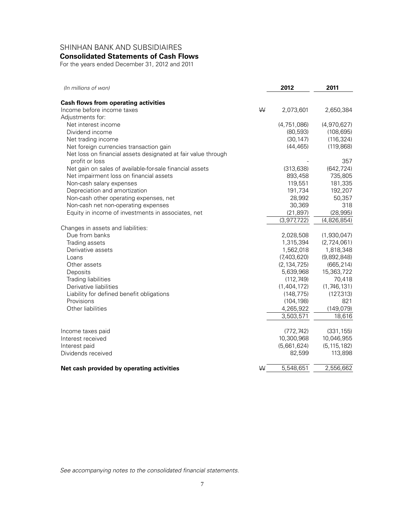## **Consolidated Statements of Cash Flows**

For the years ended December 31, 2012 and 2011

| (In millions of won)                                          |   | 2012          | 2011          |
|---------------------------------------------------------------|---|---------------|---------------|
|                                                               |   |               |               |
| <b>Cash flows from operating activities</b>                   |   |               |               |
| Income before income taxes                                    | W | 2,073,601     | 2,650,384     |
| Adjustments for:                                              |   |               |               |
| Net interest income                                           |   | (4, 751, 086) | (4,970,627)   |
| Dividend income                                               |   | (80, 593)     | (108, 695)    |
| Net trading income                                            |   | (30, 147)     | (116, 324)    |
| Net foreign currencies transaction gain                       |   | (44, 465)     | (119, 868)    |
| Net loss on financial assets designated at fair value through |   |               |               |
| profit or loss                                                |   |               | 357           |
| Net gain on sales of available-for-sale financial assets      |   | (313, 638)    | (642, 724)    |
| Net impairment loss on financial assets                       |   | 893,458       | 735,805       |
| Non-cash salary expenses                                      |   | 119,551       | 181,335       |
| Depreciation and amortization                                 |   | 191,734       | 192,207       |
| Non-cash other operating expenses, net                        |   | 28,992        | 50,357        |
| Non-cash net non-operating expenses                           |   | 30,369        | 318           |
| Equity in income of investments in associates, net            |   | (21, 897)     | (28, 995)     |
|                                                               |   | (3,977,722)   | (4,826,854)   |
| Changes in assets and liabilities:                            |   |               |               |
| Due from banks                                                |   | 2,028,508     | (1,930,047)   |
| Trading assets                                                |   | 1,315,394     | (2,724,061)   |
| Derivative assets                                             |   | 1,562,018     | 1,818,348     |
| Loans                                                         |   | (7,403,620)   | (9,892,848)   |
| Other assets                                                  |   | (2, 134, 725) | (665, 214)    |
| Deposits                                                      |   | 5,639,968     | 15,363,722    |
| Trading liabilities                                           |   | (112, 749)    | 70,418        |
| Derivative liabilities                                        |   | (1,404,172)   | (1,746,131)   |
| Liability for defined benefit obligations                     |   | (148, 775)    | (127, 313)    |
| Provisions                                                    |   | (104, 198)    | 821           |
| Other liabilities                                             |   | 4,265,922     | (149, 079)    |
|                                                               |   | 3,503,571     | 18,616        |
|                                                               |   |               |               |
| Income taxes paid                                             |   | (772, 742)    | (331, 155)    |
| Interest received                                             |   | 10,300,968    | 10,046,955    |
| Interest paid                                                 |   | (5,661,624)   | (5, 115, 182) |
| Dividends received                                            |   | 82,599        | 113,898       |
|                                                               |   |               |               |
| Net cash provided by operating activities                     | W | 5,548,651     | 2,556,662     |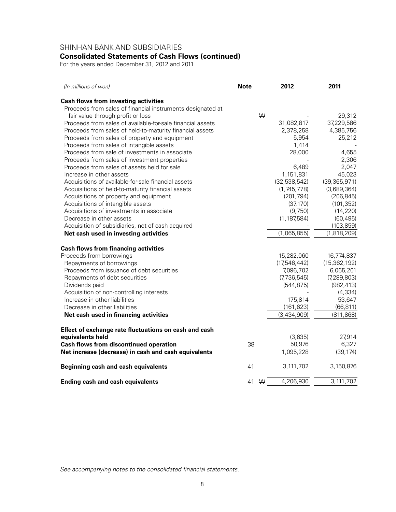### **Consolidated Statements of Cash Flows (continued)**

For the years ended December 31, 2012 and 2011

| (In millions of won)                                       | <b>Note</b> |   | 2012           | 2011           |
|------------------------------------------------------------|-------------|---|----------------|----------------|
| <b>Cash flows from investing activities</b>                |             |   |                |                |
| Proceeds from sales of financial instruments designated at |             |   |                |                |
| fair value through profit or loss                          |             | W |                | 29,312         |
| Proceeds from sales of available-for-sale financial assets |             |   | 31,082,817     | 37,229,586     |
| Proceeds from sales of held-to-maturity financial assets   |             |   | 2,378,258      | 4,385,756      |
| Proceeds from sales of property and equipment              |             |   | 5,954          | 25,212         |
| Proceeds from sales of intangible assets                   |             |   | 1,414          |                |
| Proceeds from sale of investments in associate             |             |   | 28,000         | 4,655          |
| Proceeds from sales of investment properties               |             |   |                | 2,306          |
| Proceeds from sales of assets held for sale                |             |   | 6,489          | 2,047          |
| Increase in other assets                                   |             |   | 1,151,831      | 45,023         |
| Acquisitions of available-for-sale financial assets        |             |   | (32, 538, 542) | (39, 365, 971) |
| Acquisitions of held-to-maturity financial assets          |             |   | (1,745,778)    | (3,689,364)    |
| Acquisitions of property and equipment                     |             |   | (201, 794)     | (206, 845)     |
| Acquisitions of intangible assets                          |             |   | (37, 170)      | (101, 352)     |
| Acquisitions of investments in associate                   |             |   | (9,750)        | (14, 220)      |
| Decrease in other assets                                   |             |   | (1, 187, 584)  | (60, 495)      |
| Acquisition of subsidiaries, net of cash acquired          |             |   |                | (103, 859)     |
| Net cash used in investing activities                      |             |   | (1,065,855)    | (1,818,209)    |
| <b>Cash flows from financing activities</b>                |             |   |                |                |
| Proceeds from borrowings                                   |             |   | 15,282,060     | 16,774,837     |
| Repayments of borrowings                                   |             |   | (17,546,442)   | (15, 362, 192) |
| Proceeds from issuance of debt securities                  |             |   | 7,096,702      | 6,065,201      |
| Repayments of debt securities                              |             |   | (7,736,545)    | (7, 289, 803)  |
| Dividends paid                                             |             |   | (544, 875)     | (982, 413)     |
| Acquisition of non-controlling interests                   |             |   |                | (4, 334)       |
| Increase in other liabilities                              |             |   | 175,814        | 53,647         |
| Decrease in other liabilities                              |             |   | (161, 623)     | (66, 811)      |
| Net cash used in financing activities                      |             |   | (3,434,909)    | (811, 868)     |
|                                                            |             |   |                |                |
| Effect of exchange rate fluctuations on cash and cash      |             |   |                |                |
| equivalents held                                           |             |   | (3,635)        | 27,914         |
| <b>Cash flows from discontinued operation</b>              | 38          |   | 50,976         | 6,327          |
| Net increase (decrease) in cash and cash equivalents       |             |   | 1,095,228      | (39, 174)      |
| <b>Beginning cash and cash equivalents</b>                 | 41          |   | 3,111,702      | 3,150,876      |
| <b>Ending cash and cash equivalents</b>                    | 41          | W | 4,206,930      | 3,111,702      |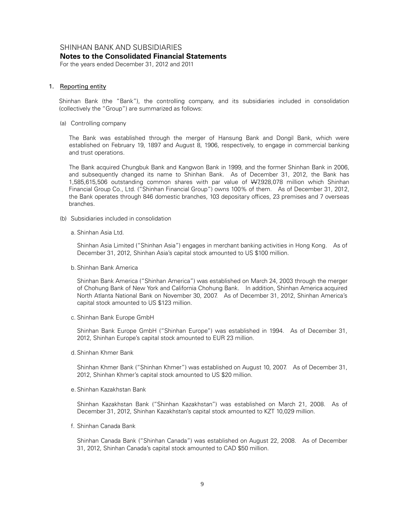#### **Notes to the Consolidated Financial Statements**

For the years ended December 31, 2012 and 2011

#### 1. Reporting entity

Shinhan Bank (the "Bank"), the controlling company, and its subsidiaries included in consolidation (collectively the "Group") are summarized as follows:

(a) Controlling company

The Bank was established through the merger of Hansung Bank and Dongil Bank, which were established on February 19, 1897 and August 8, 1906, respectively, to engage in commercial banking and trust operations.

The Bank acquired Chungbuk Bank and Kangwon Bank in 1999, and the former Shinhan Bank in 2006, and subsequently changed its name to Shinhan Bank. As of December 31, 2012, the Bank has 1,585,615,506 outstanding common shares with par value of W7,928,078 million which Shinhan Financial Group Co., Ltd. ("Shinhan Financial Group") owns 100% of them. As of December 31, 2012, the Bank operates through 846 domestic branches, 103 depositary offices, 23 premises and 7 overseas branches.

- (b) Subsidiaries included in consolidation
	- a. Shinhan Asia Ltd.

Shinhan Asia Limited ("Shinhan Asia") engages in merchant banking activities in Hong Kong. As of December 31, 2012, Shinhan Asia's capital stock amounted to US \$100 million.

b. Shinhan Bank America

Shinhan Bank America ("Shinhan America") was established on March 24, 2003 through the merger of Chohung Bank of New York and California Chohung Bank. In addition, Shinhan America acquired North Atlanta National Bank on November 30, 2007. As of December 31, 2012, Shinhan America's capital stock amounted to US \$123 million.

c. Shinhan Bank Europe GmbH

Shinhan Bank Europe GmbH ("Shinhan Europe") was established in 1994. As of December 31, 2012, Shinhan Europe's capital stock amounted to EUR 23 million.

d. Shinhan Khmer Bank

Shinhan Khmer Bank ("Shinhan Khmer") was established on August 10, 2007. As of December 31, 2012, Shinhan Khmer's capital stock amounted to US \$20 million.

e. Shinhan Kazakhstan Bank

Shinhan Kazakhstan Bank ("Shinhan Kazakhstan") was established on March 21, 2008. As of December 31, 2012, Shinhan Kazakhstan's capital stock amounted to KZT 10,029 million.

f. Shinhan Canada Bank

Shinhan Canada Bank ("Shinhan Canada") was established on August 22, 2008. As of December 31, 2012, Shinhan Canada's capital stock amounted to CAD \$50 million.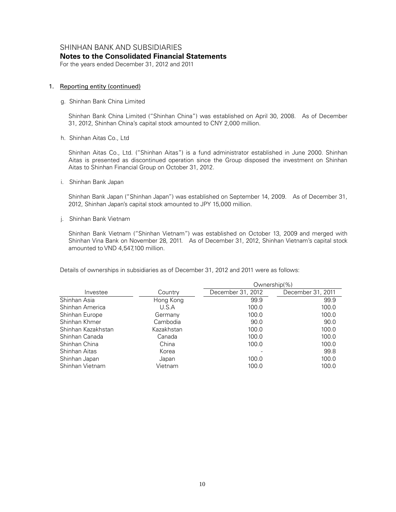For the years ended December 31, 2012 and 2011

#### 1. Reporting entity (continued)

#### g. Shinhan Bank China Limited

Shinhan Bank China Limited ("Shinhan China") was established on April 30, 2008. As of December 31, 2012, Shinhan China's capital stock amounted to CNY 2,000 million.

h. Shinhan Aitas Co., Ltd

Shinhan Aitas Co., Ltd. ("Shinhan Aitas") is a fund administrator established in June 2000. Shinhan Aitas is presented as discontinued operation since the Group disposed the investment on Shinhan Aitas to Shinhan Financial Group on October 31, 2012.

i. Shinhan Bank Japan

Shinhan Bank Japan ("Shinhan Japan") was established on September 14, 2009. As of December 31, 2012, Shinhan Japan's capital stock amounted to JPY 15,000 million.

#### j. Shinhan Bank Vietnam

Shinhan Bank Vietnam ("Shinhan Vietnam") was established on October 13, 2009 and merged with Shinhan Vina Bank on November 28, 2011. As of December 31, 2012, Shinhan Vietnam's capital stock amounted to VND 4,547,100 million.

Details of ownerships in subsidiaries as of December 31, 2012 and 2011 were as follows:

|            | Ownership(%)      |                   |  |  |  |
|------------|-------------------|-------------------|--|--|--|
| Country    | December 31, 2012 | December 31, 2011 |  |  |  |
| Hong Kong  | 99.9              | 99.9              |  |  |  |
| U.S.A      | 100.0             | 100.0             |  |  |  |
| Germany    | 100.0             | 100.0             |  |  |  |
| Cambodia   | 90.0              | 90.0              |  |  |  |
| Kazakhstan | 100.0             | 100.0             |  |  |  |
| Canada     | 100.0             | 100.0             |  |  |  |
| China      | 100.0             | 100.0             |  |  |  |
| Korea      |                   | 99.8              |  |  |  |
| Japan      | 100.0             | 100.0             |  |  |  |
| Vietnam    | 100.0             | 100.0             |  |  |  |
|            |                   |                   |  |  |  |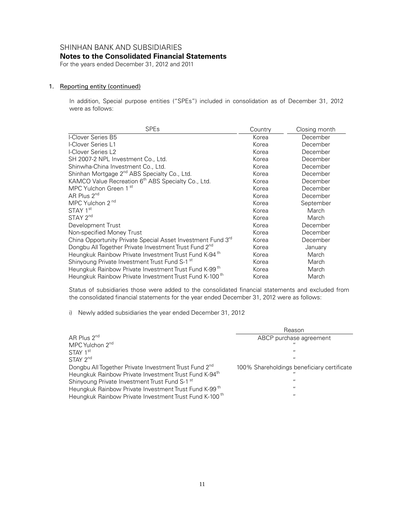### **Notes to the Consolidated Financial Statements**

For the years ended December 31, 2012 and 2011

#### 1. Reporting entity (continued)

In addition, Special purpose entities ("SPEs") included in consolidation as of December 31, 2012 were as follows:

| <b>SPEs</b>                                                             | Country | Closing month |
|-------------------------------------------------------------------------|---------|---------------|
| I-Clover Series B5                                                      | Korea   | December      |
| I-Clover Series L1                                                      | Korea   | December      |
| I-Clover Series L2                                                      | Korea   | December      |
| SH 2007-2 NPL Investment Co., Ltd.                                      | Korea   | December      |
| Shinwha-China Investment Co., Ltd.                                      | Korea   | December      |
| Shinhan Mortgage 2 <sup>nd</sup> ABS Specialty Co., Ltd.                | Korea   | December      |
| KAMCO Value Recreation 6 <sup>th</sup> ABS Specialty Co., Ltd.          | Korea   | December      |
| MPC Yulchon Green 1 <sup>st</sup>                                       | Korea   | December      |
| AR Plus 2 <sup>nd</sup>                                                 | Korea   | December      |
| MPC Yulchon 2 <sup>nd</sup>                                             | Korea   | September     |
| STAY 1 <sup>st</sup>                                                    | Korea   | March         |
| $STAY$ $2nd$                                                            | Korea   | March         |
| Development Trust                                                       | Korea   | December      |
| Non-specified Money Trust                                               | Korea   | December      |
| China Opportunity Private Special Asset Investment Fund 3 <sup>rd</sup> | Korea   | December      |
| Dongbu All Together Private Investment Trust Fund 2 <sup>nd</sup>       | Korea   | January       |
| Heungkuk Rainbow Private Investment Trust Fund K-94 <sup>th</sup>       | Korea   | March         |
| Shinyoung Private Investment Trust Fund S-1 <sup>st</sup>               | Korea   | March         |
| Heungkuk Rainbow Private Investment Trust Fund K-99 <sup>th</sup>       | Korea   | March         |
| Heungkuk Rainbow Private Investment Trust Fund K-100 <sup>th</sup>      | Korea   | March         |

Status of subsidiaries those were added to the consolidated financial statements and excluded from the consolidated financial statements for the year ended December 31, 2012 were as follows:

i) Newly added subsidiaries the year ended December 31, 2012

|                                                                    | Reason                                     |
|--------------------------------------------------------------------|--------------------------------------------|
| AR Plus 2 <sup>nd</sup>                                            | ABCP purchase agreement                    |
| MPC Yulchon 2 <sup>nd</sup>                                        | $\mathbf{u}$                               |
| STAY 1 <sup>st</sup>                                               | $\mathbf{u}$                               |
| STAY 2 <sup>nd</sup>                                               | $\mathbf{u}$                               |
| Dongbu All Together Private Investment Trust Fund 2 <sup>nd</sup>  | 100% Shareholdings beneficiary certificate |
| Heungkuk Rainbow Private Investment Trust Fund K-94 <sup>th</sup>  | $\mathbf{u}$                               |
| Shinyoung Private Investment Trust Fund S-1 <sup>st</sup>          | $\mathbf{u}$                               |
| Heungkuk Rainbow Private Investment Trust Fund K-99 <sup>th</sup>  | $\mathbf{u}$                               |
| Heungkuk Rainbow Private Investment Trust Fund K-100 <sup>th</sup> | $\mathbf{u}$                               |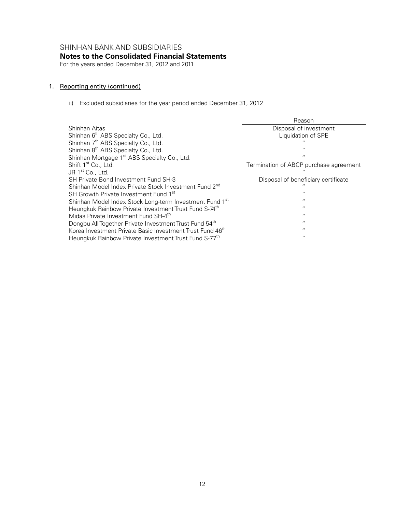For the years ended December 31, 2012 and 2011

### 1. Reporting entity (continued)

ii) Excluded subsidiaries for the year period ended December 31, 2012

|                                                                       | Reason                                 |
|-----------------------------------------------------------------------|----------------------------------------|
| Shinhan Aitas                                                         | Disposal of investment                 |
| Shinhan 6 <sup>th</sup> ABS Specialty Co., Ltd.                       | Liquidation of SPE                     |
| Shinhan 7 <sup>th</sup> ABS Specialty Co., Ltd.                       |                                        |
| Shinhan 8 <sup>th</sup> ABS Specialty Co., Ltd.                       | $\overline{ }$                         |
| Shinhan Mortgage 1 <sup>st</sup> ABS Specialty Co., Ltd.              | $\mathbf{u}$                           |
| Shift 1 <sup>st</sup> Co., Ltd.                                       | Termination of ABCP purchase agreement |
| JR 1 <sup>st</sup> Co., Ltd.                                          |                                        |
| SH Private Bond Investment Fund SH-3                                  | Disposal of beneficiary certificate    |
| Shinhan Model Index Private Stock Investment Fund 2 <sup>nd</sup>     |                                        |
| SH Growth Private Investment Fund 1 <sup>st</sup>                     | $\mathbf{u}$                           |
| Shinhan Model Index Stock Long-term Investment Fund 1st               | $\mathbf{u}$                           |
| Heungkuk Rainbow Private Investment Trust Fund S-74 <sup>th</sup>     | $\mathbf{u}$                           |
| Midas Private Investment Fund SH-4 <sup>th</sup>                      | $\mathbf{u}$                           |
| Dongbu All Together Private Investment Trust Fund 54 <sup>th</sup>    | $\mathbf{u}$                           |
| Korea Investment Private Basic Investment Trust Fund 46 <sup>th</sup> | $\mathbf{u}$                           |
| Heungkuk Rainbow Private Investment Trust Fund S-77 <sup>th</sup>     | $\mathbf{u}$                           |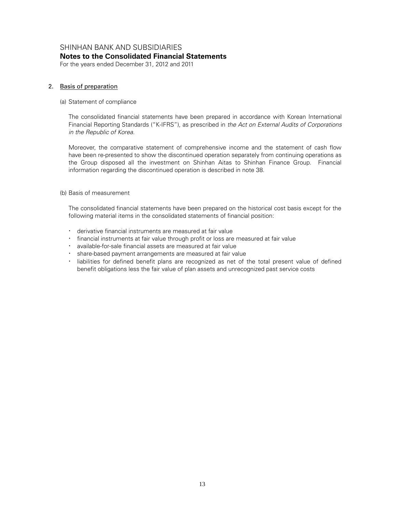For the years ended December 31, 2012 and 2011

#### 2. Basis of preparation

#### (a) Statement of compliance

The consolidated financial statements have been prepared in accordance with Korean International Financial Reporting Standards ("K-IFRS"), as prescribed in *the Act on External Audits of Corporations in the Republic of Korea.*

Moreover, the comparative statement of comprehensive income and the statement of cash flow have been re-presented to show the discontinued operation separately from continuing operations as the Group disposed all the investment on Shinhan Aitas to Shinhan Finance Group. Financial information regarding the discontinued operation is described in note 38.

(b) Basis of measurement

The consolidated financial statements have been prepared on the historical cost basis except for the following material items in the consolidated statements of financial position:

- derivative financial instruments are measured at fair value
- financial instruments at fair value through profit or loss are measured at fair value
- available-for-sale financial assets are measured at fair value
- share-based payment arrangements are measured at fair value
- liabilities for defined benefit plans are recognized as net of the total present value of defined benefit obligations less the fair value of plan assets and unrecognized past service costs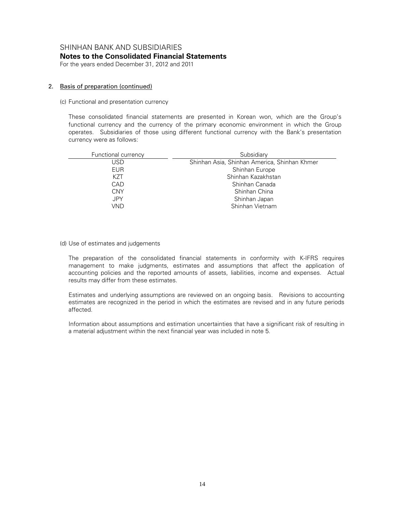For the years ended December 31, 2012 and 2011

#### 2. Basis of preparation (continued)

#### (c) Functional and presentation currency

These consolidated financial statements are presented in Korean won, which are the Group's functional currency and the currency of the primary economic environment in which the Group operates. Subsidiaries of those using different functional currency with the Bank's presentation currency were as follows:

| Functional currency | Subsidiary                                   |  |
|---------------------|----------------------------------------------|--|
| USD                 | Shinhan Asia, Shinhan America, Shinhan Khmer |  |
| <b>EUR</b>          | Shinhan Europe                               |  |
| K7T                 | Shinhan Kazakhstan                           |  |
| CAD                 | Shinhan Canada                               |  |
| <b>CNY</b>          | Shinhan China                                |  |
| <b>JPY</b>          | Shinhan Japan                                |  |
| VND                 | Shinhan Vietnam                              |  |
|                     |                                              |  |

(d) Use of estimates and judgements

The preparation of the consolidated financial statements in conformity with K-IFRS requires management to make judgments, estimates and assumptions that affect the application of accounting policies and the reported amounts of assets, liabilities, income and expenses. Actual results may differ from these estimates.

Estimates and underlying assumptions are reviewed on an ongoing basis. Revisions to accounting estimates are recognized in the period in which the estimates are revised and in any future periods affected.

Information about assumptions and estimation uncertainties that have a significant risk of resulting in a material adjustment within the next financial year was included in note 5.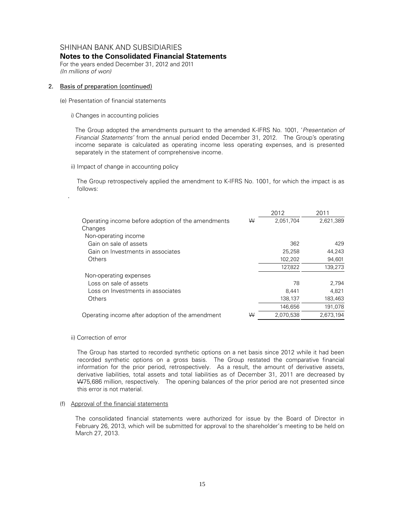### SHINHAN BANK AND SUBSIDIARIES **Notes to the Consolidated Financial Statements**  For the years ended December 31, 2012 and 2011

*(In millions of won)* 

.

#### 2. Basis of preparation (continued)

(e) Presentation of financial statements

i) Changes in accounting policies

The Group adopted the amendments pursuant to the amended K-IFRS No. 1001, '*Presentation of Financial Statements'* from the annual period ended December 31, 2012. The Group's operating income separate is calculated as operating income less operating expenses, and is presented separately in the statement of comprehensive income.

ii) Impact of change in accounting policy

The Group retrospectively applied the amendment to K-IFRS No. 1001, for which the impact is as follows:

|                                                               |   | 2012      | 2011      |
|---------------------------------------------------------------|---|-----------|-----------|
| Operating income before adoption of the amendments<br>Changes | W | 2,051,704 | 2,621,389 |
| Non-operating income                                          |   |           |           |
| Gain on sale of assets                                        |   | 362       | 429       |
| Gain on Investments in associates                             |   | 25,258    | 44,243    |
| Others                                                        |   | 102,202   | 94,601    |
|                                                               |   | 127,822   | 139,273   |
| Non-operating expenses                                        |   |           |           |
| Loss on sale of assets                                        |   | 78        | 2,794     |
| Loss on Investments in associates                             |   | 8.441     | 4.821     |
| Others                                                        |   | 138,137   | 183,463   |
|                                                               |   | 146,656   | 191,078   |
| Operating income after adoption of the amendment              | ₩ | 2.070.538 | 2.673.194 |

ii) Correction of error

The Group has started to recorded synthetic options on a net basis since 2012 while it had been recorded synthetic options on a gross basis. The Group restated the comparative financial information for the prior period, retrospectively. As a result, the amount of derivative assets, derivative liabilities, total assets and total liabilities as of December 31, 2011 are decreased by W75,686 million, respectively. The opening balances of the prior period are not presented since this error is not material.

#### (f) Approval of the financial statements

The consolidated financial statements were authorized for issue by the Board of Director in February 26, 2013, which will be submitted for approval to the shareholder's meeting to be held on March 27, 2013.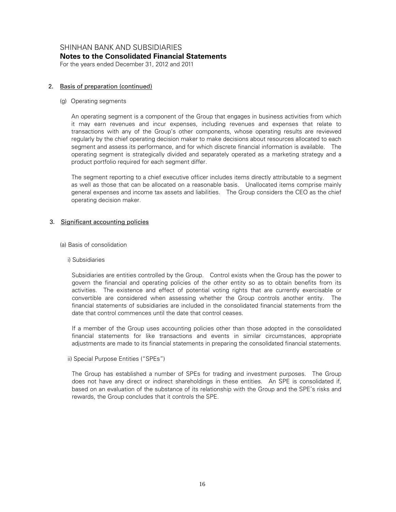For the years ended December 31, 2012 and 2011

#### 2. Basis of preparation (continued)

(g) Operating segments

An operating segment is a component of the Group that engages in business activities from which it may earn revenues and incur expenses, including revenues and expenses that relate to transactions with any of the Group's other components, whose operating results are reviewed regularly by the chief operating decision maker to make decisions about resources allocated to each segment and assess its performance, and for which discrete financial information is available. The operating segment is strategically divided and separately operated as a marketing strategy and a product portfolio required for each segment differ.

The segment reporting to a chief executive officer includes items directly attributable to a segment as well as those that can be allocated on a reasonable basis. Unallocated items comprise mainly general expenses and income tax assets and liabilities. The Group considers the CEO as the chief operating decision maker.

#### 3. Significant accounting policies

- (a) Basis of consolidation
	- i) Subsidiaries

Subsidiaries are entities controlled by the Group. Control exists when the Group has the power to govern the financial and operating policies of the other entity so as to obtain benefits from its activities. The existence and effect of potential voting rights that are currently exercisable or convertible are considered when assessing whether the Group controls another entity. The financial statements of subsidiaries are included in the consolidated financial statements from the date that control commences until the date that control ceases.

If a member of the Group uses accounting policies other than those adopted in the consolidated financial statements for like transactions and events in similar circumstances, appropriate adjustments are made to its financial statements in preparing the consolidated financial statements.

ii) Special Purpose Entities ("SPEs")

The Group has established a number of SPEs for trading and investment purposes. The Group does not have any direct or indirect shareholdings in these entities. An SPE is consolidated if, based on an evaluation of the substance of its relationship with the Group and the SPE's risks and rewards, the Group concludes that it controls the SPE.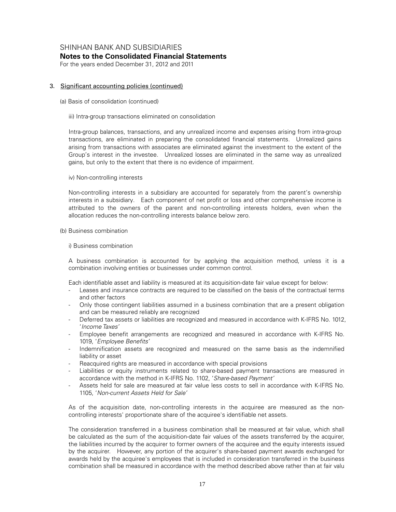For the years ended December 31, 2012 and 2011

#### 3. Significant accounting policies (continued)

#### (a) Basis of consolidation (continued)

iii) Intra-group transactions eliminated on consolidation

Intra-group balances, transactions, and any unrealized income and expenses arising from intra-group transactions, are eliminated in preparing the consolidated financial statements. Unrealized gains arising from transactions with associates are eliminated against the investment to the extent of the Group's interest in the investee. Unrealized losses are eliminated in the same way as unrealized gains, but only to the extent that there is no evidence of impairment.

iv) Non-controlling interests

Non-controlling interests in a subsidiary are accounted for separately from the parent's ownership interests in a subsidiary. Each component of net profit or loss and other comprehensive income is attributed to the owners of the parent and non-controlling interests holders, even when the allocation reduces the non-controlling interests balance below zero.

#### (b) Business combination

#### i) Business combination

A business combination is accounted for by applying the acquisition method, unless it is a combination involving entities or businesses under common control.

Each identifiable asset and liability is measured at its acquisition-date fair value except for below:

- Leases and insurance contracts are required to be classified on the basis of the contractual terms and other factors
- Only those contingent liabilities assumed in a business combination that are a present obligation and can be measured reliably are recognized
- Deferred tax assets or liabilities are recognized and measured in accordance with K-IFRS No. 1012, '*Income Taxes'*
- Employee benefit arrangements are recognized and measured in accordance with K-IFRS No. 1019, '*Employee Benefits'*
- Indemnification assets are recognized and measured on the same basis as the indemnified liability or asset
- Reacquired rights are measured in accordance with special provisions
- Liabilities or equity instruments related to share-based payment transactions are measured in accordance with the method in K-IFRS No. 1102, '*Share-based Payment'*
- Assets held for sale are measured at fair value less costs to sell in accordance with K-IFRS No. 1105, '*Non-current Assets Held for Sale'*

As of the acquisition date, non-controlling interests in the acquiree are measured as the noncontrolling interests' proportionate share of the acquiree's identifiable net assets.

The consideration transferred in a business combination shall be measured at fair value, which shall be calculated as the sum of the acquisition-date fair values of the assets transferred by the acquirer, the liabilities incurred by the acquirer to former owners of the acquiree and the equity interests issued by the acquirer. However, any portion of the acquirer's share-based payment awards exchanged for awards held by the acquiree's employees that is included in consideration transferred in the business combination shall be measured in accordance with the method described above rather than at fair valu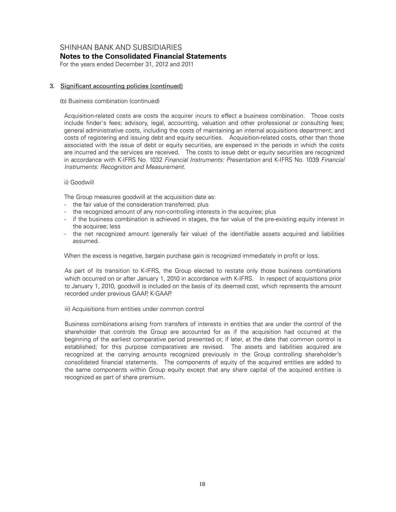For the years ended December 31, 2012 and 2011

#### 3. Significant accounting policies (continued)

#### (b) Business combination (continued)

Acquisition-related costs are costs the acquirer incurs to effect a business combination. Those costs include finder's fees; advisory, legal, accounting, valuation and other professional or consulting fees; general administrative costs, including the costs of maintaining an internal acquisitions department; and costs of registering and issuing debt and equity securities. Acquisition-related costs, other than those associated with the issue of debt or equity securities, are expensed in the periods in which the costs are incurred and the services are received. The costs to issue debt or equity securities are recognized in accordance with K-IFRS No. 1032 *Financial Instruments: Presentation* and K-IFRS No. 1039 *Financial Instruments: Recognition and Measurement*.

#### ii) Goodwill

The Group measures goodwill at the acquisition date as:

- the fair value of the consideration transferred; plus
- the recognized amount of any non-controlling interests in the acquiree; plus
- if the business combination is achieved in stages, the fair value of the pre-existing equity interest in the acquiree; less
- the net recognized amount (generally fair value) of the identifiable assets acquired and liabilities assumed.

When the excess is negative, bargain purchase gain is recognized immediately in profit or loss.

As part of its transition to K-IFRS, the Group elected to restate only those business combinations which occurred on or after January 1, 2010 in accordance with K-IFRS. In respect of acquisitions prior to January 1, 2010, goodwill is included on the basis of its deemed cost, which represents the amount recorded under previous GAAP, K-GAAP.

#### iii) Acquisitions from entities under common control

Business combinations arising from transfers of interests in entities that are under the control of the shareholder that controls the Group are accounted for as if the acquisition had occurred at the beginning of the earliest comparative period presented or, if later, at the date that common control is established; for this purpose comparatives are revised. The assets and liabilities acquired are recognized at the carrying amounts recognized previously in the Group controlling shareholder's consolidated financial statements. The components of equity of the acquired entities are added to the same components within Group equity except that any share capital of the acquired entities is recognized as part of share premium.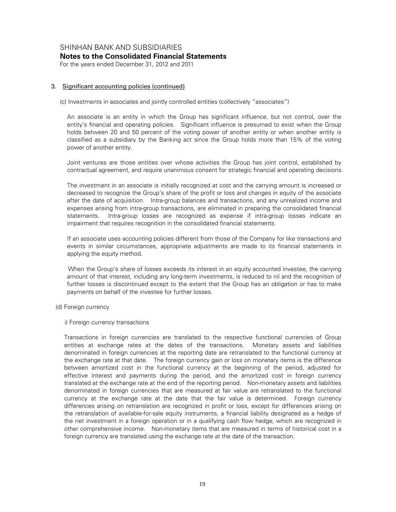### 3. Significant accounting policies (continued)

#### (c) Investments in associates and jointly controlled entities (collectively "associates")

An associate is an entity in which the Group has significant influence, but not control, over the entity's financial and operating policies. Significant influence is presumed to exist when the Group holds between 20 and 50 percent of the voting power of another entity or when another entity is classified as a subsidiary by the Banking act since the Group holds more than 15% of the voting power of another entity.

Joint ventures are those entities over whose activities the Group has joint control, established by contractual agreement, and require unanimous consent for strategic financial and operating decisions.

The investment in an associate is initially recognized at cost and the carrying amount is increased or decreased to recognize the Group's share of the profit or loss and changes in equity of the associate after the date of acquisition. Intra-group balances and transactions, and any unrealized income and expenses arising from intra-group transactions, are eliminated in preparing the consolidated financial statements. Intra-group losses are recognized as expense if intra-group losses indicate an impairment that requires recognition in the consolidated financial statements.

If an associate uses accounting policies different from those of the Company for like transactions and events in similar circumstances, appropriate adjustments are made to its financial statements in applying the equity method.

When the Group's share of losses exceeds its interest in an equity accounted investee, the carrying amount of that interest, including any long-term investments, is reduced to nil and the recognition of further losses is discontinued except to the extent that the Group has an obligation or has to make payments on behalf of the investee for further losses.

(d) Foreign currency

#### i) Foreign currency transactions

Transactions in foreign currencies are translated to the respective functional currencies of Group entities at exchange rates at the dates of the transactions. Monetary assets and liabilities denominated in foreign currencies at the reporting date are retranslated to the functional currency at the exchange rate at that date. The foreign currency gain or loss on monetary items is the difference between amortized cost in the functional currency at the beginning of the period, adjusted for effective interest and payments during the period, and the amortized cost in foreign currency translated at the exchange rate at the end of the reporting period. Non-monetary assets and liabilities denominated in foreign currencies that are measured at fair value are retranslated to the functional currency at the exchange rate at the date that the fair value is determined. Foreign currency differences arising on retranslation are recognized in profit or loss, except for differences arising on the retranslation of available-for-sale equity instruments, a financial liability designated as a hedge of the net investment in a foreign operation or in a qualifying cash flow hedge, which are recognized in other comprehensive income. Non-monetary items that are measured in terms of historical cost in a foreign currency are translated using the exchange rate at the date of the transaction.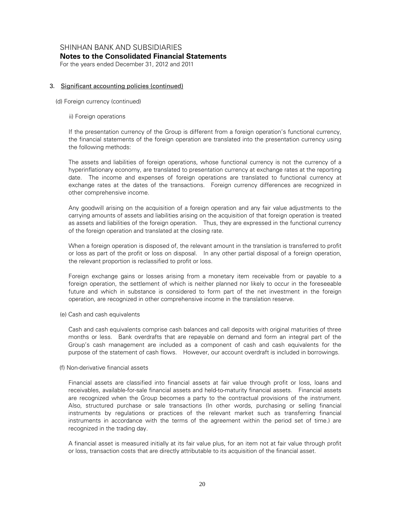For the years ended December 31, 2012 and 2011

#### 3. Significant accounting policies (continued)

(d) Foreign currency (continued)

ii) Foreign operations

If the presentation currency of the Group is different from a foreign operation's functional currency, the financial statements of the foreign operation are translated into the presentation currency using the following methods:

The assets and liabilities of foreign operations, whose functional currency is not the currency of a hyperinflationary economy, are translated to presentation currency at exchange rates at the reporting date. The income and expenses of foreign operations are translated to functional currency at exchange rates at the dates of the transactions. Foreign currency differences are recognized in other comprehensive income.

Any goodwill arising on the acquisition of a foreign operation and any fair value adjustments to the carrying amounts of assets and liabilities arising on the acquisition of that foreign operation is treated as assets and liabilities of the foreign operation. Thus, they are expressed in the functional currency of the foreign operation and translated at the closing rate.

When a foreign operation is disposed of, the relevant amount in the translation is transferred to profit or loss as part of the profit or loss on disposal. In any other partial disposal of a foreign operation, the relevant proportion is reclassified to profit or loss.

Foreign exchange gains or losses arising from a monetary item receivable from or payable to a foreign operation, the settlement of which is neither planned nor likely to occur in the foreseeable future and which in substance is considered to form part of the net investment in the foreign operation, are recognized in other comprehensive income in the translation reserve.

(e) Cash and cash equivalents

Cash and cash equivalents comprise cash balances and call deposits with original maturities of three months or less. Bank overdrafts that are repayable on demand and form an integral part of the Group's cash management are included as a component of cash and cash equivalents for the purpose of the statement of cash flows. However, our account overdraft is included in borrowings.

(f) Non-derivative financial assets

Financial assets are classified into financial assets at fair value through profit or loss, loans and receivables, available-for-sale financial assets and held-to-maturity financial assets. Financial assets are recognized when the Group becomes a party to the contractual provisions of the instrument. Also, structured purchase or sale transactions (In other words, purchasing or selling financial instruments by regulations or practices of the relevant market such as transferring financial instruments in accordance with the terms of the agreement within the period set of time.) are recognized in the trading day.

A financial asset is measured initially at its fair value plus, for an item not at fair value through profit or loss, transaction costs that are directly attributable to its acquisition of the financial asset.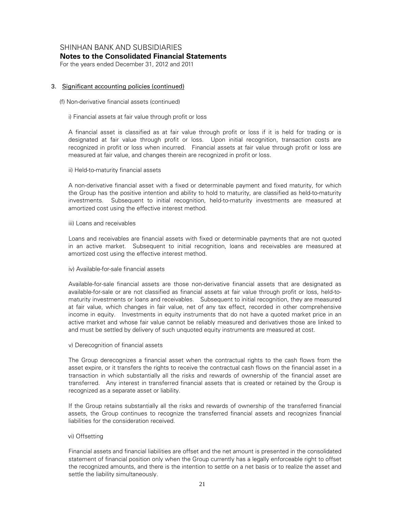#### 3. Significant accounting policies (continued)

#### (f) Non-derivative financial assets (continued)

#### i) Financial assets at fair value through profit or loss

A financial asset is classified as at fair value through profit or loss if it is held for trading or is designated at fair value through profit or loss. Upon initial recognition, transaction costs are recognized in profit or loss when incurred. Financial assets at fair value through profit or loss are measured at fair value, and changes therein are recognized in profit or loss.

#### ii) Held-to-maturity financial assets

A non-derivative financial asset with a fixed or determinable payment and fixed maturity, for which the Group has the positive intention and ability to hold to maturity, are classified as held-to-maturity investments. Subsequent to initial recognition, held-to-maturity investments are measured at amortized cost using the effective interest method.

#### iii) Loans and receivables

Loans and receivables are financial assets with fixed or determinable payments that are not quoted in an active market. Subsequent to initial recognition, loans and receivables are measured at amortized cost using the effective interest method.

iv) Available-for-sale financial assets

Available-for-sale financial assets are those non-derivative financial assets that are designated as available-for-sale or are not classified as financial assets at fair value through profit or loss, held-tomaturity investments or loans and receivables. Subsequent to initial recognition, they are measured at fair value, which changes in fair value, net of any tax effect, recorded in other comprehensive income in equity. Investments in equity instruments that do not have a quoted market price in an active market and whose fair value cannot be reliably measured and derivatives those are linked to and must be settled by delivery of such unquoted equity instruments are measured at cost.

v) Derecognition of financial assets

The Group derecognizes a financial asset when the contractual rights to the cash flows from the asset expire, or it transfers the rights to receive the contractual cash flows on the financial asset in a transaction in which substantially all the risks and rewards of ownership of the financial asset are transferred. Any interest in transferred financial assets that is created or retained by the Group is recognized as a separate asset or liability.

If the Group retains substantially all the risks and rewards of ownership of the transferred financial assets, the Group continues to recognize the transferred financial assets and recognizes financial liabilities for the consideration received.

#### vi) Offsetting

Financial assets and financial liabilities are offset and the net amount is presented in the consolidated statement of financial position only when the Group currently has a legally enforceable right to offset the recognized amounts, and there is the intention to settle on a net basis or to realize the asset and settle the liability simultaneously.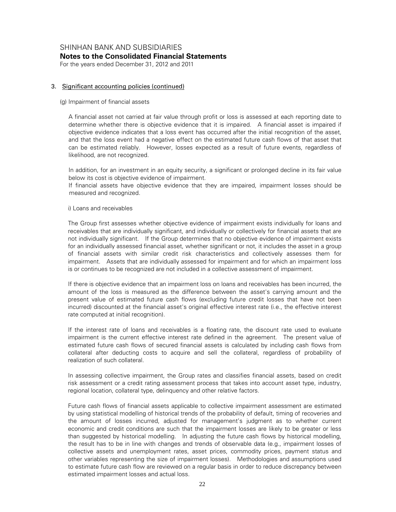For the years ended December 31, 2012 and 2011

#### 3. Significant accounting policies (continued)

#### (g) Impairment of financial assets

A financial asset not carried at fair value through profit or loss is assessed at each reporting date to determine whether there is objective evidence that it is impaired. A financial asset is impaired if objective evidence indicates that a loss event has occurred after the initial recognition of the asset, and that the loss event had a negative effect on the estimated future cash flows of that asset that can be estimated reliably. However, losses expected as a result of future events, regardless of likelihood, are not recognized.

In addition, for an investment in an equity security, a significant or prolonged decline in its fair value below its cost is objective evidence of impairment.

If financial assets have objective evidence that they are impaired, impairment losses should be measured and recognized.

#### i) Loans and receivables

The Group first assesses whether objective evidence of impairment exists individually for loans and receivables that are individually significant, and individually or collectively for financial assets that are not individually significant. If the Group determines that no objective evidence of impairment exists for an individually assessed financial asset, whether significant or not, it includes the asset in a group of financial assets with similar credit risk characteristics and collectively assesses them for impairment. Assets that are individually assessed for impairment and for which an impairment loss is or continues to be recognized are not included in a collective assessment of impairment.

If there is objective evidence that an impairment loss on loans and receivables has been incurred, the amount of the loss is measured as the difference between the asset's carrying amount and the present value of estimated future cash flows (excluding future credit losses that have not been incurred) discounted at the financial asset's original effective interest rate (i.e., the effective interest rate computed at initial recognition).

If the interest rate of loans and receivables is a floating rate, the discount rate used to evaluate impairment is the current effective interest rate defined in the agreement. The present value of estimated future cash flows of secured financial assets is calculated by including cash flows from collateral after deducting costs to acquire and sell the collateral, regardless of probability of realization of such collateral.

In assessing collective impairment, the Group rates and classifies financial assets, based on credit risk assessment or a credit rating assessment process that takes into account asset type, industry, regional location, collateral type, delinquency and other relative factors.

Future cash flows of financial assets applicable to collective impairment assessment are estimated by using statistical modelling of historical trends of the probability of default, timing of recoveries and the amount of losses incurred, adjusted for management's judgment as to whether current economic and credit conditions are such that the impairment losses are likely to be greater or less than suggested by historical modelling. In adjusting the future cash flows by historical modelling, the result has to be in line with changes and trends of observable data (e.g., impairment losses of collective assets and unemployment rates, asset prices, commodity prices, payment status and other variables representing the size of impairment losses). Methodologies and assumptions used to estimate future cash flow are reviewed on a regular basis in order to reduce discrepancy between estimated impairment losses and actual loss.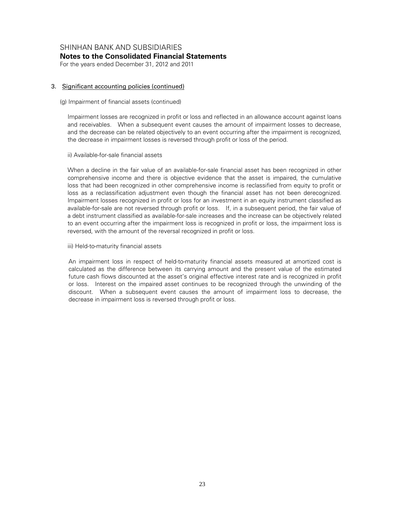#### 3. Significant accounting policies (continued)

#### (g) Impairment of financial assets (continued)

Impairment losses are recognized in profit or loss and reflected in an allowance account against loans and receivables. When a subsequent event causes the amount of impairment losses to decrease, and the decrease can be related objectively to an event occurring after the impairment is recognized, the decrease in impairment losses is reversed through profit or loss of the period.

#### ii) Available-for-sale financial assets

When a decline in the fair value of an available-for-sale financial asset has been recognized in other comprehensive income and there is objective evidence that the asset is impaired, the cumulative loss that had been recognized in other comprehensive income is reclassified from equity to profit or loss as a reclassification adjustment even though the financial asset has not been derecognized. Impairment losses recognized in profit or loss for an investment in an equity instrument classified as available-for-sale are not reversed through profit or loss. If, in a subsequent period, the fair value of a debt instrument classified as available-for-sale increases and the increase can be objectively related to an event occurring after the impairment loss is recognized in profit or loss, the impairment loss is reversed, with the amount of the reversal recognized in profit or loss.

#### iii) Held-to-maturity financial assets

An impairment loss in respect of held-to-maturity financial assets measured at amortized cost is calculated as the difference between its carrying amount and the present value of the estimated future cash flows discounted at the asset's original effective interest rate and is recognized in profit or loss. Interest on the impaired asset continues to be recognized through the unwinding of the discount. When a subsequent event causes the amount of impairment loss to decrease, the decrease in impairment loss is reversed through profit or loss.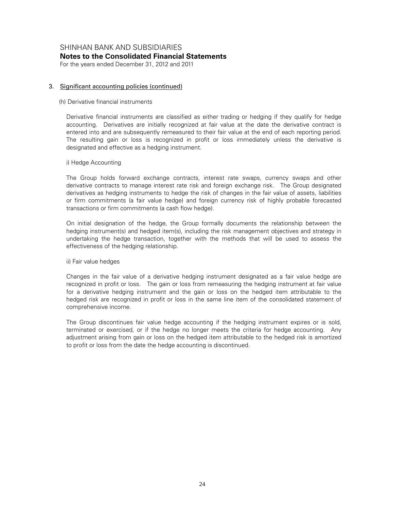For the years ended December 31, 2012 and 2011

#### 3. Significant accounting policies (continued)

#### (h) Derivative financial instruments

Derivative financial instruments are classified as either trading or hedging if they qualify for hedge accounting. Derivatives are initially recognized at fair value at the date the derivative contract is entered into and are subsequently remeasured to their fair value at the end of each reporting period. The resulting gain or loss is recognized in profit or loss immediately unless the derivative is designated and effective as a hedging instrument.

#### i) Hedge Accounting

The Group holds forward exchange contracts, interest rate swaps, currency swaps and other derivative contracts to manage interest rate risk and foreign exchange risk. The Group designated derivatives as hedging instruments to hedge the risk of changes in the fair value of assets, liabilities or firm commitments (a fair value hedge) and foreign currency risk of highly probable forecasted transactions or firm commitments (a cash flow hedge).

On initial designation of the hedge, the Group formally documents the relationship between the hedging instrument(s) and hedged item(s), including the risk management objectives and strategy in undertaking the hedge transaction, together with the methods that will be used to assess the effectiveness of the hedging relationship.

#### ii) Fair value hedges

Changes in the fair value of a derivative hedging instrument designated as a fair value hedge are recognized in profit or loss. The gain or loss from remeasuring the hedging instrument at fair value for a derivative hedging instrument and the gain or loss on the hedged item attributable to the hedged risk are recognized in profit or loss in the same line item of the consolidated statement of comprehensive income.

The Group discontinues fair value hedge accounting if the hedging instrument expires or is sold, terminated or exercised, or if the hedge no longer meets the criteria for hedge accounting. Any adjustment arising from gain or loss on the hedged item attributable to the hedged risk is amortized to profit or loss from the date the hedge accounting is discontinued.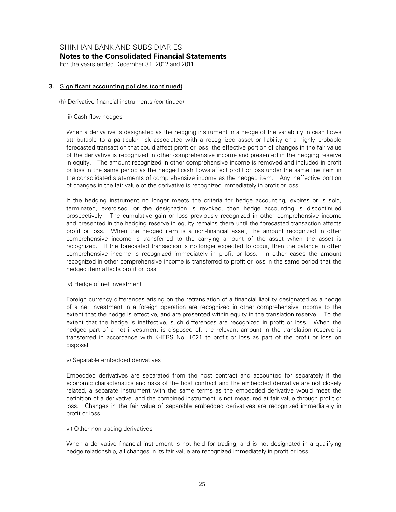For the years ended December 31, 2012 and 2011

#### 3. Significant accounting policies (continued)

- (h) Derivative financial instruments (continued)
	- iii) Cash flow hedges

When a derivative is designated as the hedging instrument in a hedge of the variability in cash flows attributable to a particular risk associated with a recognized asset or liability or a highly probable forecasted transaction that could affect profit or loss, the effective portion of changes in the fair value of the derivative is recognized in other comprehensive income and presented in the hedging reserve in equity. The amount recognized in other comprehensive income is removed and included in profit or loss in the same period as the hedged cash flows affect profit or loss under the same line item in the consolidated statements of comprehensive income as the hedged item. Any ineffective portion of changes in the fair value of the derivative is recognized immediately in profit or loss.

If the hedging instrument no longer meets the criteria for hedge accounting, expires or is sold, terminated, exercised, or the designation is revoked, then hedge accounting is discontinued prospectively. The cumulative gain or loss previously recognized in other comprehensive income and presented in the hedging reserve in equity remains there until the forecasted transaction affects profit or loss. When the hedged item is a non-financial asset, the amount recognized in other comprehensive income is transferred to the carrying amount of the asset when the asset is recognized. If the forecasted transaction is no longer expected to occur, then the balance in other comprehensive income is recognized immediately in profit or loss. In other cases the amount recognized in other comprehensive income is transferred to profit or loss in the same period that the hedged item affects profit or loss.

#### iv) Hedge of net investment

Foreign currency differences arising on the retranslation of a financial liability designated as a hedge of a net investment in a foreign operation are recognized in other comprehensive income to the extent that the hedge is effective, and are presented within equity in the translation reserve. To the extent that the hedge is ineffective, such differences are recognized in profit or loss. When the hedged part of a net investment is disposed of, the relevant amount in the translation reserve is transferred in accordance with K-IFRS No. 1021 to profit or loss as part of the profit or loss on disposal.

#### v) Separable embedded derivatives

Embedded derivatives are separated from the host contract and accounted for separately if the economic characteristics and risks of the host contract and the embedded derivative are not closely related, a separate instrument with the same terms as the embedded derivative would meet the definition of a derivative, and the combined instrument is not measured at fair value through profit or loss. Changes in the fair value of separable embedded derivatives are recognized immediately in profit or loss.

#### vi) Other non-trading derivatives

When a derivative financial instrument is not held for trading, and is not designated in a qualifying hedge relationship, all changes in its fair value are recognized immediately in profit or loss.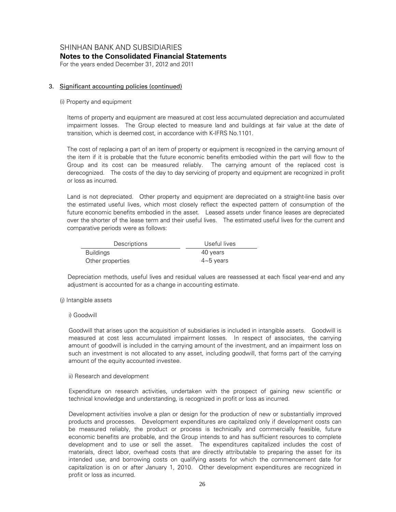For the years ended December 31, 2012 and 2011

#### 3. Significant accounting policies (continued)

#### (i) Property and equipment

Items of property and equipment are measured at cost less accumulated depreciation and accumulated impairment losses. The Group elected to measure land and buildings at fair value at the date of transition, which is deemed cost, in accordance with K-IFRS No.1101.

The cost of replacing a part of an item of property or equipment is recognized in the carrying amount of the item if it is probable that the future economic benefits embodied within the part will flow to the Group and its cost can be measured reliably. The carrying amount of the replaced cost is derecognized. The costs of the day to day servicing of property and equipment are recognized in profit or loss as incurred.

Land is not depreciated. Other property and equipment are depreciated on a straight-line basis over the estimated useful lives, which most closely reflect the expected pattern of consumption of the future economic benefits embodied in the asset. Leased assets under finance leases are depreciated over the shorter of the lease term and their useful lives. The estimated useful lives for the current and comparative periods were as follows:

| Descriptions     | Useful lives  |
|------------------|---------------|
| <b>Buildings</b> | 40 years      |
| Other properties | $4 - 5$ years |

Depreciation methods, useful lives and residual values are reassessed at each fiscal year-end and any adjustment is accounted for as a change in accounting estimate.

#### (j) Intangible assets

#### i) Goodwill

Goodwill that arises upon the acquisition of subsidiaries is included in intangible assets. Goodwill is measured at cost less accumulated impairment losses. In respect of associates, the carrying amount of goodwill is included in the carrying amount of the investment, and an impairment loss on such an investment is not allocated to any asset, including goodwill, that forms part of the carrying amount of the equity accounted investee.

#### ii) Research and development

Expenditure on research activities, undertaken with the prospect of gaining new scientific or technical knowledge and understanding, is recognized in profit or loss as incurred.

Development activities involve a plan or design for the production of new or substantially improved products and processes. Development expenditures are capitalized only if development costs can be measured reliably, the product or process is technically and commercially feasible, future economic benefits are probable, and the Group intends to and has sufficient resources to complete development and to use or sell the asset. The expenditures capitalized includes the cost of materials, direct labor, overhead costs that are directly attributable to preparing the asset for its intended use, and borrowing costs on qualifying assets for which the commencement date for capitalization is on or after January 1, 2010. Other development expenditures are recognized in profit or loss as incurred.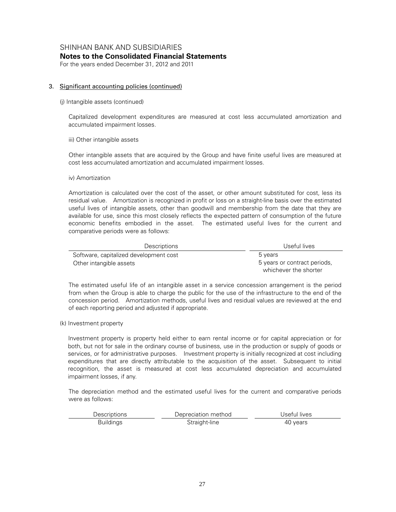For the years ended December 31, 2012 and 2011

#### 3. Significant accounting policies (continued)

#### (j) Intangible assets (continued)

Capitalized development expenditures are measured at cost less accumulated amortization and accumulated impairment losses.

#### iii) Other intangible assets

Other intangible assets that are acquired by the Group and have finite useful lives are measured at cost less accumulated amortization and accumulated impairment losses.

#### iv) Amortization

Amortization is calculated over the cost of the asset, or other amount substituted for cost, less its residual value. Amortization is recognized in profit or loss on a straight-line basis over the estimated useful lives of intangible assets, other than goodwill and membership from the date that they are available for use, since this most closely reflects the expected pattern of consumption of the future economic benefits embodied in the asset. The estimated useful lives for the current and comparative periods were as follows:

| <b>Descriptions</b>                    | Useful lives                                          |
|----------------------------------------|-------------------------------------------------------|
| Software, capitalized development cost | 5 vears                                               |
| Other intangible assets                | 5 years or contract periods.<br>whichever the shorter |

The estimated useful life of an intangible asset in a service concession arrangement is the period from when the Group is able to charge the public for the use of the infrastructure to the end of the concession period. Amortization methods, useful lives and residual values are reviewed at the end of each reporting period and adjusted if appropriate.

(k) Investment property

Investment property is property held either to earn rental income or for capital appreciation or for both, but not for sale in the ordinary course of business, use in the production or supply of goods or services, or for administrative purposes. Investment property is initially recognized at cost including expenditures that are directly attributable to the acquisition of the asset. Subsequent to initial recognition, the asset is measured at cost less accumulated depreciation and accumulated impairment losses, if any.

The depreciation method and the estimated useful lives for the current and comparative periods were as follows:

| Descriptions     | Depreciation method | Useful lives |
|------------------|---------------------|--------------|
| <b>Buildings</b> | Straight-line       | 40 years     |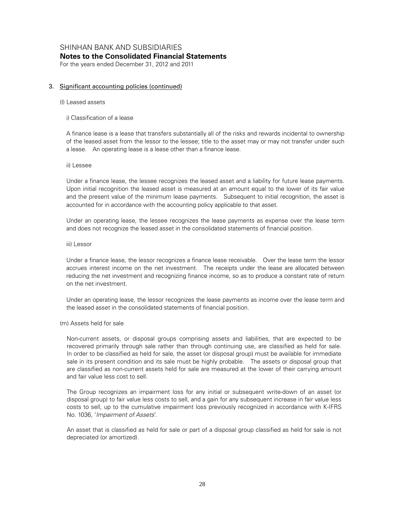For the years ended December 31, 2012 and 2011

#### 3. Significant accounting policies (continued)

#### (l) Leased assets

#### i) Classification of a lease

A finance lease is a lease that transfers substantially all of the risks and rewards incidental to ownership of the leased asset from the lessor to the lessee; title to the asset may or may not transfer under such a lease. An operating lease is a lease other than a finance lease.

#### ii) Lessee

Under a finance lease, the lessee recognizes the leased asset and a liability for future lease payments. Upon initial recognition the leased asset is measured at an amount equal to the lower of its fair value and the present value of the minimum lease payments. Subsequent to initial recognition, the asset is accounted for in accordance with the accounting policy applicable to that asset.

Under an operating lease, the lessee recognizes the lease payments as expense over the lease term and does not recognize the leased asset in the consolidated statements of financial position.

#### iii) Lessor

Under a finance lease, the lessor recognizes a finance lease receivable. Over the lease term the lessor accrues interest income on the net investment. The receipts under the lease are allocated between reducing the net investment and recognizing finance income, so as to produce a constant rate of return on the net investment.

Under an operating lease, the lessor recognizes the lease payments as income over the lease term and the leased asset in the consolidated statements of financial position.

#### (m) Assets held for sale

Non-current assets, or disposal groups comprising assets and liabilities, that are expected to be recovered primarily through sale rather than through continuing use, are classified as held for sale. In order to be classified as held for sale, the asset (or disposal group) must be available for immediate sale in its present condition and its sale must be highly probable. The assets or disposal group that are classified as non-current assets held for sale are measured at the lower of their carrying amount and fair value less cost to sell.

The Group recognizes an impairment loss for any initial or subsequent write-down of an asset (or disposal group) to fair value less costs to sell, and a gain for any subsequent increase in fair value less costs to sell, up to the cumulative impairment loss previously recognized in accordance with K-IFRS No. 1036, '*Impairment of Assets*'.

An asset that is classified as held for sale or part of a disposal group classified as held for sale is not depreciated (or amortized).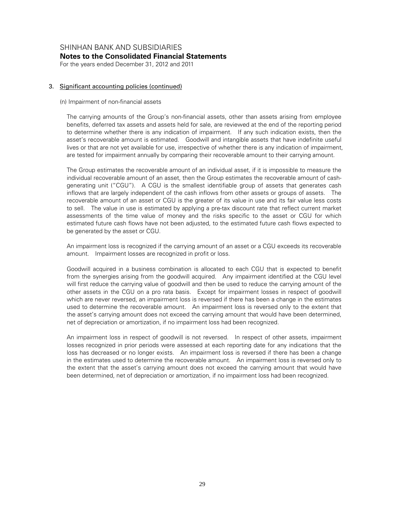For the years ended December 31, 2012 and 2011

#### 3. Significant accounting policies (continued)

#### (n) Impairment of non-financial assets

The carrying amounts of the Group's non-financial assets, other than assets arising from employee benefits, deferred tax assets and assets held for sale, are reviewed at the end of the reporting period to determine whether there is any indication of impairment. If any such indication exists, then the asset's recoverable amount is estimated. Goodwill and intangible assets that have indefinite useful lives or that are not yet available for use, irrespective of whether there is any indication of impairment, are tested for impairment annually by comparing their recoverable amount to their carrying amount.

The Group estimates the recoverable amount of an individual asset, if it is impossible to measure the individual recoverable amount of an asset, then the Group estimates the recoverable amount of cashgenerating unit ("CGU"). A CGU is the smallest identifiable group of assets that generates cash inflows that are largely independent of the cash inflows from other assets or groups of assets. The recoverable amount of an asset or CGU is the greater of its value in use and its fair value less costs to sell. The value in use is estimated by applying a pre-tax discount rate that reflect current market assessments of the time value of money and the risks specific to the asset or CGU for which estimated future cash flows have not been adjusted, to the estimated future cash flows expected to be generated by the asset or CGU.

An impairment loss is recognized if the carrying amount of an asset or a CGU exceeds its recoverable amount. Impairment losses are recognized in profit or loss.

Goodwill acquired in a business combination is allocated to each CGU that is expected to benefit from the synergies arising from the goodwill acquired. Any impairment identified at the CGU level will first reduce the carrying value of goodwill and then be used to reduce the carrying amount of the other assets in the CGU on a pro rata basis. Except for impairment losses in respect of goodwill which are never reversed, an impairment loss is reversed if there has been a change in the estimates used to determine the recoverable amount. An impairment loss is reversed only to the extent that the asset's carrying amount does not exceed the carrying amount that would have been determined, net of depreciation or amortization, if no impairment loss had been recognized.

An impairment loss in respect of goodwill is not reversed. In respect of other assets, impairment losses recognized in prior periods were assessed at each reporting date for any indications that the loss has decreased or no longer exists. An impairment loss is reversed if there has been a change in the estimates used to determine the recoverable amount. An impairment loss is reversed only to the extent that the asset's carrying amount does not exceed the carrying amount that would have been determined, net of depreciation or amortization, if no impairment loss had been recognized.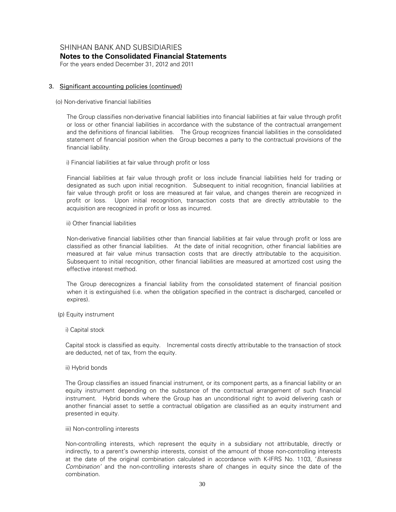For the years ended December 31, 2012 and 2011

#### 3. Significant accounting policies (continued)

#### (o) Non-derivative financial liabilities

The Group classifies non-derivative financial liabilities into financial liabilities at fair value through profit or loss or other financial liabilities in accordance with the substance of the contractual arrangement and the definitions of financial liabilities. The Group recognizes financial liabilities in the consolidated statement of financial position when the Group becomes a party to the contractual provisions of the financial liability.

i) Financial liabilities at fair value through profit or loss

Financial liabilities at fair value through profit or loss include financial liabilities held for trading or designated as such upon initial recognition. Subsequent to initial recognition, financial liabilities at fair value through profit or loss are measured at fair value, and changes therein are recognized in profit or loss. Upon initial recognition, transaction costs that are directly attributable to the acquisition are recognized in profit or loss as incurred.

#### ii) Other financial liabilities

Non-derivative financial liabilities other than financial liabilities at fair value through profit or loss are classified as other financial liabilities. At the date of initial recognition, other financial liabilities are measured at fair value minus transaction costs that are directly attributable to the acquisition. Subsequent to initial recognition, other financial liabilities are measured at amortized cost using the effective interest method.

The Group derecognizes a financial liability from the consolidated statement of financial position when it is extinguished (i.e. when the obligation specified in the contract is discharged, cancelled or expires).

(p) Equity instrument

#### i) Capital stock

Capital stock is classified as equity. Incremental costs directly attributable to the transaction of stock are deducted, net of tax, from the equity.

ii) Hybrid bonds

The Group classifies an issued financial instrument, or its component parts, as a financial liability or an equity instrument depending on the substance of the contractual arrangement of such financial instrument. Hybrid bonds where the Group has an unconditional right to avoid delivering cash or another financial asset to settle a contractual obligation are classified as an equity instrument and presented in equity.

#### iii) Non-controlling interests

Non-controlling interests, which represent the equity in a subsidiary not attributable, directly or indirectly, to a parent's ownership interests, consist of the amount of those non-controlling interests at the date of the original combination calculated in accordance with K-IFRS No. 1103, '*Business Combination'* and the non-controlling interests share of changes in equity since the date of the combination.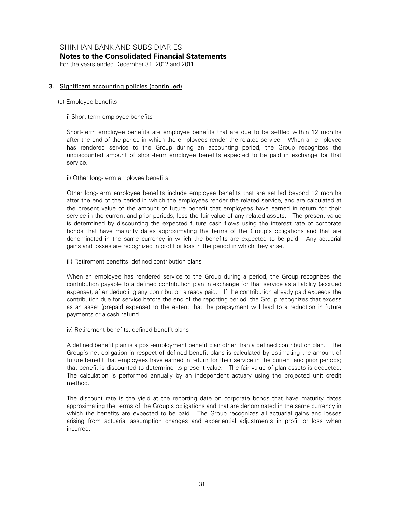For the years ended December 31, 2012 and 2011

#### 3. Significant accounting policies (continued)

#### (q) Employee benefits

#### i) Short-term employee benefits

Short-term employee benefits are employee benefits that are due to be settled within 12 months after the end of the period in which the employees render the related service. When an employee has rendered service to the Group during an accounting period, the Group recognizes the undiscounted amount of short-term employee benefits expected to be paid in exchange for that service.

#### ii) Other long-term employee benefits

Other long-term employee benefits include employee benefits that are settled beyond 12 months after the end of the period in which the employees render the related service, and are calculated at the present value of the amount of future benefit that employees have earned in return for their service in the current and prior periods, less the fair value of any related assets. The present value is determined by discounting the expected future cash flows using the interest rate of corporate bonds that have maturity dates approximating the terms of the Group's obligations and that are denominated in the same currency in which the benefits are expected to be paid. Any actuarial gains and losses are recognized in profit or loss in the period in which they arise.

#### iii) Retirement benefits: defined contribution plans

When an employee has rendered service to the Group during a period, the Group recognizes the contribution payable to a defined contribution plan in exchange for that service as a liability (accrued expense), after deducting any contribution already paid. If the contribution already paid exceeds the contribution due for service before the end of the reporting period, the Group recognizes that excess as an asset (prepaid expense) to the extent that the prepayment will lead to a reduction in future payments or a cash refund.

iv) Retirement benefits: defined benefit plans

A defined benefit plan is a post-employment benefit plan other than a defined contribution plan. The Group's net obligation in respect of defined benefit plans is calculated by estimating the amount of future benefit that employees have earned in return for their service in the current and prior periods; that benefit is discounted to determine its present value. The fair value of plan assets is deducted. The calculation is performed annually by an independent actuary using the projected unit credit method.

The discount rate is the yield at the reporting date on corporate bonds that have maturity dates approximating the terms of the Group's obligations and that are denominated in the same currency in which the benefits are expected to be paid. The Group recognizes all actuarial gains and losses arising from actuarial assumption changes and experiential adjustments in profit or loss when incurred.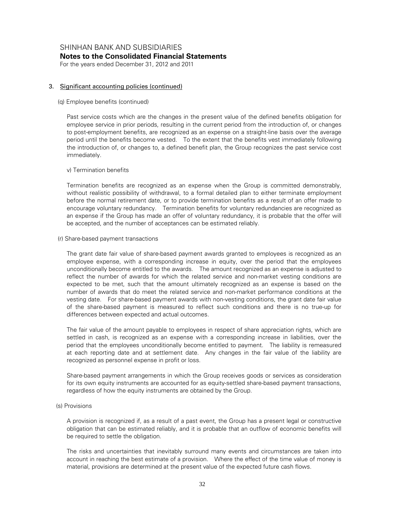For the years ended December 31, 2012 and 2011

#### 3. Significant accounting policies (continued)

#### (q) Employee benefits (continued)

Past service costs which are the changes in the present value of the defined benefits obligation for employee service in prior periods, resulting in the current period from the introduction of, or changes to post-employment benefits, are recognized as an expense on a straight-line basis over the average period until the benefits become vested. To the extent that the benefits vest immediately following the introduction of, or changes to, a defined benefit plan, the Group recognizes the past service cost immediately.

#### v) Termination benefits

Termination benefits are recognized as an expense when the Group is committed demonstrably, without realistic possibility of withdrawal, to a formal detailed plan to either terminate employment before the normal retirement date, or to provide termination benefits as a result of an offer made to encourage voluntary redundancy. Termination benefits for voluntary redundancies are recognized as an expense if the Group has made an offer of voluntary redundancy, it is probable that the offer will be accepted, and the number of acceptances can be estimated reliably.

#### (r) Share-based payment transactions

The grant date fair value of share-based payment awards granted to employees is recognized as an employee expense, with a corresponding increase in equity, over the period that the employees unconditionally become entitled to the awards. The amount recognized as an expense is adjusted to reflect the number of awards for which the related service and non-market vesting conditions are expected to be met, such that the amount ultimately recognized as an expense is based on the number of awards that do meet the related service and non-market performance conditions at the vesting date. For share-based payment awards with non-vesting conditions, the grant date fair value of the share-based payment is measured to reflect such conditions and there is no true-up for differences between expected and actual outcomes.

The fair value of the amount payable to employees in respect of share appreciation rights, which are settled in cash, is recognized as an expense with a corresponding increase in liabilities, over the period that the employees unconditionally become entitled to payment. The liability is remeasured at each reporting date and at settlement date. Any changes in the fair value of the liability are recognized as personnel expense in profit or loss.

Share-based payment arrangements in which the Group receives goods or services as consideration for its own equity instruments are accounted for as equity-settled share-based payment transactions, regardless of how the equity instruments are obtained by the Group.

#### (s) Provisions

A provision is recognized if, as a result of a past event, the Group has a present legal or constructive obligation that can be estimated reliably, and it is probable that an outflow of economic benefits will be required to settle the obligation.

The risks and uncertainties that inevitably surround many events and circumstances are taken into account in reaching the best estimate of a provision. Where the effect of the time value of money is material, provisions are determined at the present value of the expected future cash flows.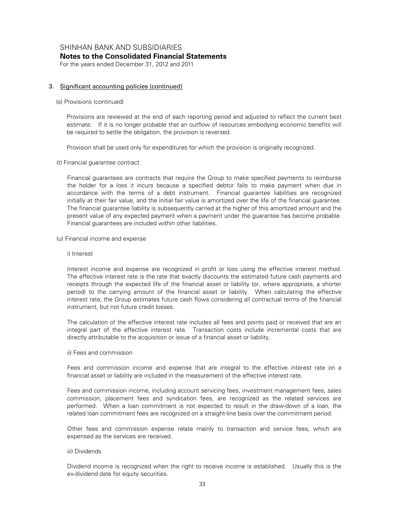For the years ended December 31, 2012 and 2011

#### 3. Significant accounting policies (continued)

#### (s) Provisions (continued)

Provisions are reviewed at the end of each reporting period and adjusted to reflect the current best estimate. If it is no longer probable that an outflow of resources embodying economic benefits will be required to settle the obligation, the provision is reversed.

Provision shall be used only for expenditures for which the provision is originally recognized.

(t) Financial guarantee contract

Financial guarantees are contracts that require the Group to make specified payments to reimburse the holder for a loss it incurs because a specified debtor fails to make payment when due in accordance with the terms of a debt instrument. Financial guarantee liabilities are recognized initially at their fair value, and the initial fair value is amortized over the life of the financial guarantee. The financial guarantee liability is subsequently carried at the higher of this amortized amount and the present value of any expected payment when a payment under the guarantee has become probable. Financial guarantees are included within other liabilities.

- (u) Financial income and expense
	- i) Interest

Interest income and expense are recognized in profit or loss using the effective interest method. The effective interest rate is the rate that exactly discounts the estimated future cash payments and receipts through the expected life of the financial asset or liability (or, where appropriate, a shorter period) to the carrying amount of the financial asset or liability. When calculating the effective interest rate, the Group estimates future cash flows considering all contractual terms of the financial instrument, but not future credit losses.

The calculation of the effective interest rate includes all fees and points paid or received that are an integral part of the effective interest rate. Transaction costs include incremental costs that are directly attributable to the acquisition or issue of a financial asset or liability.

ii) Fees and commission

Fees and commission income and expense that are integral to the effective interest rate on a financial asset or liability are included in the measurement of the effective interest rate.

Fees and commission income, including account servicing fees, investment management fees, sales commission, placement fees and syndication fees, are recognized as the related services are performed. When a loan commitment is not expected to result in the draw-down of a loan, the related loan commitment fees are recognized on a straight-line basis over the commitment period.

Other fees and commission expense relate mainly to transaction and service fees, which are expensed as the services are received.

iii) Dividends

Dividend income is recognized when the right to receive income is established. Usually this is the ex-dividend date for equity securities.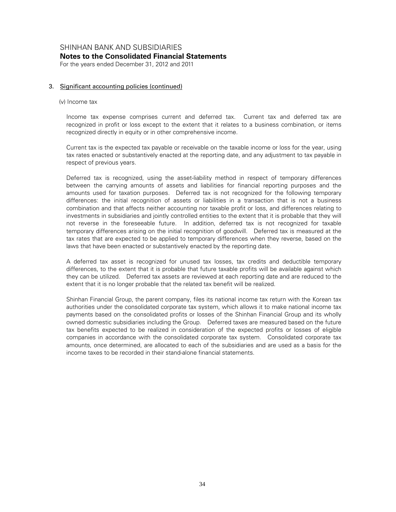#### 3. Significant accounting policies (continued)

#### (v) Income tax

Income tax expense comprises current and deferred tax. Current tax and deferred tax are recognized in profit or loss except to the extent that it relates to a business combination, or items recognized directly in equity or in other comprehensive income.

Current tax is the expected tax payable or receivable on the taxable income or loss for the year, using tax rates enacted or substantively enacted at the reporting date, and any adjustment to tax payable in respect of previous years.

Deferred tax is recognized, using the asset-liability method in respect of temporary differences between the carrying amounts of assets and liabilities for financial reporting purposes and the amounts used for taxation purposes. Deferred tax is not recognized for the following temporary differences: the initial recognition of assets or liabilities in a transaction that is not a business combination and that affects neither accounting nor taxable profit or loss, and differences relating to investments in subsidiaries and jointly controlled entities to the extent that it is probable that they will not reverse in the foreseeable future. In addition, deferred tax is not recognized for taxable temporary differences arising on the initial recognition of goodwill. Deferred tax is measured at the tax rates that are expected to be applied to temporary differences when they reverse, based on the laws that have been enacted or substantively enacted by the reporting date.

A deferred tax asset is recognized for unused tax losses, tax credits and deductible temporary differences, to the extent that it is probable that future taxable profits will be available against which they can be utilized. Deferred tax assets are reviewed at each reporting date and are reduced to the extent that it is no longer probable that the related tax benefit will be realized.

Shinhan Financial Group, the parent company, files its national income tax return with the Korean tax authorities under the consolidated corporate tax system, which allows it to make national income tax payments based on the consolidated profits or losses of the Shinhan Financial Group and its wholly owned domestic subsidiaries including the Group. Deferred taxes are measured based on the future tax benefits expected to be realized in consideration of the expected profits or losses of eligible companies in accordance with the consolidated corporate tax system. Consolidated corporate tax amounts, once determined, are allocated to each of the subsidiaries and are used as a basis for the income taxes to be recorded in their stand-alone financial statements.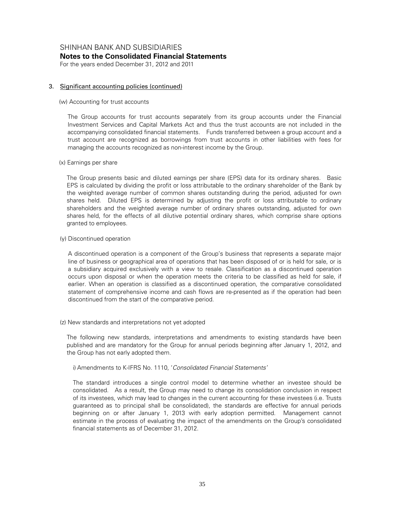For the years ended December 31, 2012 and 2011

## 3. Significant accounting policies (continued)

#### (w) Accounting for trust accounts

The Group accounts for trust accounts separately from its group accounts under the Financial Investment Services and Capital Markets Act and thus the trust accounts are not included in the accompanying consolidated financial statements. Funds transferred between a group account and a trust account are recognized as borrowings from trust accounts in other liabilities with fees for managing the accounts recognized as non-interest income by the Group.

#### (x) Earnings per share

The Group presents basic and diluted earnings per share (EPS) data for its ordinary shares. Basic EPS is calculated by dividing the profit or loss attributable to the ordinary shareholder of the Bank by the weighted average number of common shares outstanding during the period, adjusted for own shares held. Diluted EPS is determined by adjusting the profit or loss attributable to ordinary shareholders and the weighted average number of ordinary shares outstanding, adjusted for own shares held, for the effects of all dilutive potential ordinary shares, which comprise share options granted to employees.

#### (y) Discontinued operation

A discontinued operation is a component of the Group's business that represents a separate major line of business or geographical area of operations that has been disposed of or is held for sale, or is a subsidiary acquired exclusively with a view to resale. Classification as a discontinued operation occurs upon disposal or when the operation meets the criteria to be classified as held for sale, if earlier. When an operation is classified as a discontinued operation, the comparative consolidated statement of comprehensive income and cash flows are re-presented as if the operation had been discontinued from the start of the comparative period.

## (z) New standards and interpretations not yet adopted

The following new standards, interpretations and amendments to existing standards have been published and are mandatory for the Group for annual periods beginning after January 1, 2012, and the Group has not early adopted them.

## i) Amendments to K-IFRS No. 1110, '*Consolidated Financial Statements'*

The standard introduces a single control model to determine whether an investee should be consolidated. As a result, the Group may need to change its consolidation conclusion in respect of its investees, which may lead to changes in the current accounting for these investees (i.e. Trusts guaranteed as to principal shall be consolidated), the standards are effective for annual periods beginning on or after January 1, 2013 with early adoption permitted. Management cannot estimate in the process of evaluating the impact of the amendments on the Group's consolidated financial statements as of December 31, 2012.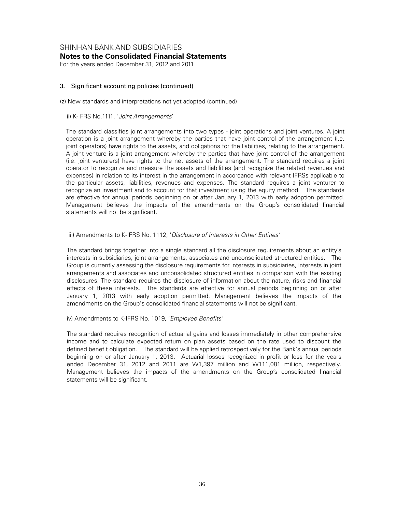## 3. Significant accounting policies (continued)

(z) New standards and interpretations not yet adopted (continued)

ii) K-IFRS No.1111, '*Joint Arrangements*'

The standard classifies joint arrangements into two types - joint operations and joint ventures. A joint operation is a joint arrangement whereby the parties that have joint control of the arrangement (i.e. joint operators) have rights to the assets, and obligations for the liabilities, relating to the arrangement. A joint venture is a joint arrangement whereby the parties that have joint control of the arrangement (i.e. joint venturers) have rights to the net assets of the arrangement. The standard requires a joint operator to recognize and measure the assets and liabilities (and recognize the related revenues and expenses) in relation to its interest in the arrangement in accordance with relevant IFRSs applicable to the particular assets, liabilities, revenues and expenses. The standard requires a joint venturer to recognize an investment and to account for that investment using the equity method. The standards are effective for annual periods beginning on or after January 1, 2013 with early adoption permitted. Management believes the impacts of the amendments on the Group's consolidated financial statements will not be significant.

## iii) Amendments to K-IFRS No. 1112, '*Disclosure of Interests in Other Entities'*

The standard brings together into a single standard all the disclosure requirements about an entity's interests in subsidiaries, joint arrangements, associates and unconsolidated structured entities. The Group is currently assessing the disclosure requirements for interests in subsidiaries, interests in joint arrangements and associates and unconsolidated structured entities in comparison with the existing disclosures. The standard requires the disclosure of information about the nature, risks and financial effects of these interests. The standards are effective for annual periods beginning on or after January 1, 2013 with early adoption permitted. Management believes the impacts of the amendments on the Group's consolidated financial statements will not be significant.

iv) Amendments to K-IFRS No. 1019, '*Employee Benefits'*

The standard requires recognition of actuarial gains and losses immediately in other comprehensive income and to calculate expected return on plan assets based on the rate used to discount the defined benefit obligation. The standard will be applied retrospectively for the Bank's annual periods beginning on or after January 1, 2013. Actuarial losses recognized in profit or loss for the years ended December 31, 2012 and 2011 are  $W1,397$  million and  $W111,081$  million, respectively. Management believes the impacts of the amendments on the Group's consolidated financial statements will be significant.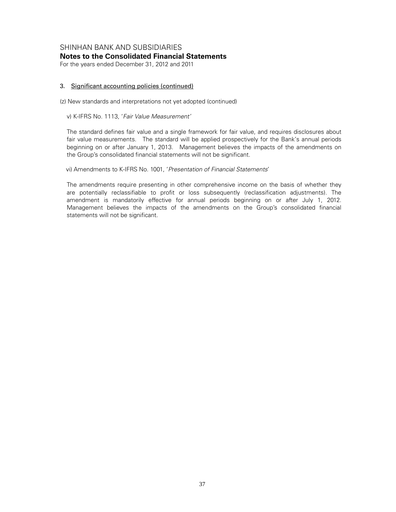For the years ended December 31, 2012 and 2011

## 3. Significant accounting policies (continued)

(z) New standards and interpretations not yet adopted (continued)

v) K-IFRS No. 1113, '*Fair Value Measurement'*

The standard defines fair value and a single framework for fair value, and requires disclosures about fair value measurements. The standard will be applied prospectively for the Bank's annual periods beginning on or after January 1, 2013. Management believes the impacts of the amendments on the Group's consolidated financial statements will not be significant.

vi) Amendments to K-IFRS No. 1001, '*Presentation of Financial Statements*'

The amendments require presenting in other comprehensive income on the basis of whether they are potentially reclassifiable to profit or loss subsequently (reclassification adjustments). The amendment is mandatorily effective for annual periods beginning on or after July 1, 2012. Management believes the impacts of the amendments on the Group's consolidated financial statements will not be significant.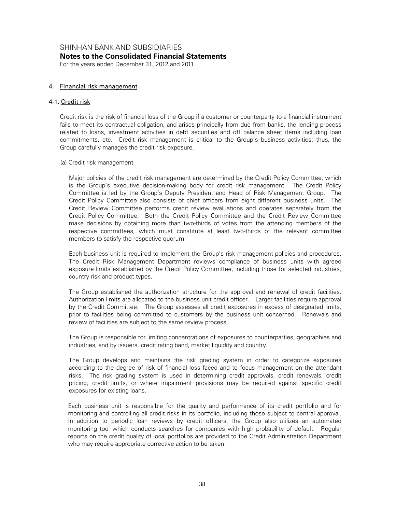For the years ended December 31, 2012 and 2011

## 4. Financial risk management

#### 4-1. Credit risk

Credit risk is the risk of financial loss of the Group if a customer or counterparty to a financial instrument fails to meet its contractual obligation, and arises principally from due from banks, the lending process related to loans, investment activities in debt securities and off balance sheet items including loan commitments, etc. Credit risk management is critical to the Group's business activities; thus, the Group carefully manages the credit risk exposure.

#### (a) Credit risk management

Major policies of the credit risk management are determined by the Credit Policy Committee, which is the Group's executive decision-making body for credit risk management. The Credit Policy Committee is led by the Group's Deputy President and Head of Risk Management Group. The Credit Policy Committee also consists of chief officers from eight different business units. The Credit Review Committee performs credit review evaluations and operates separately from the Credit Policy Committee. Both the Credit Policy Committee and the Credit Review Committee make decisions by obtaining more than two-thirds of votes from the attending members of the respective committees, which must constitute at least two-thirds of the relevant committee members to satisfy the respective quorum.

Each business unit is required to implement the Group's risk management policies and procedures. The Credit Risk Management Department reviews compliance of business units with agreed exposure limits established by the Credit Policy Committee, including those for selected industries, country risk and product types.

The Group established the authorization structure for the approval and renewal of credit facilities. Authorization limits are allocated to the business unit credit officer. Larger facilities require approval by the Credit Committee. The Group assesses all credit exposures in excess of designated limits, prior to facilities being committed to customers by the business unit concerned. Renewals and review of facilities are subject to the same review process.

The Group is responsible for limiting concentrations of exposures to counterparties, geographies and industries, and by issuers, credit rating band, market liquidity and country.

The Group develops and maintains the risk grading system in order to categorize exposures according to the degree of risk of financial loss faced and to focus management on the attendant risks. The risk grading system is used in determining credit approvals, credit renewals, credit pricing, credit limits, or where impairment provisions may be required against specific credit exposures for existing loans.

Each business unit is responsible for the quality and performance of its credit portfolio and for monitoring and controlling all credit risks in its portfolio, including those subject to central approval. In addition to periodic loan reviews by credit officers, the Group also utilizes an automated monitoring tool which conducts searches for companies with high probability of default. Regular reports on the credit quality of local portfolios are provided to the Credit Administration Department who may require appropriate corrective action to be taken.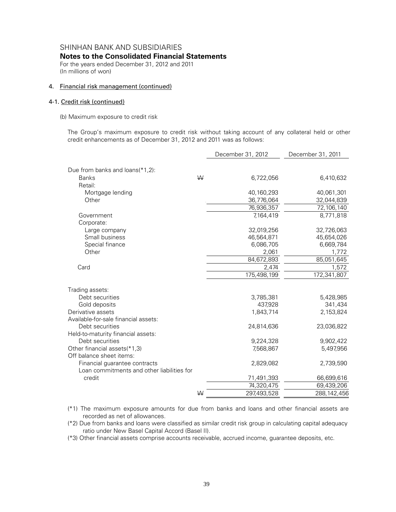(In millions of won)

#### 4. Financial risk management (continued)

#### 4-1. Credit risk (continued)

#### (b) Maximum exposure to credit risk

The Group's maximum exposure to credit risk without taking account of any collateral held or other credit enhancements as of December 31, 2012 and 2011 was as follows:

|                                            | December 31, 2012 | December 31, 2011 |
|--------------------------------------------|-------------------|-------------------|
| Due from banks and loans(*1,2):            |                   |                   |
| W<br><b>Banks</b><br>Retail:               | 6,722,056         | 6,410,632         |
| Mortgage lending                           | 40,160,293        | 40,061,301        |
| Other                                      | 36,776,064        | 32,044,839        |
|                                            | 76,936,357        | 72,106,140        |
| Government<br>Corporate:                   | 7,164,419         | 8,771,818         |
| Large company                              | 32,019,256        | 32,726,063        |
| Small business                             | 46,564,871        | 45,654,026        |
| Special finance                            | 6,086,705         | 6,669,784         |
| Other                                      | 2,061             | 1,772             |
|                                            | 84,672,893        | 85,051,645        |
| Card                                       | 2,474             | 1,572             |
|                                            | 175,498,199       | 172,341,807       |
| Trading assets:                            |                   |                   |
| Debt securities                            | 3,785,381         | 5,428,985         |
| Gold deposits                              | 437,928           | 341,434           |
| Derivative assets                          | 1,843,714         | 2,153,824         |
| Available-for-sale financial assets:       |                   |                   |
| Debt securities                            | 24,814,636        | 23,036,822        |
| Held-to-maturity financial assets:         |                   |                   |
| Debt securities                            | 9,224,328         | 9,902,422         |
| Other financial assets(*1,3)               | 7,568,867         | 5,497,956         |
| Off balance sheet items:                   |                   |                   |
| Financial guarantee contracts              | 2,829,082         | 2,739,590         |
| Loan commitments and other liabilities for |                   |                   |
| credit                                     | 71,491,393        | 66,699,616        |
|                                            | 74,320,475        | 69,439,206        |
| W                                          | 297,493,528       | 288, 142, 456     |

(\*1) The maximum exposure amounts for due from banks and loans and other financial assets are recorded as net of allowances.

(\*2) Due from banks and loans were classified as similar credit risk group in calculating capital adequacy ratio under New Basel Capital Accord (Basel II).

(\*3) Other financial assets comprise accounts receivable, accrued income, guarantee deposits, etc.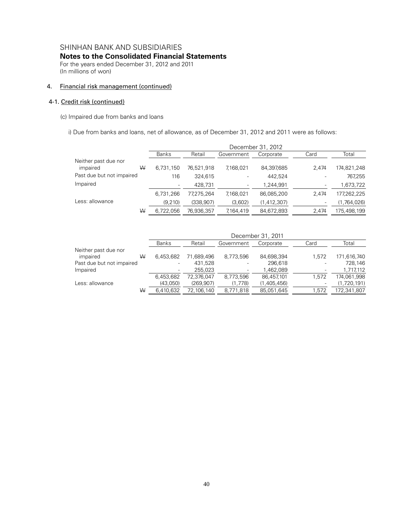# 4. Financial risk management (continued)

## 4-1. Credit risk (continued)

(c) Impaired due from banks and loans

i) Due from banks and loans, net of allowance, as of December 31, 2012 and 2011 were as follows:

|                                  |   | December 31, 2012 |            |            |               |       |             |  |  |
|----------------------------------|---|-------------------|------------|------------|---------------|-------|-------------|--|--|
|                                  |   | <b>Banks</b>      | Retail     | Government | Corporate     | Card  | Total       |  |  |
| Neither past due nor<br>impaired | W | 6.731.150         | 76,521,918 | 7,168,021  | 84,397,685    | 2.474 | 174,821,248 |  |  |
| Past due but not impaired        |   | 116               | 324.615    | ٠          | 442.524       |       | 767.255     |  |  |
| Impaired                         |   |                   | 428,731    | -          | 1,244,991     | ۰     | 1,673,722   |  |  |
|                                  |   | 6,731,266         | 77,275,264 | 7,168,021  | 86,085,200    | 2.474 | 177,262,225 |  |  |
| Less: allowance                  |   | (9, 210)          | (338, 907) | (3,602)    | (1, 412, 307) | ٠     | (1,764,026) |  |  |
|                                  | W | 6,722,056         | 76,936,357 | 7,164,419  | 84,672,893    | 2.474 | 175.498.199 |  |  |

|                           |   |              | December 31, 2011 |            |             |                          |             |  |  |
|---------------------------|---|--------------|-------------------|------------|-------------|--------------------------|-------------|--|--|
|                           |   | <b>Banks</b> | Retail            | Government | Corporate   | Card                     | Total       |  |  |
| Neither past due nor      |   |              |                   |            |             |                          |             |  |  |
| impaired                  | W | 6.453.682    | 71.689.496        | 8,773,596  | 84,698,394  | 1.572                    | 171,616,740 |  |  |
| Past due but not impaired |   |              | 431,528           | ٠          | 296.618     | ۰                        | 728.146     |  |  |
| Impaired                  |   |              | 255,023           | ٠          | 1,462,089   | $\overline{\phantom{a}}$ | 1,717,112   |  |  |
|                           |   | 6,453,682    | 72.376.047        | 8,773,596  | 86.457.101  | 1.572                    | 174.061.998 |  |  |
| Less: allowance           |   | (43,050)     | (269, 907)        | (1,778)    | (1,405,456) | $\overline{\phantom{a}}$ | (1,720,191) |  |  |
|                           | ₩ | 6.410.632    | 72.106.140        | 8,771,818  | 85,051,645  | 1.572                    | 172.341.807 |  |  |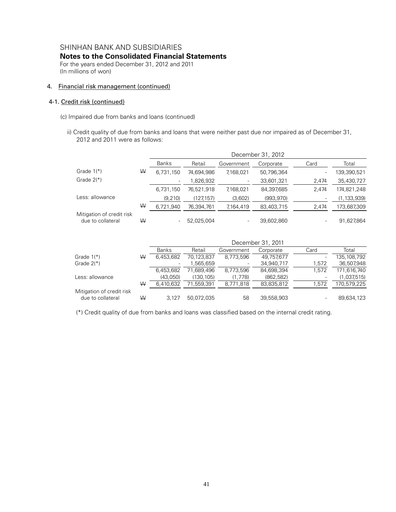#### 4. Financial risk management (continued)

## 4-1. Credit risk (continued)

(c) Impaired due from banks and loans (continued)

ii) Credit quality of due from banks and loans that were neither past due nor impaired as of December 31, 2012 and 2011 were as follows:

|                                                |   |                          | December 31, 2012 |            |            |                          |               |  |  |
|------------------------------------------------|---|--------------------------|-------------------|------------|------------|--------------------------|---------------|--|--|
|                                                |   | <b>Banks</b>             | Retail            | Government | Corporate  | Card                     | Total         |  |  |
| Grade $1(*)$                                   | W | 6,731,150                | 74,694,986        | 7,168,021  | 50,796,364 |                          | 139,390,521   |  |  |
| Grade $2(*)$                                   |   | $\overline{\phantom{a}}$ | 1,826,932         | ٠          | 33,601,321 | 2,474                    | 35,430,727    |  |  |
|                                                |   | 6,731,150                | 76,521,918        | 7,168,021  | 84,397,685 | 2.474                    | 174,821,248   |  |  |
| Less: allowance                                |   | (9, 210)                 | (127, 157)        | (3,602)    | (993, 970) | $\overline{\phantom{a}}$ | (1, 133, 939) |  |  |
|                                                | W | 6,721,940                | 76,394,761        | 7,164,419  | 83,403,715 | 2,474                    | 173,687,309   |  |  |
| Mitigation of credit risk<br>due to collateral | W |                          | 52,025,004        | ٠          | 39,602,860 | $\overline{\phantom{a}}$ | 91,627,864    |  |  |

|                           |   |              | December 31, 2011 |                          |            |                          |               |  |  |
|---------------------------|---|--------------|-------------------|--------------------------|------------|--------------------------|---------------|--|--|
|                           |   | <b>Banks</b> | Retail            | Government               | Corporate  | Card                     | Total         |  |  |
| Grade $1(*)$              | W | 6.453.682    | 70,123,837        | 8,773,596                | 49,757,677 | $\overline{\phantom{a}}$ | 135, 108, 792 |  |  |
| Grade $2(*)$              |   |              | ,565,659          | $\overline{\phantom{a}}$ | 34,940,717 | 1,572                    | 36,507,948    |  |  |
|                           |   | 6,453,682    | 71.689.496        | 8,773,596                | 84,698,394 | 1.572                    | 171.616.740   |  |  |
| Less: allowance           |   | (43,050)     | (130,105)         | (1,778)                  | (862, 582) | $\overline{\phantom{a}}$ | (1,037,515)   |  |  |
|                           | W | 6,410,632    | 71,559,391        | 8,771,818                | 83,835,812 | 1.572                    | 170,579,225   |  |  |
| Mitigation of credit risk |   |              |                   |                          |            |                          |               |  |  |
| due to collateral         | W | 3.127        | 50.072.035        | 58                       | 39,558,903 | -                        | 89,634,123    |  |  |

(\*) Credit quality of due from banks and loans was classified based on the internal credit rating.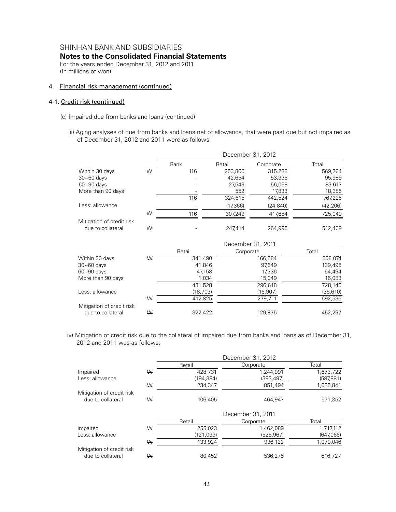#### 4. Financial risk management (continued)

#### 4-1. Credit risk (continued)

(c) Impaired due from banks and loans (continued)

iii) Aging analyses of due from banks and loans net of allowance, that were past due but not impaired as of December 31, 2012 and 2011 were as follows:

|                                                |   | December 31, 2012 |                   |           |           |  |  |
|------------------------------------------------|---|-------------------|-------------------|-----------|-----------|--|--|
|                                                |   | Bank              | Retail            | Corporate | Total     |  |  |
| Within 30 days                                 | W | 116               | 253,860           | 315.288   | 569,264   |  |  |
| $30 - 60$ days                                 |   |                   | 42,654            | 53,335    | 95,989    |  |  |
| $60 - 90$ days                                 |   |                   | 27,549            | 56,068    | 83,617    |  |  |
| More than 90 days                              |   |                   | 552               | 17,833    | 18,385    |  |  |
|                                                |   | 116               | 324,615           | 442,524   | 767,225   |  |  |
| Less: allowance                                |   |                   | (17, 366)         | (24,840)  | (42, 206) |  |  |
|                                                | W | 116               | 307,249           | 417,684   | 725,049   |  |  |
| Mitigation of credit risk<br>due to collateral | W |                   | 247,414           | 264,995   | 512,409   |  |  |
|                                                |   |                   | December 31, 2011 |           |           |  |  |
|                                                |   | Retail            | Corporate         |           | Total     |  |  |
| Within 30 days                                 | W | 341,490           |                   | 166,584   | 508,074   |  |  |
| $30 - 60$ days                                 |   | 41,846            |                   | 97,649    | 139,495   |  |  |
| $60 - 90$ days                                 |   | 47,158            |                   | 17,336    | 64,494    |  |  |
| More than 90 days                              |   | 1,034             |                   | 15,049    | 16,083    |  |  |
|                                                |   | 431,528           |                   | 296,618   | 728,146   |  |  |
| Less: allowance                                |   | (18, 703)         |                   | (16, 907) | (35, 610) |  |  |
|                                                | W | 412,825           |                   | 279,711   | 692,536   |  |  |
| Mitigation of credit risk<br>due to collateral | W | 322,422           |                   | 129,875   | 452,297   |  |  |

iv) Mitigation of credit risk due to the collateral of impaired due from banks and loans as of December 31, 2012 and 2011 was as follows:

|                                                |   |            | December 31, 2012 |            |
|------------------------------------------------|---|------------|-------------------|------------|
|                                                |   | Retail     | Corporate         | Total      |
| Impaired                                       | W | 428.731    | 1,244,991         | 1,673,722  |
| Less: allowance                                |   | (194.384)  | (393, 497)        | (587, 881) |
|                                                | W | 234,347    | 851,494           | 1,085,841  |
| Mitigation of credit risk                      |   |            |                   |            |
| due to collateral                              | W | 106.405    | 464.947           | 571,352    |
|                                                |   |            | December 31, 2011 |            |
|                                                |   | Retail     | Corporate         | Total      |
| Impaired                                       | ₩ |            |                   |            |
|                                                |   | 255,023    | 1,462,089         | 1,717,112  |
| Less: allowance                                |   | (121, 099) | (525, 967)        | (647,066)  |
|                                                | W | 133,924    | 936,122           | 1,070,046  |
| Mitigation of credit risk<br>due to collateral | W | 80.452     | 536.275           | 616,727    |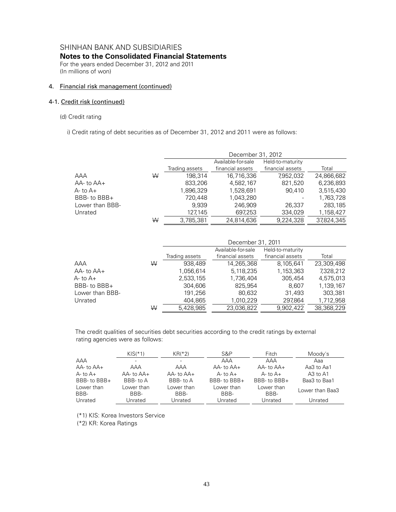#### 4. Financial risk management (continued)

## 4-1. Credit risk (continued)

# (d) Credit rating

i) Credit rating of debt securities as of December 31, 2012 and 2011 were as follows:

|                  |   | December 31, 2012 |                                        |                  |            |  |  |  |  |  |
|------------------|---|-------------------|----------------------------------------|------------------|------------|--|--|--|--|--|
|                  |   |                   | Available-for-sale<br>Held-to-maturity |                  |            |  |  |  |  |  |
|                  |   | Trading assets    | financial assets                       | financial assets | Total      |  |  |  |  |  |
| <b>AAA</b>       | W | 198.314           | 16.716.336                             | 7,952,032        | 24.866.682 |  |  |  |  |  |
| $AA$ - to $AA$ + |   | 833.206           | 4,582,167                              | 821,520          | 6,236,893  |  |  |  |  |  |
| $A$ - to $A$ +   |   | 1,896,329         | 1,528,691                              | 90.410           | 3,515,430  |  |  |  |  |  |
| BBB- to BBB+     |   | 720.448           | 1,043,280                              |                  | 1,763,728  |  |  |  |  |  |
| Lower than BBB-  |   | 9,939             | 246.909                                | 26.337           | 283,185    |  |  |  |  |  |
| Unrated          |   | 127,145           | 697,253                                | 334,029          | 1,158,427  |  |  |  |  |  |
|                  | W | 3,785,381         | 24,814,636                             | 9,224,328        | 37,824,345 |  |  |  |  |  |

|                  |   |                | December 31, 2011                      |                  |            |  |  |  |  |
|------------------|---|----------------|----------------------------------------|------------------|------------|--|--|--|--|
|                  |   |                | Available-for-sale<br>Held-to-maturity |                  |            |  |  |  |  |
|                  |   | Trading assets | financial assets                       | financial assets | Total      |  |  |  |  |
| <b>AAA</b>       | W | 938.489        | 14,265,368                             | 8.105.641        | 23.309.498 |  |  |  |  |
| $AA$ - to $AA$ + |   | 1,056,614      | 5,118,235                              | 1,153,363        | 7,328,212  |  |  |  |  |
| $A$ - to $A$ +   |   | 2,533,155      | 1,736,404                              | 305,454          | 4,575,013  |  |  |  |  |
| BBB- to BBB+     |   | 304,606        | 825,954                                | 8.607            | 1,139,167  |  |  |  |  |
| Lower than BBB-  |   | 191.256        | 80,632                                 | 31,493           | 303,381    |  |  |  |  |
| Unrated          |   | 404,865        | 1,010,229                              | 297,864          | 1,712,958  |  |  |  |  |
|                  | W | 5,428,985      | 23,036,822                             | 9.902.422        | 38,368,229 |  |  |  |  |

The credit qualities of securities debt securities according to the credit ratings by external rating agencies were as follows:

|                | $KIS(*1)$        | $KR(*2)$         | S&P              | Fitch            | Moody's         |
|----------------|------------------|------------------|------------------|------------------|-----------------|
| AAA            |                  | -                | <b>AAA</b>       | AAA              | Ааа             |
| $AA-$ to $AA+$ | AAA              | AAA              | $AA$ - to $AA$ + | $AA$ - to $AA$ + | Aa3 to Aa1      |
| $A - t_0 A +$  | $AA$ - to $AA$ + | $AA$ - to $AA$ + | $A - t_0 A +$    | $A - t_0 A +$    | $A3$ to $A1$    |
| BBB- to BBB+   | BBB-to A         | BBB-to A         | BBB-to BBB+      | BBB-to BBB+      | Baa3 to Baa1    |
| Lower than     | Lower than       | Lower than       | Lower than       | Lower than       | Lower than Baa3 |
| BBB-           | BBB-             | BBB-             | BBB-             | BBB-             |                 |
| Unrated        | Jnrated          | Unrated          | Unrated          | Unrated          | Unrated         |

(\*1) KIS: Korea Investors Service

(\*2) KR: Korea Ratings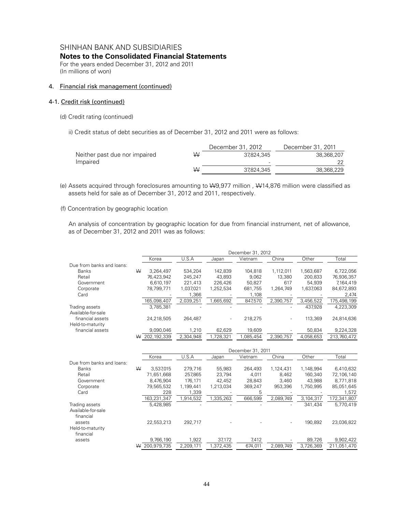#### 4. Financial risk management (continued)

#### 4-1. Credit risk (continued)

(d) Credit rating (continued)

ii) Credit status of debt securities as of December 31, 2012 and 2011 were as follows:

|                               |   | December 31, 2012 | December 31, 2011 |
|-------------------------------|---|-------------------|-------------------|
| Neither past due nor impaired | W | 37.824.345        | 38.368.207        |
| Impaired                      |   | -                 |                   |
|                               | W | 37.824.345        | 38,368,229        |

(e) Assets acquired through foreclosures amounting to W9,977 million , W14,876 million were classified as assets held for sale as of December 31, 2012 and 2011, respectively.

#### (f) Concentration by geographic location

An analysis of concentration by geographic location for due from financial instrument, net of allowance, as of December 31, 2012 and 2011 was as follows:

|                                                   |   |               |           |           | December 31, 2012 |           |           |             |
|---------------------------------------------------|---|---------------|-----------|-----------|-------------------|-----------|-----------|-------------|
|                                                   |   | Korea         | U.S.A     | Japan     | Vietnam           | China     | Other     | Total       |
| Due from banks and loans:                         |   |               |           |           |                   |           |           |             |
| <b>Banks</b>                                      | ₩ | 3,264,497     | 534,204   | 142,839   | 104,818           | 1,112,011 | 1,563,687 | 6,722,056   |
| Retail                                            |   | 76,423,942    | 245,247   | 43,893    | 9,062             | 13,380    | 200,833   | 76,936,357  |
| Government                                        |   | 6,610,197     | 221,413   | 226,426   | 50,827            | 617       | 54,939    | 7,164,419   |
| Corporate                                         |   | 78,799,771    | 1,037,021 | 1,252,534 | 681,755           | 1,264,749 | 1,637,063 | 84,672,893  |
| Card                                              |   |               | 1,366     |           | 1,108             |           |           | 2,474       |
|                                                   |   | 165,098,407   | 2,039,251 | 1,665,692 | 847,570           | 2,390,757 | 3,456,522 | 175,498,199 |
| Trading assets<br>Available-for-sale              |   | 3,785,381     |           |           |                   |           | 437,928   | 4,223,309   |
| financial assets<br>Held-to-maturity              |   | 24,218,505    | 264,487   |           | 218,275           |           | 113,369   | 24,814,636  |
| financial assets                                  |   | 9,090,046     | 1,210     | 62,629    | 19,609            |           | 50,834    | 9,224,328   |
|                                                   | W | 202,192,339   | 2,304,948 | 1,728,321 | 1,085,454         | 2,390,757 | 4,058,653 | 213,760,472 |
|                                                   |   |               |           |           | December 31, 2011 |           |           |             |
|                                                   |   | Korea         | U.S.A     | Japan     | Vietnam           | China     | Other     | Total       |
| Due from banks and loans:                         |   |               |           |           |                   |           |           |             |
| Banks                                             | W | 3,537,015     | 279,716   | 55,983    | 264,493           | 1,124,431 | 1,148,994 | 6,410,632   |
| Retail                                            |   | 71,651,668    | 257,865   | 23,794    | 4,011             | 8,462     | 160,340   | 72,106,140  |
| Government                                        |   | 8,476,904     | 176,171   | 42,452    | 28,843            | 3,460     | 43,988    | 8,771,818   |
| Corporate                                         |   | 79,565,532    | 1,199,441 | 1,213,034 | 369,247           | 953,396   | 1,750,995 | 85,051,645  |
| Card                                              |   | 228           | 1,339     |           | 5                 |           |           | 1,572       |
|                                                   |   | 163,231,347   | 1,914,532 | 1,335,263 | 666,599           | 2,089,749 | 3,104,317 | 172,341,807 |
| Trading assets<br>Available-for-sale<br>financial |   | 5,428,985     |           |           |                   |           | 341,434   | 5,770,419   |
| assets                                            |   | 22,553,213    | 292,717   |           |                   |           | 190,892   | 23,036,822  |
| Held-to-maturity<br>financial                     |   |               |           |           |                   |           |           |             |
| assets                                            |   | 9,766,190     | 1.922     | 37,172    | 7,412             |           | 89,726    | 9,902,422   |
|                                                   |   | W 200.979.735 | 2,209,171 | 1,372,435 | 674,011           | 2,089,749 | 3,726,369 | 211,051,470 |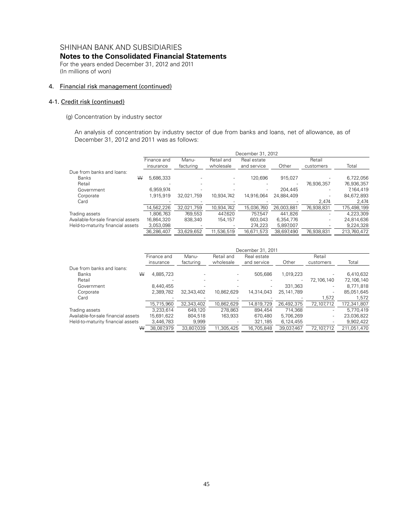#### 4. Financial risk management (continued)

# 4-1. Credit risk (continued)

# (g) Concentration by industry sector

An analysis of concentration by industry sector of due from banks and loans, net of allowance, as of December 31, 2012 and 2011 was as follows:

|                                     |             |            |            | December 31, 2012 |                          |            |             |
|-------------------------------------|-------------|------------|------------|-------------------|--------------------------|------------|-------------|
|                                     | Finance and | Manu-      | Retail and | Real estate       |                          | Retail     |             |
|                                     | insurance   | facturing  | wholesale  | and service       | Other                    | customers  | Total       |
| Due from banks and loans:           |             |            |            |                   |                          |            |             |
| ₩<br><b>Banks</b>                   | 5,686,333   |            |            | 120.696           | 915,027                  |            | 6,722,056   |
| Retail                              |             |            |            |                   | $\overline{\phantom{a}}$ | 76,936,357 | 76,936,357  |
| Government                          | 6.959.974   |            |            |                   | 204.445                  |            | 7.164.419   |
| Corporate                           | 1,915,919   | 32.021.759 | 10.934.742 | 14,916,064        | 24.884.409               |            | 84,672,893  |
| Card                                |             |            |            |                   |                          | 2.474      | 2,474       |
|                                     | 14,562,226  | 32.021.759 | 10,934,742 | 15.036.760        | 26,003,881               | 76,938,831 | 175,498,199 |
| Trading assets                      | .806.763    | 769.553    | 447.620    | 757.547           | 441.826                  |            | 4,223,309   |
| Available-for-sale financial assets | 16.864.320  | 838,340    | 154,157    | 603.043           | 6.354.776                |            | 24,814,636  |
| Held-to-maturity financial assets   | 3,053,098   |            |            | 274.223           | 5,897,007                |            | 9,224,328   |
|                                     | 36,286,407  | 33,629,652 | 11,536,519 | 16.671.573        | 38.697.490               | 76,938,831 | 213,760,472 |

|                                     |                          |                    |                         | December 31, 2011          |            |                          |             |
|-------------------------------------|--------------------------|--------------------|-------------------------|----------------------------|------------|--------------------------|-------------|
|                                     | Finance and<br>insurance | Manu-<br>facturing | Retail and<br>wholesale | Real estate<br>and service | Other      | Retail<br>customers      | Total       |
| Due from banks and loans:           |                          |                    |                         |                            |            |                          |             |
| W<br><b>Banks</b>                   | 4.885.723                |                    |                         | 505.686                    | 1.019.223  |                          | 6,410,632   |
| Retail                              |                          |                    |                         |                            |            | 72.106.140               | 72,106,140  |
| Government                          | 8.440.455                |                    |                         | $\overline{\phantom{a}}$   | 331.363    | $\overline{\phantom{a}}$ | 8.771.818   |
| Corporate                           | 2.389.782                | 32.343.402         | 10.862.629              | 14.314.043                 | 25.141.789 |                          | 85.051.645  |
| Card                                |                          |                    |                         |                            |            | 1.572                    | 1.572       |
|                                     | 15,715,960               | 32.343.402         | 10,862,629              | 14.819.729                 | 26.492.375 | 72.107.712               | 172,341,807 |
| Trading assets                      | 3.233.614                | 649.120            | 278.863                 | 894.454                    | 714.368    | $\overline{\phantom{0}}$ | 5.770.419   |
| Available-for-sale financial assets | 15.691.622               | 804.518            | 163.933                 | 670.480                    | 5.706.269  | ٠                        | 23,036,822  |
| Held-to-maturity financial assets   | 3,446,783                | 9,999              |                         | 321,185                    | 6,124,455  |                          | 9,902,422   |
| W                                   | 38,087,979               | 33.807.039         | 11.305.425              | 16,705,848                 | 39.037.467 | 72,107,712               | 211.051.470 |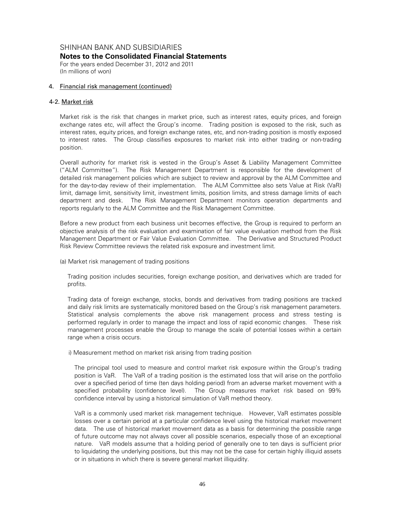#### 4. Financial risk management (continued)

#### 4-2. Market risk

Market risk is the risk that changes in market price, such as interest rates, equity prices, and foreign exchange rates etc, will affect the Group's income. Trading position is exposed to the risk, such as interest rates, equity prices, and foreign exchange rates, etc, and non-trading position is mostly exposed to interest rates. The Group classifies exposures to market risk into either trading or non-trading position.

Overall authority for market risk is vested in the Group's Asset & Liability Management Committee ("ALM Committee"). The Risk Management Department is responsible for the development of detailed risk management policies which are subject to review and approval by the ALM Committee and for the day-to-day review of their implementation. The ALM Committee also sets Value at Risk (VaR) limit, damage limit, sensitivity limit, investment limits, position limits, and stress damage limits of each department and desk. The Risk Management Department monitors operation departments and reports regularly to the ALM Committee and the Risk Management Committee.

Before a new product from each business unit becomes effective, the Group is required to perform an objective analysis of the risk evaluation and examination of fair value evaluation method from the Risk Management Department or Fair Value Evaluation Committee. The Derivative and Structured Product Risk Review Committee reviews the related risk exposure and investment limit.

(a) Market risk management of trading positions

Trading position includes securities, foreign exchange position, and derivatives which are traded for profits.

Trading data of foreign exchange, stocks, bonds and derivatives from trading positions are tracked and daily risk limits are systematically monitored based on the Group's risk management parameters. Statistical analysis complements the above risk management process and stress testing is performed regularly in order to manage the impact and loss of rapid economic changes. These risk management processes enable the Group to manage the scale of potential losses within a certain range when a crisis occurs.

#### i) Measurement method on market risk arising from trading position

The principal tool used to measure and control market risk exposure within the Group's trading position is VaR. The VaR of a trading position is the estimated loss that will arise on the portfolio over a specified period of time (ten days holding period) from an adverse market movement with a specified probability (confidence level). The Group measures market risk based on 99% confidence interval by using a historical simulation of VaR method theory.

VaR is a commonly used market risk management technique. However, VaR estimates possible losses over a certain period at a particular confidence level using the historical market movement data. The use of historical market movement data as a basis for determining the possible range of future outcome may not always cover all possible scenarios, especially those of an exceptional nature. VaR models assume that a holding period of generally one to ten days is sufficient prior to liquidating the underlying positions, but this may not be the case for certain highly illiquid assets or in situations in which there is severe general market illiquidity.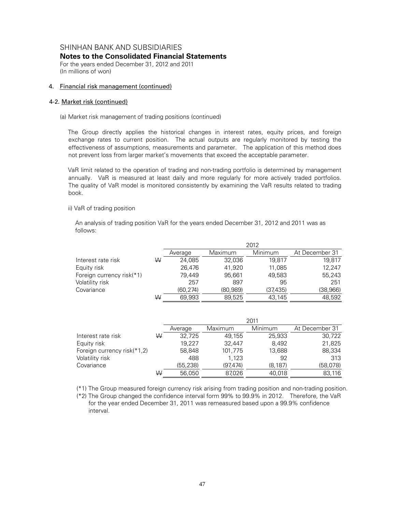#### 4. Financial risk management (continued)

#### 4-2. Market risk (continued)

#### (a) Market risk management of trading positions (continued)

The Group directly applies the historical changes in interest rates, equity prices, and foreign exchange rates to current position. The actual outputs are regularly monitored by testing the effectiveness of assumptions, measurements and parameter. The application of this method does not prevent loss from larger market's movements that exceed the acceptable parameter.

VaR limit related to the operation of trading and non-trading portfolio is determined by management annually. VaR is measured at least daily and more regularly for more actively traded portfolios. The quality of VaR model is monitored consistently by examining the VaR results related to trading book.

#### ii) VaR of trading position

An analysis of trading position VaR for the years ended December 31, 2012 and 2011 was as follows:

|                           |   |           |           | 2012      |                |
|---------------------------|---|-----------|-----------|-----------|----------------|
|                           |   | Average   | Maximum   | Minimum   | At December 31 |
| Interest rate risk        | W | 24,085    | 32,036    | 19.817    | 19.817         |
| Equity risk               |   | 26,476    | 41,920    | 11,085    | 12.247         |
| Foreign currency risk(*1) |   | 79,449    | 95,661    | 49,583    | 55,243         |
| Volatility risk           |   | 257       | 897       | 95        | 251            |
| Covariance                |   | (60, 274) | (80, 989) | (37, 435) | (38, 966)      |
|                           | W | 69,993    | 89,525    | 43,145    | 48,592         |

|                             |   |          |           | 2011     |                |
|-----------------------------|---|----------|-----------|----------|----------------|
|                             |   | Average  | Maximum   | Minimum  | At December 31 |
| Interest rate risk          | W | 32,725   | 49.155    | 25,933   | 30,722         |
| Equity risk                 |   | 19.227   | 32,447    | 8,492    | 21,825         |
| Foreign currency risk(*1,2) |   | 58,848   | 101,775   | 13,688   | 88,334         |
| Volatility risk             |   | 488      | 1.123     | 92       | 313            |
| Covariance                  |   | (55,238) | (97, 474) | (8, 187) | (58,078)       |
|                             | W | 56,050   | 87,026    | 40.018   | 83.116         |

(\*1) The Group measured foreign currency risk arising from trading position and non-trading position.

(\*2) The Group changed the confidence interval form 99% to 99.9% in 2012. Therefore, the VaR for the year ended December 31, 2011 was remeasured based upon a 99.9% confidence interval.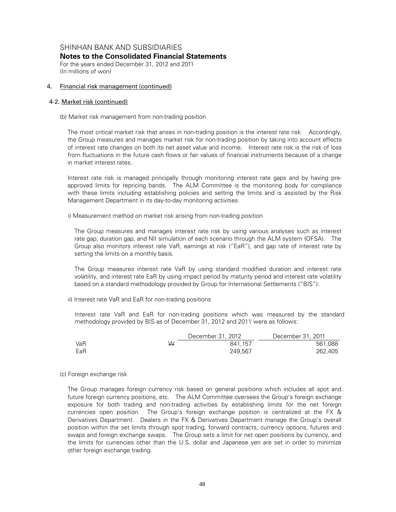#### 4. Financial risk management (continued)

#### 4-2. Market risk (continued)

(b) Market risk management from non-trading position

The most critical market risk that arises in non-trading position is the interest rate risk. Accordingly, the Group measures and manages market risk for non-trading position by taking into account effects of interest rate changes on both its net asset value and income. Interest rate risk is the risk of loss from fluctuations in the future cash flows or fair values of financial instruments because of a change in market interest rates.

Interest rate risk is managed principally through monitoring interest rate gaps and by having preapproved limits for repricing bands. The ALM Committee is the monitoring body for compliance with these limits including establishing policies and setting the limits and is assisted by the Risk Management Department in its day-to-day monitoring activities.

i) Measurement method on market risk arising from non-trading position

The Group measures and manages interest rate risk by using various analyses such as interest rate gap, duration gap, and NII simulation of each scenario through the ALM system (OFSA). The Group also monitors interest rate VaR, earnings at risk ("EaR"), and gap rate of interest rate by setting the limits on a monthly basis.

The Group measures interest rate VaR by using standard modified duration and interest rate volatility, and interest rate EaR by using impact period by maturity period and interest rate volatility based on a standard methodology provided by Group for International Settlements ("BIS").

#### ii) Interest rate VaR and EaR for non-trading positions

Interest rate VaR and EaR for non-trading positions which was measured by the standard methodology provided by BIS as of December 31, 2012 and 2011 were as follows:

|     |   | December 31, 2012 | December 31, 2011 |
|-----|---|-------------------|-------------------|
| VaR | W | 841.157           | 561.088           |
| EaR |   | 249.567           | 262.405           |

#### (c) Foreign exchange risk

The Group manages foreign currency risk based on general positions which includes all spot and future foreign currency positions, etc. The ALM Committee oversees the Group's foreign exchange exposure for both trading and non-trading activities by establishing limits for the net foreign currencies open position. The Group's foreign exchange position is centralized at the FX & Derivatives Department. Dealers in the FX & Derivatives Department manage the Group's overall position within the set limits through spot trading, forward contracts, currency options, futures and swaps and foreign exchange swaps. The Group sets a limit for net open positions by currency, and the limits for currencies other than the U.S. dollar and Japanese yen are set in order to minimize other foreign exchange trading.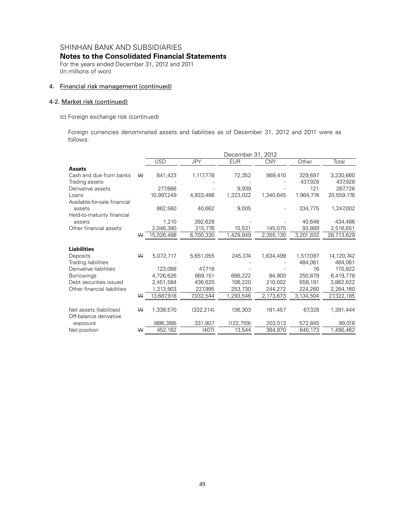# 4. Financial risk management (continued)

# 4-2. Market risk (continued)

# (c) Foreign exchange risk (continued)

Foreign currencies denominated assets and liabilities as of December 31, 2012 and 2011 were as follows:

|                                                    |   |            |            | December 31, 2012 |            |           |              |
|----------------------------------------------------|---|------------|------------|-------------------|------------|-----------|--------------|
|                                                    |   | <b>USD</b> | <b>JPY</b> | <b>EUR</b>        | <b>CNY</b> | Other     | Total        |
| <b>Assets</b>                                      |   |            |            |                   |            |           |              |
| Cash and due from banks                            | ₩ | 841,423    | 1,117,778  | 72,352            | 869,410    | 329,697   | 3,230,660    |
| Trading assets                                     |   |            |            |                   |            | 437,928   | 437,928      |
| Derivative assets                                  |   | 277,666    |            | 9,939             |            | 121       | 287,726      |
| Loans                                              |   | 10,997,249 | 4,933,486  | 1,323,022         | 1,340,645  | 1,964,774 | 20,559,176   |
| Available-for-sale financial                       |   |            |            |                   |            |           |              |
| assets                                             |   | 862,560    | 40,662     | 9,005             |            | 334,775   | 1,247,002    |
| Held-to-maturity financial                         |   |            |            |                   |            |           |              |
| assets                                             |   | 1,210      | 392,628    |                   |            | 40.648    | 434,486      |
| Other financial assets                             |   | 2,046,380  | 215,776    | 15,531            | 145,075    | 93,889    | 2,516,651    |
|                                                    | ₩ | 15,026,488 | 6,700,330  | 1,429,849         | 2,355,130  | 3,201,832 | 28,713,629   |
|                                                    |   |            |            |                   |            |           |              |
| <b>Liabilities</b>                                 |   |            |            |                   |            |           |              |
| Deposits                                           | W | 5,072,717  | 5,651,055  | 245,374           | 1,634,499  | 1,517,097 | 14, 120, 742 |
| Trading liabilities                                |   |            |            |                   |            | 484,061   | 484,061      |
| Derivative liabilities                             |   | 123,088    | 47.718     |                   |            | 16        | 170,822      |
| <b>Borrowings</b>                                  |   | 4,726,626  | 669,151    | 688.222           | 84.900     | 250,879   | 6,419,778    |
| Debt securities issued                             |   | 2,451,584  | 436,625    | 106,220           | 210,002    | 658,191   | 3,862,622    |
| Other financial liabilities                        |   | 1,313,903  | 227,995    | 253,730           | 244,272    | 224,260   | 2,264,160    |
|                                                    | ₩ | 13,687,918 | 7,032,544  | 1,293,546         | 2,173,673  | 3,134,504 | 27,322,185   |
|                                                    |   |            |            |                   |            |           |              |
| Net assets (liabilities)<br>Off-balance derivative | ₩ | 1,338,570  | (332, 214) | 136,303           | 181,457    | 67,328    | 1,391,444    |
| exposure                                           |   | (886, 388) | 331,807    | (122.759)         | 203,513    | 572,845   | 99,018       |
| Net position                                       | W | 452,182    | (407)      | 13,544            | 384,970    | 640,173   | 1,490,462    |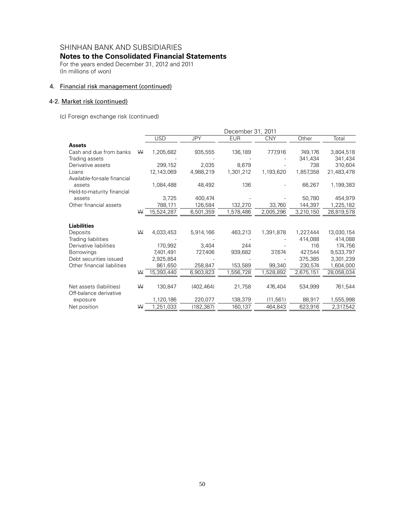# **Notes to the Consolidated Financial Statements**

For the years ended December 31, 2012 and 2011 (In millions of won)

# 4. Financial risk management (continued)

# 4-2. Market risk (continued)

(c) Foreign exchange risk (continued)

|                                                    |   |            |            | December 31, 2011 |            |           |            |
|----------------------------------------------------|---|------------|------------|-------------------|------------|-----------|------------|
|                                                    |   | <b>USD</b> | <b>JPY</b> | <b>EUR</b>        | <b>CNY</b> | Other     | Total      |
| <b>Assets</b>                                      |   |            |            |                   |            |           |            |
| Cash and due from banks                            | ₩ | 1,205,682  | 935,555    | 136,189           | 777,916    | 749,176   | 3,804,518  |
| Trading assets                                     |   |            |            |                   |            | 341,434   | 341,434    |
| Derivative assets                                  |   | 299,152    | 2,035      | 8.679             |            | 738       | 310,604    |
| Loans                                              |   | 12,143,069 | 4,988,219  | 1,301,212         | 1,193,620  | 1,857,358 | 21,483,478 |
| Available-for-sale financial                       |   |            |            |                   |            |           |            |
| assets                                             |   | 1,084,488  | 48,492     | 136               |            | 66,267    | 1,199,383  |
| Held-to-maturity financial                         |   |            |            |                   |            |           |            |
| assets                                             |   | 3,725      | 400,474    |                   |            | 50,780    | 454,979    |
| Other financial assets                             |   | 788,171    | 126,584    | 132,270           | 33,760     | 144,397   | 1,225,182  |
|                                                    | W | 15,524,287 | 6,501,359  | 1,578,486         | 2,005,296  | 3,210,150 | 28,819,578 |
|                                                    |   |            |            |                   |            |           |            |
| <b>Liabilities</b>                                 |   |            |            |                   |            |           |            |
| Deposits                                           | W | 4,033,453  | 5,914,166  | 463,213           | 1,391,878  | 1,227,444 | 13,030,154 |
| <b>Trading liabilities</b>                         |   |            |            |                   |            | 414,088   | 414,088    |
| Derivative liabilities                             |   | 170,992    | 3,404      | 244               |            | 116       | 174.756    |
| <b>Borrowings</b>                                  |   | 7,401,491  | 727,406    | 939,682           | 37,674     | 427,544   | 9,533,797  |
| Debt securities issued                             |   | 2,925,854  |            |                   |            | 375,385   | 3,301,239  |
| Other financial liabilities                        |   | 861,650    | 258,847    | 153,589           | 99,340     | 230,574   | 1,604,000  |
|                                                    | W | 15,393,440 | 6,903,823  | 1,556,728         | 1,528,892  | 2,675,151 | 28,058,034 |
|                                                    |   |            |            |                   |            |           |            |
| Net assets (liabilities)<br>Off-balance derivative | ₩ | 130,847    | (402, 464) | 21,758            | 476.404    | 534.999   | 761,544    |
| exposure                                           |   | 1,120,186  | 220,077    | 138,379           | (11, 561)  | 88,917    | 1,555,998  |
| Net position                                       | W | 1,251,033  | (182, 387) | 160,137           | 464,843    | 623,916   | 2,317,542  |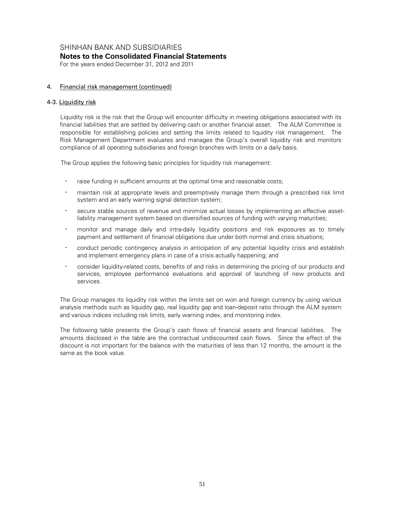For the years ended December 31, 2012 and 2011

# 4. Financial risk management (continued)

## 4-3. Liquidity risk

Liquidity risk is the risk that the Group will encounter difficulty in meeting obligations associated with its financial liabilities that are settled by delivering cash or another financial asset. The ALM Committee is responsible for establishing policies and setting the limits related to liquidity risk management. The Risk Management Department evaluates and manages the Group's overall liquidity risk and monitors compliance of all operating subsidiaries and foreign branches with limits on a daily basis.

The Group applies the following basic principles for liquidity risk management:

- raise funding in sufficient amounts at the optimal time and reasonable costs;
- maintain risk at appropriate levels and preemptively manage them through a prescribed risk limit system and an early warning signal detection system;
- secure stable sources of revenue and minimize actual losses by implementing an effective assetliability management system based on diversified sources of funding with varying maturities;
- monitor and manage daily and intra-daily liquidity positions and risk exposures as to timely payment and settlement of financial obligations due under both normal and crisis situations;
- conduct periodic contingency analysis in anticipation of any potential liquidity crisis and establish and implement emergency plans in case of a crisis actually happening; and
- consider liquidity-related costs, benefits of and risks in determining the pricing of our products and services, employee performance evaluations and approval of launching of new products and services.

The Group manages its liquidity risk within the limits set on won and foreign currency by using various analysis methods such as liquidity gap, real liquidity gap and loan-deposit ratio through the ALM system and various indices including risk limits, early warning index, and monitoring index.

The following table presents the Group's cash flows of financial assets and financial liabilities. The amounts disclosed in the table are the contractual undiscounted cash flows. Since the effect of the discount is not important for the balance with the maturities of less than 12 months, the amount is the same as the book value.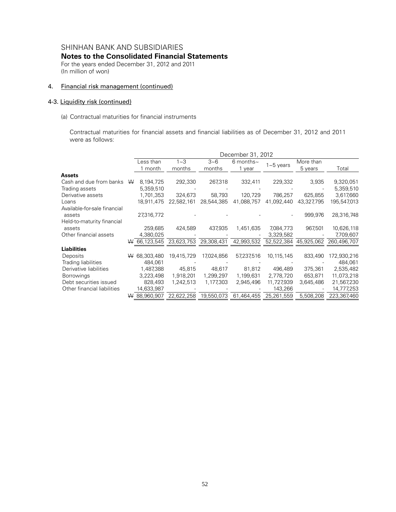#### 4. Financial risk management (continued)

## 4-3. Liquidity risk (continued)

## (a) Contractual maturities for financial instruments

Contractual maturities for financial assets and financial liabilities as of December 31, 2012 and 2011 were as follows:

|                              |   |              |            |            | December 31, 2012 |               |            |             |
|------------------------------|---|--------------|------------|------------|-------------------|---------------|------------|-------------|
|                              |   | Less than    | $1 - 3$    | $3 - 6$    | 6 months $\sim$   | $1 - 5$ years | More than  |             |
|                              |   | 1 month      | months     | months     | 1 year            |               | 5 years    | Total       |
| <b>Assets</b>                |   |              |            |            |                   |               |            |             |
| Cash and due from banks      | W | 8,194,725    | 292,330    | 267,318    | 332,411           | 229,332       | 3,935      | 9,320,051   |
| Trading assets               |   | 5,359,510    |            |            |                   |               |            | 5,359,510   |
| Derivative assets            |   | 1,701,353    | 324,673    | 58,793     | 120,729           | 786,257       | 625,855    | 3,617,660   |
| Loans                        |   | 18,911,475   | 22,582,161 | 28,544,385 | 41,088,757        | 41,092,440    | 43,327,795 | 195,547,013 |
| Available-for-sale financial |   |              |            |            |                   |               |            |             |
| assets                       |   | 27,316,772   |            |            |                   |               | 999,976    | 28,316,748  |
| Held-to-maturity financial   |   |              |            |            |                   |               |            |             |
| assets                       |   | 259,685      | 424,589    | 437,935    | 1,451,635         | 7,084,773     | 967,501    | 10,626,118  |
| Other financial assets       |   | 4,380,025    |            |            |                   | 3,329,582     |            | 7,709,607   |
|                              |   | W 66,123,545 | 23,623,753 | 29,308,431 | 42,993,532        | 52,522,384    | 45,925,062 | 260,496,707 |
| <b>Liabilities</b>           |   |              |            |            |                   |               |            |             |
| Deposits                     | W | 68,303,480   | 19,415,729 | 17,024,856 | 57,237,516        | 10, 115, 145  | 833,490    | 172,930,216 |
| Trading liabilities          |   | 484,061      |            |            |                   |               |            | 484,061     |
| Derivative liabilities       |   | 1,487,388    | 45,815     | 48,617     | 81,812            | 496,489       | 375,361    | 2,535,482   |
| <b>Borrowings</b>            |   | 3,223,498    | 1,918,201  | 1,299,297  | 1,199,631         | 2,778,720     | 653,871    | 11,073,218  |
| Debt securities issued       |   | 828,493      | 1,242,513  | 1,177,303  | 2,945,496         | 11,727,939    | 3,645,486  | 21,567,230  |
| Other financial liabilities  |   | 14,633,987   |            |            |                   | 143,266       |            | 14,777,253  |
|                              | ₩ | 88,960,907   | 22,622,258 | 19,550,073 | 61,464,455        | 25,261,559    | 5,508,208  | 223,367,460 |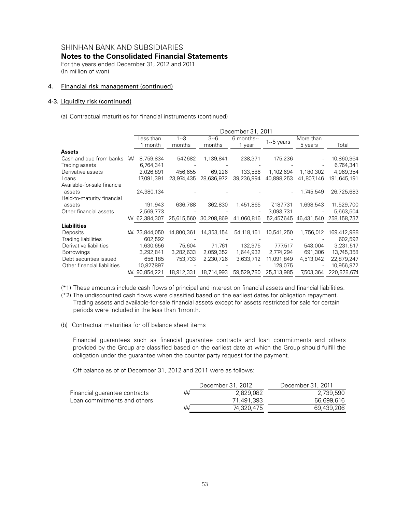#### 4. Financial risk management (continued)

#### 4-3. Liquidity risk (continued)

(a) Contractual maturities for financial instruments (continued)

|                              |   |              |            |            | December 31, 2011 |               |            |             |
|------------------------------|---|--------------|------------|------------|-------------------|---------------|------------|-------------|
|                              |   | Less than    | $1 - 3$    | $3 - 6$    | 6 months $\sim$   |               | More than  |             |
|                              |   | 1 month      | months     | months     | 1 year            | $1 - 5$ years | 5 years    | Total       |
| Assets                       |   |              |            |            |                   |               |            |             |
| Cash and due from banks      | W | 8,759,834    | 547,682    | 1,139,841  | 238,371           | 175,236       |            | 10,860,964  |
| Trading assets               |   | 6,764,341    |            |            |                   |               |            | 6,764,341   |
| Derivative assets            |   | 2,026,891    | 456,655    | 69,226     | 133,586           | 1,102,694     | 1,180,302  | 4,969,354   |
| Loans                        |   | 17,091,391   | 23,974,435 | 28,636,972 | 39,236,994        | 40,898,253    | 41,807,146 | 191,645,191 |
| Available-for-sale financial |   |              |            |            |                   |               |            |             |
| assets                       |   | 24,980,134   |            |            |                   |               | 1,745,549  | 26,725,683  |
| Held-to-maturity financial   |   |              |            |            |                   |               |            |             |
| assets                       |   | 191,943      | 636,788    | 362,830    | 1,451,865         | 7,187,731     | 1,698,543  | 11,529,700  |
| Other financial assets       |   | 2,569,773    |            |            |                   | 3,093,731     |            | 5,663,504   |
|                              |   | W 62,384,307 | 25,615,560 | 30,208,869 | 41,060,816        | 52,457,645    | 46,431,540 | 258,158,737 |
| <b>Liabilities</b>           |   |              |            |            |                   |               |            |             |
| Deposits                     | W | 73,844,050   | 14,800,361 | 14,353,154 | 54, 118, 161      | 10,541,250    | 1,756,012  | 169,412,988 |
| Trading liabilities          |   | 602,592      |            |            |                   |               |            | 602,592     |
| Derivative liabilities       |   | 1,630,656    | 75,604     | 71,761     | 132,975           | 777,517       | 543,004    | 3,231,517   |
| <b>Borrowings</b>            |   | 3,292,841    | 3,282,633  | 2,059,352  | 1,644,932         | 2,774,294     | 691,306    | 13,745,358  |
| Debt securities issued       |   | 656,185      | 753,733    | 2,230,726  | 3,633,712         | 11,091,849    | 4,513,042  | 22,879,247  |
| Other financial liabilities  |   | 10,827,897   |            |            |                   | 129,075       |            | 10,956,972  |
|                              | ₩ | 90,854,221   | 18,912,331 | 18,714,993 | 59,529,780        | 25,313,985    | 7,503,364  | 220,828,674 |

(\*1) These amounts include cash flows of principal and interest on financial assets and financial liabilities.

- (\*2) The undiscounted cash flows were classified based on the earliest dates for obligation repayment. Trading assets and available-for-sale financial assets except for assets restricted for sale for certain periods were included in the less than 1month.
- (b) Contractual maturities for off balance sheet items

Financial guarantees such as financial guarantee contracts and loan commitments and others provided by the Group are classified based on the earliest date at which the Group should fulfill the obligation under the guarantee when the counter party request for the payment.

Off balance as of of December 31, 2012 and 2011 were as follows:

|                               |   | December 31, 2012 | December 31, 2011 |
|-------------------------------|---|-------------------|-------------------|
| Financial guarantee contracts | ₩ | 2.829.082         | 2.739.590         |
| Loan commitments and others   |   | 71.491.393        | 66.699.616        |
|                               | W | 74,320,475        | 69.439.206        |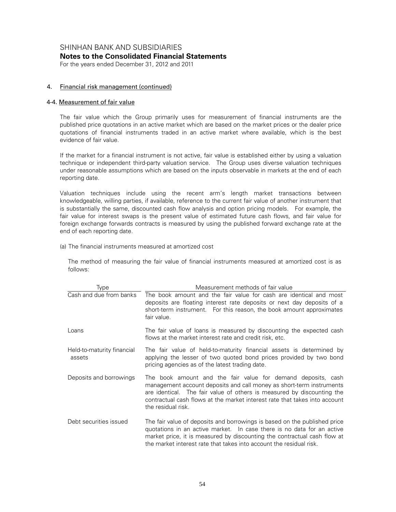For the years ended December 31, 2012 and 2011

## 4. Financial risk management (continued)

#### 4-4. Measurement of fair value

The fair value which the Group primarily uses for measurement of financial instruments are the published price quotations in an active market which are based on the market prices or the dealer price quotations of financial instruments traded in an active market where available, which is the best evidence of fair value.

If the market for a financial instrument is not active, fair value is established either by using a valuation technique or independent third-party valuation service. The Group uses diverse valuation techniques under reasonable assumptions which are based on the inputs observable in markets at the end of each reporting date.

Valuation techniques include using the recent arm's length market transactions between knowledgeable, willing parties, if available, reference to the current fair value of another instrument that is substantially the same, discounted cash flow analysis and option pricing models. For example, the fair value for interest swaps is the present value of estimated future cash flows, and fair value for foreign exchange forwards contracts is measured by using the published forward exchange rate at the end of each reporting date.

(a) The financial instruments measured at amortized cost

The method of measuring the fair value of financial instruments measured at amortized cost is as follows:

| Type                                 | Measurement methods of fair value                                                                                                                                                                                                                                                                                  |
|--------------------------------------|--------------------------------------------------------------------------------------------------------------------------------------------------------------------------------------------------------------------------------------------------------------------------------------------------------------------|
| Cash and due from banks              | The book amount and the fair value for cash are identical and most<br>deposits are floating interest rate deposits or next day deposits of a<br>short-term instrument. For this reason, the book amount approximates<br>fair value.                                                                                |
| Loans                                | The fair value of loans is measured by discounting the expected cash<br>flows at the market interest rate and credit risk, etc.                                                                                                                                                                                    |
| Held-to-maturity financial<br>assets | The fair value of held-to-maturity financial assets is determined by<br>applying the lesser of two quoted bond prices provided by two bond<br>pricing agencies as of the latest trading date.                                                                                                                      |
| Deposits and borrowings              | The book amount and the fair value for demand deposits, cash<br>management account deposits and call money as short-term instruments<br>are identical. The fair value of others is measured by discounting the<br>contractual cash flows at the market interest rate that takes into account<br>the residual risk. |
| Debt securities issued               | The fair value of deposits and borrowings is based on the published price<br>quotations in an active market. In case there is no data for an active<br>market price, it is measured by discounting the contractual cash flow at<br>the market interest rate that takes into account the residual risk.             |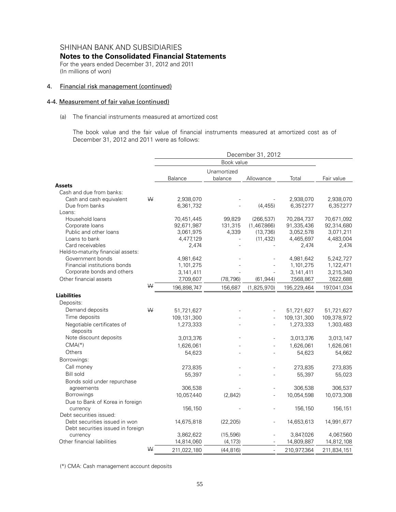#### 4. Financial risk management (continued)

#### 4-4. Measurement of fair value (continued)

## (a) The financial instruments measured at amortized cost

The book value and the fair value of financial instruments measured at amortized cost as of December 31, 2012 and 2011 were as follows:

|                                               |   |                          |                   | December 31, 2012         |                          |                          |
|-----------------------------------------------|---|--------------------------|-------------------|---------------------------|--------------------------|--------------------------|
|                                               |   |                          | Book value        |                           |                          |                          |
|                                               |   |                          | Unamortized       |                           |                          |                          |
|                                               |   | <b>Balance</b>           | balance           | Allowance                 | Total                    | Fair value               |
| <b>Assets</b>                                 |   |                          |                   |                           |                          |                          |
| Cash and due from banks:                      |   |                          |                   |                           |                          |                          |
| Cash and cash equivalent                      | W | 2,938,070                |                   |                           | 2,938,070                | 2,938,070                |
| Due from banks                                |   | 6,361,732                |                   | (4, 455)                  | 6,357,277                | 6,357,277                |
| Loans:                                        |   |                          |                   |                           |                          |                          |
| Household loans<br>Corporate loans            |   | 70,451,445<br>92,671,987 | 99,829<br>131,315 | (266, 537)<br>(1,467,866) | 70,284,737<br>91,335,436 | 70,671,092<br>92,314,680 |
| Public and other loans                        |   | 3,061,975                | 4,339             | (13, 736)                 | 3,052,578                | 3,071,211                |
| Loans to bank                                 |   | 4,477,129                |                   | (11, 432)                 | 4,465,697                | 4,483,004                |
| Card receivables                              |   | 2,474                    |                   |                           | 2,474                    | 2,474                    |
| Held-to-maturity financial assets:            |   |                          |                   |                           |                          |                          |
| Government bonds                              |   | 4,981,642                |                   |                           | 4,981,642                | 5,242,727                |
| Financial institutions bonds                  |   | 1,101,275                |                   |                           | 1,101,275                | 1,122,471                |
| Corporate bonds and others                    |   | 3,141,411                |                   |                           | 3,141,411                | 3,215,340                |
| Other financial assets                        |   | 7,709,607                | (78, 796)         | (61, 944)                 | 7,568,867                | 7,622,688                |
|                                               | W | 196,898,747              | 156,687           | (1,825,970)               | 195,229,464              | 197,041,034              |
| <b>Liabilities</b>                            |   |                          |                   |                           |                          |                          |
| Deposits:                                     |   |                          |                   |                           |                          |                          |
| Demand deposits                               | W | 51,721,627               |                   |                           | 51,721,627               | 51,721,627               |
| Time deposits                                 |   | 109, 131, 300            |                   |                           | 109,131,300              | 109,378,972              |
| Negotiable certificates of<br>deposits        |   | 1,273,333                |                   |                           | 1,273,333                | 1,303,483                |
| Note discount deposits                        |   | 3,013,376                |                   |                           | 3,013,376                | 3,013,147                |
| $CMA(*)$                                      |   | 1,626,061                |                   |                           | 1,626,061                | 1,626,061                |
| Others                                        |   | 54,623                   |                   |                           | 54,623                   | 54,662                   |
| Borrowings:                                   |   |                          |                   |                           |                          |                          |
| Call money                                    |   | 273,835                  |                   |                           | 273,835                  | 273,835                  |
| <b>Bill sold</b>                              |   | 55,397                   |                   |                           | 55,397                   | 55,023                   |
| Bonds sold under repurchase                   |   |                          |                   |                           |                          |                          |
| agreements                                    |   | 306,538                  |                   |                           | 306,538                  | 306,537                  |
| <b>Borrowings</b>                             |   | 10,057,440               | (2,842)           |                           | 10,054,598               | 10,073,308               |
| Due to Bank of Korea in foreign               |   |                          |                   |                           |                          |                          |
| currency                                      |   | 156,150                  |                   |                           | 156,150                  | 156,151                  |
| Debt securities issued:                       |   |                          |                   |                           |                          |                          |
| Debt securities issued in won                 |   | 14,675,818               | (22, 205)         |                           | 14,653,613               | 14,991,677               |
| Debt securities issued in foreign<br>currency |   | 3,862,622                | (15, 596)         |                           | 3,847,026                | 4,067,560                |
| Other financial liabilities                   |   | 14,814,060               | (4, 173)          |                           | 14,809,887               | 14,812,108               |
|                                               | W |                          |                   |                           |                          |                          |
|                                               |   | 211,022,180              | (44, 816)         | ÷,                        | 210,977,364              | 211,834,151              |

(\*) CMA: Cash management account deposits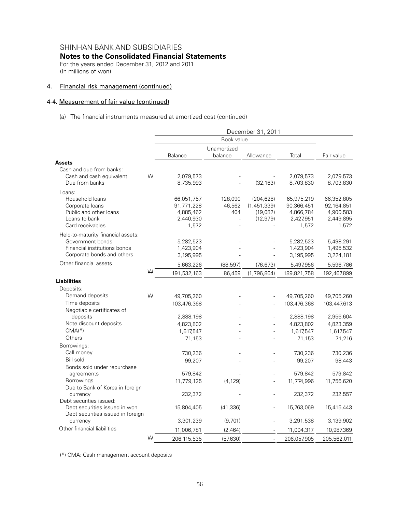# 4. Financial risk management (continued)

#### 4-4. Measurement of fair value (continued)

## (a) The financial instruments measured at amortized cost (continued)

|                                    |   |                |             | December 31, 2011        |             |             |
|------------------------------------|---|----------------|-------------|--------------------------|-------------|-------------|
|                                    |   |                | Book value  |                          |             |             |
|                                    |   |                | Unamortized |                          |             |             |
|                                    |   | <b>Balance</b> | balance     | Allowance                | Total       | Fair value  |
| <b>Assets</b>                      |   |                |             |                          |             |             |
| Cash and due from banks:           |   |                |             |                          |             |             |
| Cash and cash equivalent           | W | 2,079,573      |             |                          | 2,079,573   | 2,079,573   |
| Due from banks                     |   | 8,735,993      |             | (32, 163)                | 8,703,830   | 8,703,830   |
| Loans:                             |   |                |             |                          |             |             |
| Household loans                    |   | 66,051,757     | 128,090     | (204, 628)               | 65,975,219  | 66,352,805  |
| Corporate loans                    |   | 91,771,228     | 46,562      | (1,451,339)              | 90,366,451  | 92,164,851  |
| Public and other loans             |   | 4,885,462      | 404         | (19,082)                 | 4,866,784   | 4,900,583   |
| Loans to bank                      |   | 2,440,930      |             | (12, 979)                | 2,427,951   | 2,449,895   |
| Card receivables                   |   | 1,572          |             |                          | 1,572       | 1,572       |
| Held-to-maturity financial assets: |   |                |             |                          |             |             |
| Government bonds                   |   | 5,282,523      |             |                          | 5,282,523   | 5,498,291   |
| Financial institutions bonds       |   | 1,423,904      |             |                          | 1,423,904   | 1,495,532   |
| Corporate bonds and others         |   | 3,195,995      |             |                          | 3,195,995   | 3,224,181   |
| Other financial assets             |   | 5,663,226      | (88, 597)   | (76, 673)                | 5,497,956   | 5,596,786   |
|                                    | W | 191,532,163    | 86,459      | (1,796,864)              | 189,821,758 | 192,467,899 |
| <b>Liabilities</b>                 |   |                |             |                          |             |             |
| Deposits:                          |   |                |             |                          |             |             |
| Demand deposits                    | W | 49,705,260     |             |                          | 49,705,260  | 49,705,260  |
| Time deposits                      |   | 103,476,368    |             |                          | 103,476,368 | 103,447,613 |
| Negotiable certificates of         |   |                |             |                          |             |             |
| deposits                           |   | 2,888,198      |             |                          | 2,888,198   | 2,956,604   |
| Note discount deposits             |   | 4,823,802      |             | ÷.                       | 4,823,802   | 4,823,359   |
| $CMA(*)$                           |   | 1,617,547      |             |                          | 1,617,547   | 1,617,547   |
| Others                             |   | 71,153         |             |                          | 71,153      | 71,216      |
| Borrowings:                        |   |                |             |                          |             |             |
| Call money                         |   | 730,236        |             |                          | 730,236     | 730,236     |
| <b>Bill sold</b>                   |   | 99,207         |             |                          | 99,207      | 98,443      |
| Bonds sold under repurchase        |   |                |             |                          |             |             |
| agreements                         |   | 579,842        |             |                          | 579,842     | 579,842     |
| <b>Borrowings</b>                  |   | 11,779,125     | (4, 129)    |                          | 11,774,996  | 11,756,620  |
| Due to Bank of Korea in foreign    |   |                |             |                          |             |             |
| currency                           |   | 232,372        |             |                          | 232,372     | 232,557     |
| Debt securities issued:            |   |                |             |                          |             |             |
| Debt securities issued in won      |   | 15,804,405     | (41, 336)   |                          | 15,763,069  | 15,415,443  |
| Debt securities issued in foreign  |   |                |             |                          |             |             |
| currency                           |   | 3,301,239      | (9,701)     |                          | 3,291,538   | 3,139,902   |
| Other financial liabilities        |   | 11,006,781     | (2,464)     |                          | 11,004,317  | 10,987,369  |
|                                    | W | 206, 115, 535  | (57,630)    | $\overline{\phantom{a}}$ | 206,057,905 | 205,562,011 |

(\*) CMA: Cash management account deposits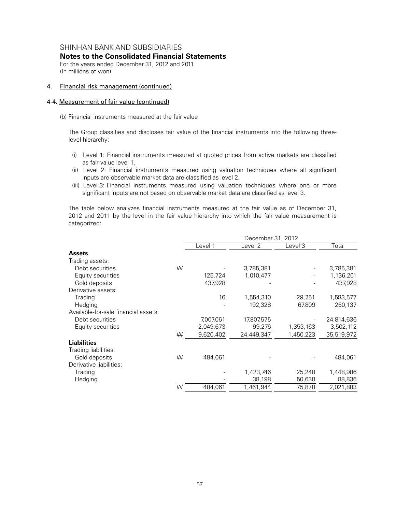#### 4. Financial risk management (continued)

#### 4-4. Measurement of fair value (continued)

(b) Financial instruments measured at the fair value

The Group classifies and discloses fair value of the financial instruments into the following threelevel hierarchy:

- (i) Level 1: Financial instruments measured at quoted prices from active markets are classified as fair value level 1.
- (ii) Level 2: Financial instruments measured using valuation techniques where all significant inputs are observable market data are classified as level 2.
- (iii) Level 3: Financial instruments measured using valuation techniques where one or more significant inputs are not based on observable market data are classified as level 3.

The table below analyzes financial instruments measured at the fair value as of December 31, 2012 and 2011 by the level in the fair value hierarchy into which the fair value measurement is categorized:

|                                      |   | December 31, 2012 |            |           |            |
|--------------------------------------|---|-------------------|------------|-----------|------------|
|                                      |   | Level 1           | Level 2    | Level 3   | Total      |
| <b>Assets</b>                        |   |                   |            |           |            |
| Trading assets:                      |   |                   |            |           |            |
| Debt securities                      | W |                   | 3,785,381  |           | 3,785,381  |
| Equity securities                    |   | 125,724           | 1,010,477  |           | 1,136,201  |
| Gold deposits                        |   | 437,928           |            |           | 437,928    |
| Derivative assets:                   |   |                   |            |           |            |
| Trading                              |   | 16                | 1,554,310  | 29,251    | 1,583,577  |
| Hedging                              |   |                   | 192,328    | 67,809    | 260,137    |
| Available-for-sale financial assets: |   |                   |            |           |            |
| Debt securities                      |   | 7,007,061         | 17,807,575 |           | 24,814,636 |
| Equity securities                    |   | 2,049,673         | 99,276     | 1,353,163 | 3,502,112  |
|                                      | W | 9,620,402         | 24,449,347 | 1,450,223 | 35,519,972 |
| <b>Liabilities</b>                   |   |                   |            |           |            |
| Trading liabilities:                 |   |                   |            |           |            |
| Gold deposits                        | ₩ | 484,061           |            |           | 484,061    |
| Derivative liabilities:              |   |                   |            |           |            |
| Trading                              |   |                   | 1,423,746  | 25,240    | 1,448,986  |
| Hedging                              |   |                   | 38,198     | 50,638    | 88,836     |
|                                      | W | 484.061           | 1,461,944  | 75,878    | 2,021,883  |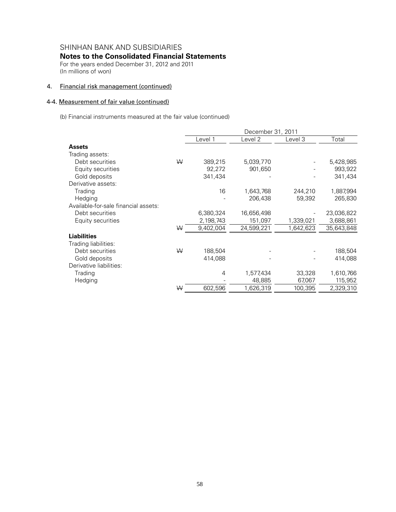# 4. Financial risk management (continued)

## 4-4. Measurement of fair value (continued)

(b) Financial instruments measured at the fair value (continued)

|                                      |   | December 31, 2011 |            |           |            |  |
|--------------------------------------|---|-------------------|------------|-----------|------------|--|
|                                      |   | Level 1           | Level 2    | Level 3   | Total      |  |
| <b>Assets</b>                        |   |                   |            |           |            |  |
| Trading assets:                      |   |                   |            |           |            |  |
| Debt securities                      | W | 389,215           | 5,039,770  |           | 5,428,985  |  |
| Equity securities                    |   | 92,272            | 901,650    |           | 993,922    |  |
| Gold deposits                        |   | 341,434           |            |           | 341,434    |  |
| Derivative assets:                   |   |                   |            |           |            |  |
| Trading                              |   | 16                | 1,643,768  | 244,210   | 1,887,994  |  |
| Hedging                              |   |                   | 206,438    | 59,392    | 265,830    |  |
| Available-for-sale financial assets: |   |                   |            |           |            |  |
| Debt securities                      |   | 6,380,324         | 16,656,498 |           | 23,036,822 |  |
| Equity securities                    |   | 2,198,743         | 151,097    | 1,339,021 | 3,688,861  |  |
|                                      | ₩ | 9,402,004         | 24,599,221 | 1,642,623 | 35,643,848 |  |
| <b>Liabilities</b>                   |   |                   |            |           |            |  |
| Trading liabilities:                 |   |                   |            |           |            |  |
| Debt securities                      | W | 188,504           |            |           | 188,504    |  |
| Gold deposits                        |   | 414,088           |            |           | 414,088    |  |
| Derivative liabilities:              |   |                   |            |           |            |  |
| Trading                              |   | 4                 | 1,577,434  | 33,328    | 1,610,766  |  |
| Hedging                              |   |                   | 48,885     | 67,067    | 115,952    |  |
|                                      | ₩ | 602,596           | 1,626,319  | 100,395   | 2,329,310  |  |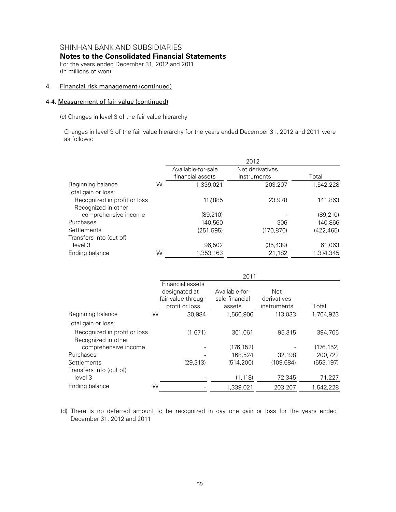### 4. Financial risk management (continued)

## 4-4. Measurement of fair value (continued)

# (c) Changes in level 3 of the fair value hierarchy

Changes in level 3 of the fair value hierarchy for the years ended December 31, 2012 and 2011 were as follows:

|                              |   |                    | 2012            |            |
|------------------------------|---|--------------------|-----------------|------------|
|                              |   | Available-for-sale | Net derivatives |            |
|                              |   | financial assets   | instruments     | Total      |
| Beginning balance            | ₩ | 1,339,021          | 203,207         | 1,542,228  |
| Total gain or loss:          |   |                    |                 |            |
| Recognized in profit or loss |   | 117,885            | 23.978          | 141,863    |
| Recognized in other          |   |                    |                 |            |
| comprehensive income         |   | (89.210)           |                 | (89, 210)  |
| Purchases                    |   | 140,560            | 306             | 140,866    |
| Settlements                  |   | (251, 595)         | (170, 870)      | (422, 465) |
| Transfers into (out of)      |   |                    |                 |            |
| level 3                      |   | 96,502             | (35, 439)       | 61,063     |
| Ending balance               | W | 1,353,163          | 21,182          | 1,374,345  |

|                                                     |   |                                                         | 2011                             |                           |            |
|-----------------------------------------------------|---|---------------------------------------------------------|----------------------------------|---------------------------|------------|
|                                                     |   | Financial assets<br>designated at<br>fair value through | Available-for-<br>sale financial | <b>Net</b><br>derivatives |            |
|                                                     |   | profit or loss                                          | assets                           | instruments               | Total      |
| Beginning balance                                   | W | 30,984                                                  | 1,560,906                        | 113,033                   | 1,704,923  |
| Total gain or loss:                                 |   |                                                         |                                  |                           |            |
| Recognized in profit or loss<br>Recognized in other |   | (1,671)                                                 | 301,061                          | 95,315                    | 394.705    |
| comprehensive income                                |   |                                                         | (176,152)                        |                           | (176, 152) |
| Purchases                                           |   |                                                         | 168,524                          | 32,198                    | 200,722    |
| Settlements                                         |   | (29, 313)                                               | (514, 200)                       | (109, 684)                | (653, 197) |
| Transfers into (out of)                             |   |                                                         |                                  |                           |            |
| level 3                                             |   |                                                         | (1, 118)                         | 72,345                    | 71,227     |
| Ending balance                                      | W |                                                         | 1.339.021                        | 203.207                   | 1.542.228  |

(d) There is no deferred amount to be recognized in day one gain or loss for the years ended December 31, 2012 and 2011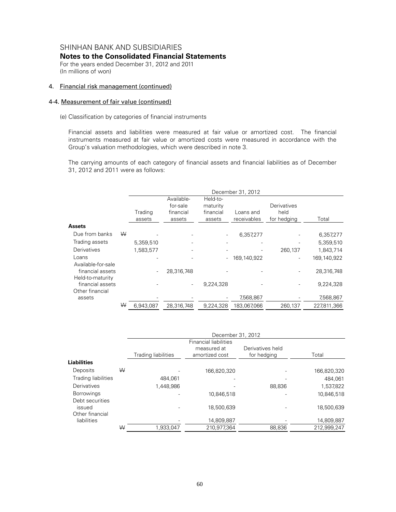#### 4. Financial risk management (continued)

## 4-4. Measurement of fair value (continued)

## (e) Classification by categories of financial instruments

Financial assets and liabilities were measured at fair value or amortized cost. The financial instruments measured at fair value or amortized costs were measured in accordance with the Group's valuation methodologies, which were described in note 3.

The carrying amounts of each category of financial assets and financial liabilities as of December 31, 2012 and 2011 were as follows:

|                                                            |   |           |            |           | December 31, 2012 |             |             |
|------------------------------------------------------------|---|-----------|------------|-----------|-------------------|-------------|-------------|
|                                                            |   |           | Available- | Held-to-  |                   |             |             |
|                                                            |   |           | for-sale   | maturity  |                   | Derivatives |             |
|                                                            |   | Trading   | financial  | financial | Loans and         | held        |             |
|                                                            |   | assets    | assets     | assets    | receivables       | for hedging | Total       |
| Assets                                                     |   |           |            |           |                   |             |             |
| Due from banks                                             | ₩ |           |            |           | 6,357,277         |             | 6,357,277   |
| Trading assets                                             |   | 5,359,510 |            |           |                   |             | 5,359,510   |
| Derivatives                                                |   | 1,583,577 |            |           |                   | 260,137     | 1,843,714   |
| Loans                                                      |   |           |            |           | 169,140,922       |             | 169.140.922 |
| Available-for-sale<br>financial assets<br>Held-to-maturity |   |           | 28,316,748 |           |                   |             | 28,316,748  |
| financial assets<br>Other financial                        |   |           |            | 9,224,328 |                   |             | 9,224,328   |
| assets                                                     |   |           |            |           | 7,568,867         |             | 7,568,867   |
|                                                            | W | 6.943.087 | 28,316,748 | 9,224,328 | 183,067,066       | 260,137     | 227,811,366 |

|                                |   |                     | December 31, 2012                                             |                                 |             |  |  |  |  |
|--------------------------------|---|---------------------|---------------------------------------------------------------|---------------------------------|-------------|--|--|--|--|
|                                |   | Trading liabilities | <b>Financial liabilities</b><br>measured at<br>amortized cost | Derivatives held<br>for hedging | Total       |  |  |  |  |
| <b>Liabilities</b>             |   |                     |                                                               |                                 |             |  |  |  |  |
| Deposits                       | ₩ |                     | 166,820,320                                                   |                                 | 166,820,320 |  |  |  |  |
| Trading liabilities            |   | 484.061             |                                                               |                                 | 484.061     |  |  |  |  |
| Derivatives                    |   | 1.448.986           |                                                               | 88,836                          | 1,537,822   |  |  |  |  |
| <b>Borrowings</b>              |   |                     | 10,846,518                                                    |                                 | 10,846,518  |  |  |  |  |
| Debt securities<br>issued      |   |                     | 18,500,639                                                    |                                 | 18,500,639  |  |  |  |  |
| Other financial<br>liabilities |   |                     | 14,809,887                                                    |                                 | 14,809,887  |  |  |  |  |
|                                | W | 1.933.047           | 210.977.364                                                   | 88.836                          | 212.999.247 |  |  |  |  |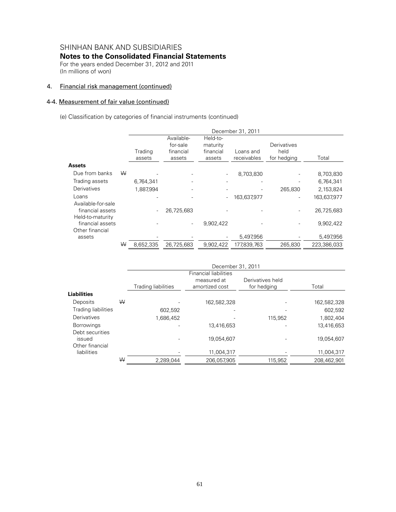# 4. Financial risk management (continued)

# 4-4. Measurement of fair value (continued)

(e) Classification by categories of financial instruments (continued)

|                                      |   |                          |                                               |                                             | December 31, 2011        |                                    |             |
|--------------------------------------|---|--------------------------|-----------------------------------------------|---------------------------------------------|--------------------------|------------------------------------|-------------|
|                                      |   | Trading<br>assets        | Available-<br>for-sale<br>financial<br>assets | Held-to-<br>maturity<br>financial<br>assets | Loans and<br>receivables | Derivatives<br>held<br>for hedging | Total       |
| <b>Assets</b>                        |   |                          |                                               |                                             |                          |                                    |             |
| Due from banks                       | W |                          |                                               |                                             | 8,703,830                |                                    | 8,703,830   |
| Trading assets                       |   | 6,764,341                |                                               |                                             |                          |                                    | 6,764,341   |
| Derivatives                          |   | 1,887,994                |                                               |                                             |                          | 265,830                            | 2,153,824   |
| Loans<br>Available-for-sale          |   |                          |                                               |                                             | 163,637,977              |                                    | 163,637,977 |
| financial assets<br>Held-to-maturity |   | $\overline{\phantom{a}}$ | 26,725,683                                    |                                             |                          |                                    | 26,725,683  |
| financial assets<br>Other financial  |   |                          |                                               | 9,902,422                                   |                          |                                    | 9,902,422   |
| assets                               |   |                          |                                               |                                             | 5,497,956                |                                    | 5,497,956   |
|                                      | W | 8.652.335                | 26,725,683                                    | 9,902,422                                   | 177,839,763              | 265,830                            | 223,386,033 |

|                                      |   |                     | December 31, 2011                                             |                                 |             |  |  |  |  |
|--------------------------------------|---|---------------------|---------------------------------------------------------------|---------------------------------|-------------|--|--|--|--|
|                                      |   | Trading liabilities | <b>Financial liabilities</b><br>measured at<br>amortized cost | Derivatives held<br>for hedging | Total       |  |  |  |  |
| Liabilities                          |   |                     |                                                               |                                 |             |  |  |  |  |
| Deposits                             | ₩ |                     | 162,582,328                                                   |                                 | 162,582,328 |  |  |  |  |
| Trading liabilities                  |   | 602.592             |                                                               |                                 | 602,592     |  |  |  |  |
| Derivatives                          |   | 1,686,452           |                                                               | 115,952                         | 1,802,404   |  |  |  |  |
| <b>Borrowings</b><br>Debt securities |   |                     | 13,416,653                                                    |                                 | 13,416,653  |  |  |  |  |
| issued<br>Other financial            |   |                     | 19,054,607                                                    |                                 | 19,054,607  |  |  |  |  |
| liabilities                          |   |                     | 11,004,317                                                    |                                 | 11,004,317  |  |  |  |  |
|                                      | W | 2,289,044           | 206,057,905                                                   | 115,952                         | 208,462,901 |  |  |  |  |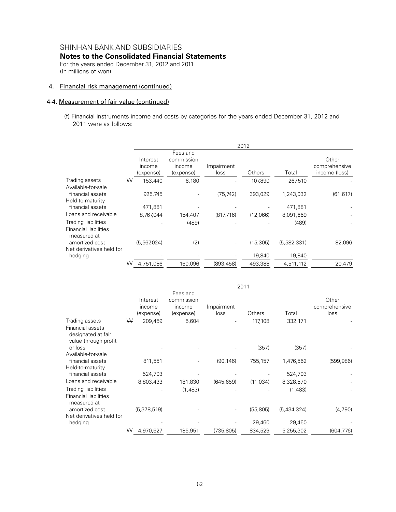# 4. Financial risk management (continued)

#### 4-4. Measurement of fair value (continued)

(f) Financial instruments income and costs by categories for the years ended December 31, 2012 and 2011 were as follows:

|                                                                    |   | 2012                            |                                               |                    |           |             |                                         |
|--------------------------------------------------------------------|---|---------------------------------|-----------------------------------------------|--------------------|-----------|-------------|-----------------------------------------|
|                                                                    |   | Interest<br>income<br>(expense) | Fees and<br>commission<br>income<br>(expense) | Impairment<br>loss | Others    | Total       | Other<br>comprehensive<br>income (loss) |
| Trading assets                                                     | W | 153,440                         | 6,180                                         |                    | 107,890   | 267,510     |                                         |
| Available-for-sale<br>financial assets<br>Held-to-maturity         |   | 925.745                         |                                               | (75, 742)          | 393,029   | 1,243,032   | (61, 617)                               |
| financial assets                                                   |   | 471,881                         |                                               |                    |           | 471,881     |                                         |
| Loans and receivable                                               |   | 8,767,044                       | 154,407                                       | (817,716)          | (12,066)  | 8,091,669   |                                         |
| Trading liabilities<br><b>Financial liabilities</b><br>measured at |   |                                 | (489)                                         |                    |           | (489)       |                                         |
| amortized cost<br>Net derivatives held for                         |   | (5, 567, 024)                   | (2)                                           | -                  | (15, 305) | (5,582,331) | 82,096                                  |
| hedging                                                            |   |                                 |                                               |                    | 19,840    | 19,840      |                                         |
|                                                                    | W | 4.751.086                       | 160.096                                       | (893.458)          | 493,388   | 4,511,112   | 20.479                                  |

|                                                                           |                | 2011                   |            |           |             |               |  |
|---------------------------------------------------------------------------|----------------|------------------------|------------|-----------|-------------|---------------|--|
|                                                                           | Interest       | Fees and<br>commission |            |           |             | Other         |  |
|                                                                           | income         | income                 | Impairment |           |             | comprehensive |  |
|                                                                           | (expense)      | (expense)              | loss       | Others    | Total       | loss          |  |
| Trading assets                                                            | ₩<br>209,459   | 5,604                  |            | 117,108   | 332,171     |               |  |
| Financial assets<br>designated at fair<br>value through profit            |                |                        |            |           |             |               |  |
| or loss                                                                   |                |                        |            | (357)     | (357)       |               |  |
| Available-for-sale                                                        |                |                        |            |           |             |               |  |
| financial assets<br>Held-to-maturity                                      | 811,551        |                        | (90, 146)  | 755,157   | 1,476,562   | (599, 986)    |  |
| financial assets                                                          | 524,703        |                        |            |           | 524,703     |               |  |
| Loans and receivable                                                      | 8,803,433      | 181,830                | (645, 659) | (11, 034) | 8,328,570   |               |  |
| <b>Trading liabilities</b><br><b>Financial liabilities</b><br>measured at |                | (1,483)                |            |           | (1,483)     |               |  |
| amortized cost                                                            | (5,378,519)    |                        |            | (55, 805) | (5,434,324) | (4,790)       |  |
| Net derivatives held for<br>hedging                                       |                |                        |            | 29,460    | 29,460      |               |  |
|                                                                           | ₩<br>4,970,627 | 185,951                | (735, 805) | 834,529   | 5,255,302   | (604, 776)    |  |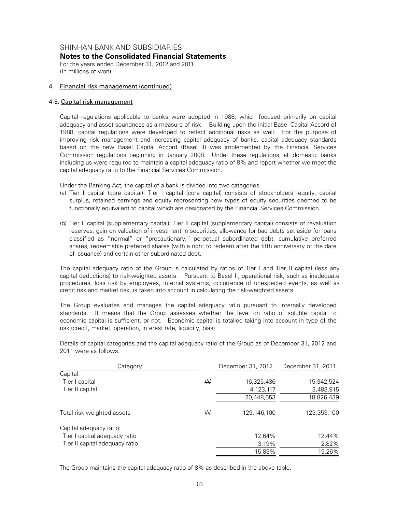4. Financial risk management (continued)

# 4-5. Capital risk management

Capital regulations applicable to banks were adopted in 1988, which focused primarily on capital adequacy and asset soundness as a measure of risk. Building upon the initial Basel Capital Accord of 1988, capital regulations were developed to reflect additional risks as well. For the purpose of improving risk management and increasing capital adequacy of banks, capital adequacy standards based on the new Basel Capital Accord (Basel II) was implemented by the Financial Services Commission regulations beginning in January 2008. Under these regulations, all domestic banks including us were required to maintain a capital adequacy ratio of 8% and report whether we meet the capital adequacy ratio to the Financial Services Commission.

Under the Banking Act, the capital of a bank is divided into two categories.

- (a) Tier I capital (core capital): Tier I capital (core capital) consists of stockholders' equity, capital surplus, retained earnings and equity representing new types of equity securities deemed to be functionally equivalent to capital which are designated by the Financial Services Commission.
- (b) Tier II capital (supplementary capital): Tier II capital (supplementary capital) consists of revaluation reserves, gain on valuation of investment in securities, allowance for bad debts set aside for loans classified as "normal" or "precautionary," perpetual subordinated debt, cumulative preferred shares, redeemable preferred shares (with a right to redeem after the fifth anniversary of the date of issuance) and certain other subordinated debt.

The capital adequacy ratio of the Group is calculated by ratios of Tier I and Tier II capital (less any capital deductions) to risk-weighted assets. Pursuant to Basel II, operational risk, such as inadequate procedures, loss risk by employees, internal systems, occurrence of unexpected events, as well as credit risk and market risk, is taken into account in calculating the risk-weighted assets.

The Group evaluates and manages the capital adequacy ratio pursuant to internally developed standards. It means that the Group assesses whether the level on ratio of soluble capital to economic capital is sufficient, or not. Economic capital is totalled taking into account in type of the risk (credit, market, operation, interest rate, liquidity, bias)

Details of capital categories and the capital adequacy ratio of the Group as of December 31, 2012 and 2011 were as follows:

| Category                       |   | December 31, 2012 | December 31, 2011 |
|--------------------------------|---|-------------------|-------------------|
| Capital:                       |   |                   |                   |
| Tier I capital                 | W | 16,325,436        | 15,342,524        |
| Tier II capital                |   | 4,123,117         | 3,483,915         |
|                                |   | 20,448,553        | 18,826,439        |
| Total risk-weighted assets     | W | 129, 146, 100     | 123,353,100       |
| Capital adequacy ratio:        |   |                   |                   |
| Tier I capital adequacy ratio  |   | 12.64%            | 12.44%            |
| Tier II capital adequacy ratio |   | 3.19%             | 2.82%             |
|                                |   | 15.83%            | 15.26%            |

The Group maintains the capital adequacy ratio of 8% as described in the above table.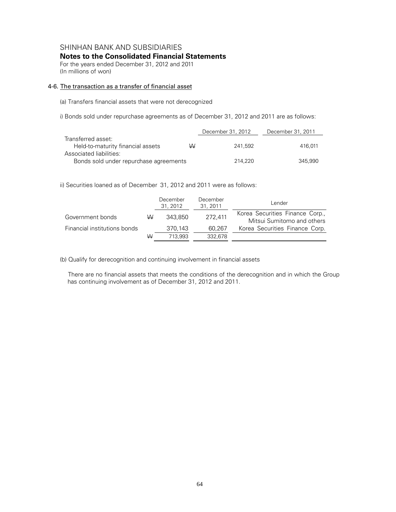## **Notes to the Consolidated Financial Statements**

For the years ended December 31, 2012 and 2011 (In millions of won)

## 4-6. The transaction as a transfer of financial asset

(a) Transfers financial assets that were not derecognized

i) Bonds sold under repurchase agreements as of December 31, 2012 and 2011 are as follows:

|                                        |   | December 31, 2012 | December 31, 2011 |
|----------------------------------------|---|-------------------|-------------------|
| Transferred asset:                     |   |                   |                   |
| Held-to-maturity financial assets      | W | 241.592           | 416.011           |
| Associated liabilities:                |   |                   |                   |
| Bonds sold under repurchase agreements |   | 214.220           | 345.990           |

ii) Securities loaned as of December 31, 2012 and 2011 were as follows:

|                              |   | December<br>31, 2012 | December<br>31, 2011 | Lender                                                        |
|------------------------------|---|----------------------|----------------------|---------------------------------------------------------------|
| Government bonds             | W | 343.850              | 272.411              | Korea Securities Finance Corp.,<br>Mitsui Sumitomo and others |
| Financial institutions bonds |   | 370.143              | 60.267               | Korea Securities Finance Corp.                                |
|                              | ₩ | 713.993              | 332.678              |                                                               |

(b) Qualify for derecognition and continuing involvement in financial assets

There are no financial assets that meets the conditions of the derecognition and in which the Group has continuing involvement as of December 31, 2012 and 2011.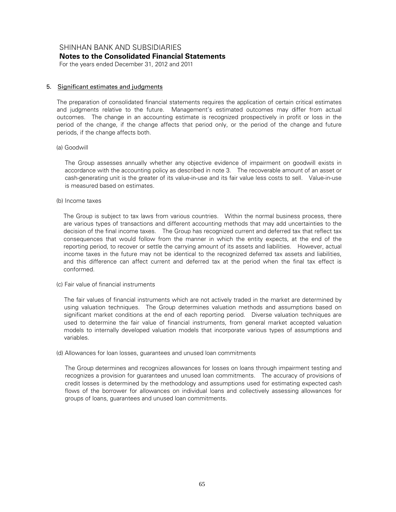For the years ended December 31, 2012 and 2011

## 5. Significant estimates and judgments

The preparation of consolidated financial statements requires the application of certain critical estimates and judgments relative to the future. Management's estimated outcomes may differ from actual outcomes. The change in an accounting estimate is recognized prospectively in profit or loss in the period of the change, if the change affects that period only, or the period of the change and future periods, if the change affects both.

#### (a) Goodwill

The Group assesses annually whether any objective evidence of impairment on goodwill exists in accordance with the accounting policy as described in note 3. The recoverable amount of an asset or cash-generating unit is the greater of its value-in-use and its fair value less costs to sell. Value-in-use is measured based on estimates.

#### (b) Income taxes

The Group is subject to tax laws from various countries. Within the normal business process, there are various types of transactions and different accounting methods that may add uncertainties to the decision of the final income taxes. The Group has recognized current and deferred tax that reflect tax consequences that would follow from the manner in which the entity expects, at the end of the reporting period, to recover or settle the carrying amount of its assets and liabilities. However, actual income taxes in the future may not be identical to the recognized deferred tax assets and liabilities, and this difference can affect current and deferred tax at the period when the final tax effect is conformed.

(c) Fair value of financial instruments

The fair values of financial instruments which are not actively traded in the market are determined by using valuation techniques. The Group determines valuation methods and assumptions based on significant market conditions at the end of each reporting period. Diverse valuation techniques are used to determine the fair value of financial instruments, from general market accepted valuation models to internally developed valuation models that incorporate various types of assumptions and variables.

(d) Allowances for loan losses, guarantees and unused loan commitments

The Group determines and recognizes allowances for losses on loans through impairment testing and recognizes a provision for guarantees and unused loan commitments. The accuracy of provisions of credit losses is determined by the methodology and assumptions used for estimating expected cash flows of the borrower for allowances on individual loans and collectively assessing allowances for groups of loans, guarantees and unused loan commitments.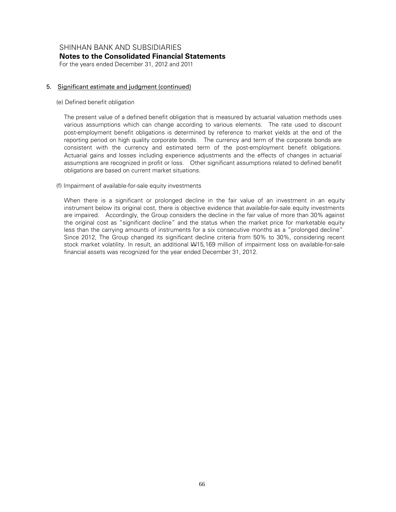For the years ended December 31, 2012 and 2011

#### 5. Significant estimate and judgment (continued)

(e) Defined benefit obligation

The present value of a defined benefit obligation that is measured by actuarial valuation methods uses various assumptions which can change according to various elements. The rate used to discount post-employment benefit obligations is determined by reference to market yields at the end of the reporting period on high quality corporate bonds. The currency and term of the corporate bonds are consistent with the currency and estimated term of the post-employment benefit obligations. Actuarial gains and losses including experience adjustments and the effects of changes in actuarial assumptions are recognized in profit or loss. Other significant assumptions related to defined benefit obligations are based on current market situations.

(f) Impairment of available-for-sale equity investments

When there is a significant or prolonged decline in the fair value of an investment in an equity instrument below its original cost, there is objective evidence that available-for-sale equity investments are impaired. Accordingly, the Group considers the decline in the fair value of more than 30% against the original cost as "significant decline" and the status when the market price for marketable equity less than the carrying amounts of instruments for a six consecutive months as a "prolonged decline". Since 2012, The Group changed its significant decline criteria from 50% to 30%, considering recent stock market volatility. In result, an additional W15,169 million of impairment loss on available-for-sale financial assets was recognized for the year ended December 31, 2012.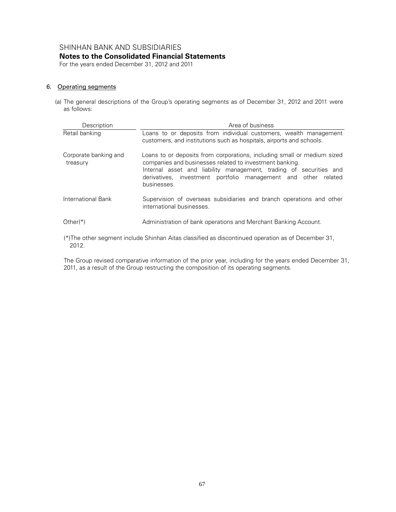For the years ended December 31, 2012 and 2011

#### 6. Operating segments

(a) The general descriptions of the Group's operating segments as of December 31, 2012 and 2011 were as follows:

| Description                       | Area of business                                                                                                                                                                                                                                                                             |  |  |  |  |
|-----------------------------------|----------------------------------------------------------------------------------------------------------------------------------------------------------------------------------------------------------------------------------------------------------------------------------------------|--|--|--|--|
| Retail banking                    | Loans to or deposits from individual customers, wealth management<br>customers, and institutions such as hospitals, airports and schools.                                                                                                                                                    |  |  |  |  |
| Corporate banking and<br>treasury | Loans to or deposits from corporations, including small or medium sized<br>companies and businesses related to investment banking.<br>Internal asset and liability management, trading of securities and<br>derivatives, investment portfolio management and other<br>related<br>businesses. |  |  |  |  |
| International Bank                | Supervision of overseas subsidiaries and branch operations and other<br>international businesses.                                                                                                                                                                                            |  |  |  |  |
| $Other(*)$                        | Administration of bank operations and Merchant Banking Account.                                                                                                                                                                                                                              |  |  |  |  |

(\*)The other segment include Shinhan Aitas classified as discontinued operation as of December 31, 2012.

The Group revised comparative information of the prior year, including for the years ended December 31, 2011, as a result of the Group restructing the composition of its operating segments.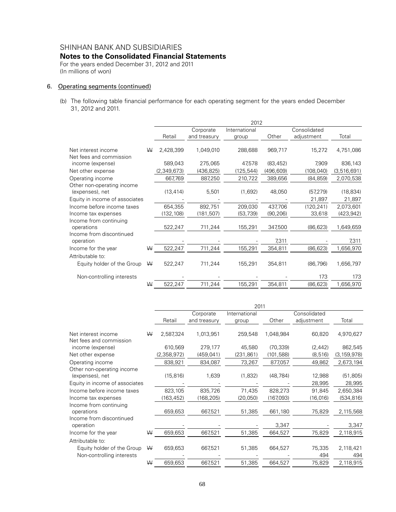# **Notes to the Consolidated Financial Statements**

For the years ended December 31, 2012 and 2011 (In millions of won)

# 6. Operating segments (continued)

(b) The following table financial performance for each operating segment for the years ended December 31, 2012 and 2011.

|                                                |   |             | 2012         |               |            |              |             |  |
|------------------------------------------------|---|-------------|--------------|---------------|------------|--------------|-------------|--|
|                                                |   |             | Corporate    | International |            | Consolidated |             |  |
|                                                |   | Retail      | and treasury | group         | Other      | adjustment   | Total       |  |
| Net interest income<br>Net fees and commission | ₩ | 2,428,399   | 1,049,010    | 288,688       | 969,717    | 15,272       | 4,751,086   |  |
| income (expense)                               |   | 589,043     | 275,065      | 47,578        | (83, 452)  | 7,909        | 836,143     |  |
| Net other expense                              |   | (2,349,673) | (436, 825)   | (125, 544)    | (496, 609) | (108, 040)   | (3,516,691) |  |
| Operating income                               |   | 667,769     | 887,250      | 210,722       | 389,656    | (84, 859)    | 2,070,538   |  |
| Other non-operating income<br>(expenses), net  |   | (13, 414)   | 5,501        | (1,692)       | 48,050     | (57, 279)    | (18, 834)   |  |
| Equity in income of associates                 |   |             |              |               |            | 21,897       | 21,897      |  |
| Income before income taxes                     |   | 654,355     | 892,751      | 209,030       | 437,706    | (120, 241)   | 2,073,601   |  |
| Income tax expenses                            |   | (132, 108)  | (181, 507)   | (53, 739)     | (90, 206)  | 33,618       | (423, 942)  |  |
| Income from continuing<br>operations           |   | 522,247     | 711,244      | 155,291       | 347,500    | (86, 623)    | 1,649,659   |  |
| Income from discontinued<br>operation          |   |             |              |               | 7,311      |              | 7,311       |  |
| Income for the year                            | ₩ | 522,247     | 711,244      | 155,291       | 354,811    | (86, 623)    | 1,656,970   |  |
| Attributable to:<br>Equity holder of the Group | ₩ | 522,247     | 711,244      | 155,291       | 354,811    | (86, 796)    | 1,656,797   |  |
|                                                |   |             |              |               |            |              |             |  |
| Non-controlling interests                      |   |             |              |               |            | 173          | 173         |  |
|                                                | W | 522,247     | 711,244      | 155,291       | 354,811    | (86, 623)    | 1,656,970   |  |

|                                                                  |   | 2011        |              |               |            |              |               |
|------------------------------------------------------------------|---|-------------|--------------|---------------|------------|--------------|---------------|
|                                                                  |   |             | Corporate    | International |            | Consolidated |               |
|                                                                  |   | Retail      | and treasury | group         | Other      | adjustment   | Total         |
| Net interest income<br>Net fees and commission                   | W | 2,587,324   | 1,013,951    | 259,548       | 1,048,984  | 60,820       | 4,970,627     |
| income (expense)                                                 |   | 610,569     | 279,177      | 45,580        | (70, 339)  | (2, 442)     | 862,545       |
| Net other expense                                                |   | (2,358,972) | (459, 041)   | (231, 861)    | (101, 588) | (8, 516)     | (3, 159, 978) |
| Operating income                                                 |   | 838,921     | 834,087      | 73,267        | 877,057    | 49,862       | 2,673,194     |
| Other non-operating income<br>(expenses), net                    |   | (15, 816)   | 1,639        | (1,832)       | (48, 784)  | 12,988       | (51, 805)     |
| Equity in income of associates                                   |   |             |              |               |            | 28,995       | 28,995        |
| Income before income taxes                                       |   | 823,105     | 835,726      | 71,435        | 828,273    | 91,845       | 2,650,384     |
| Income tax expenses                                              |   | (163, 452)  | (168, 205)   | (20,050)      | (167,093)  | (16,016)     | (534, 816)    |
| Income from continuing<br>operations<br>Income from discontinued |   | 659,653     | 667,521      | 51,385        | 661,180    | 75,829       | 2,115,568     |
| operation                                                        |   |             |              |               | 3,347      |              | 3,347         |
| Income for the year                                              | ₩ | 659,653     | 667,521      | 51,385        | 664,527    | 75,829       | 2,118,915     |
| Attributable to:                                                 |   |             |              |               |            |              |               |
| Equity holder of the Group                                       | ₩ | 659,653     | 667,521      | 51,385        | 664,527    | 75,335       | 2,118,421     |
| Non-controlling interests                                        |   |             |              |               |            | 494          | 494           |
|                                                                  | ₩ | 659,653     | 667,521      | 51,385        | 664,527    | 75,829       | 2,118,915     |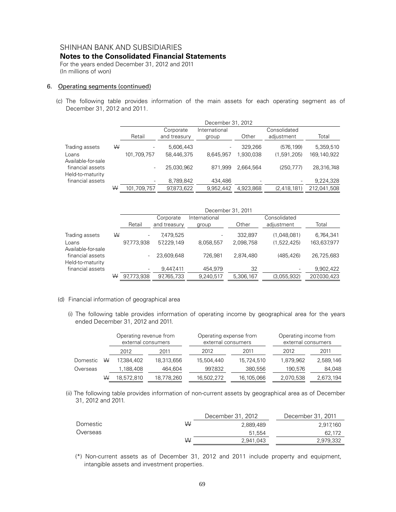#### **Notes to the Consolidated Financial Statements**

For the years ended December 31, 2012 and 2011 (In millions of won)

#### 6. Operating segments (continued)

(c) The following table provides information of the main assets for each operating segment as of December 31, 2012 and 2011.

|                                      |   | December 31, 2012 |                           |                        |           |                            |             |
|--------------------------------------|---|-------------------|---------------------------|------------------------|-----------|----------------------------|-------------|
|                                      |   | Retail            | Corporate<br>and treasury | International<br>group | Other     | Consolidated<br>adjustment | Total       |
| Trading assets                       | ₩ |                   | 5,606,443                 |                        | 329,266   | (576.199)                  | 5,359,510   |
| Loans<br>Available-for-sale          |   | 101,709,757       | 58.446.375                | 8.645.957              | 1.930.038 | (1,591,205)                | 169.140.922 |
| financial assets<br>Held-to-maturity |   |                   | 25,030,962                | 871.999                | 2.664.564 | (250, 777)                 | 28,316,748  |
| financial assets                     |   |                   | 8,789,842                 | 434,486                |           |                            | 9,224,328   |
|                                      | W | 101,709,757       | 97,873,622                | 9.952.442              | 4,923,868 | (2, 418, 181)              | 212,041,508 |

|                                      |   |            | December 31, 2011         |                        |           |                            |             |
|--------------------------------------|---|------------|---------------------------|------------------------|-----------|----------------------------|-------------|
|                                      |   | Retail     | Corporate<br>and treasury | International<br>group | Other     | Consolidated<br>adjustment | Total       |
| Trading assets                       | ₩ | ٠          | 7.479.525                 | ۰                      | 332.897   | (1,048,081)                | 6,764,341   |
| Loans<br>Available-for-sale          |   | 97,773,938 | 57.229.149                | 8,058,557              | 2,098,758 | (1.522.425)                | 163,637,977 |
| financial assets<br>Held-to-maturity |   |            | 23,609,648                | 726.981                | 2,874,480 | (485.426)                  | 26,725,683  |
| financial assets                     |   |            | 9.447.411                 | 454,979                | 32        |                            | 9,902,422   |
|                                      | ₩ | 97.773.938 | 97,765,733                | 9.240.517              | 5,306,167 | (3,055,932)                | 207,030,423 |

- (d) Financial information of geographical area
	- (i) The following table provides information of operating income by geographical area for the years ended December 31, 2012 and 2011.

|          |   | Operating revenue from<br>external consumers |            |            | Operating expense from<br>external consumers |           | Operating income from<br>external consumers |  |  |
|----------|---|----------------------------------------------|------------|------------|----------------------------------------------|-----------|---------------------------------------------|--|--|
|          |   | 2012                                         | 2011       | 2012       | 2011                                         | 2012      | 2011                                        |  |  |
| Domestic | W | 17,384,402                                   | 18,313,656 | 15,504,440 | 15,724,510                                   | 1,879,962 | 2,589,146                                   |  |  |
| Overseas |   | 1,188,408                                    | 464,604    | 997,832    | 380,556                                      | 190,576   | 84,048                                      |  |  |
|          | ₩ | 18,572,810                                   | 18,778,260 | 16,502,272 | 16,105,066                                   | 2,070,538 | 2,673,194                                   |  |  |

(ii) The following table provides information of non-current assets by geographical area as of December 31, 2012 and 2011.

|          |   | December 31, 2012 | December 31, 2011 |
|----------|---|-------------------|-------------------|
| Domestic | ₩ | 2.889.489         | 2,917,160         |
| Overseas |   | 51.554            | 62.172            |
|          | W | 2.941.043         | 2,979,332         |

(\*) Non-current assets as of December 31, 2012 and 2011 include property and equipment, intangible assets and investment properties.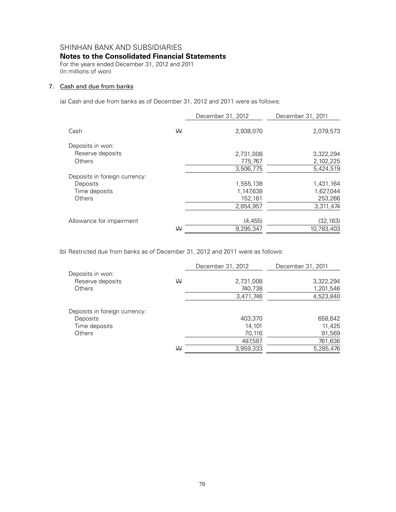# **Notes to the Consolidated Financial Statements**

For the years ended December 31, 2012 and 2011 (In millions of won)

## 7. Cash and due from banks

(a) Cash and due from banks as of December 31, 2012 and 2011 were as follows:

|                               |   | December 31, 2012 | December 31, 2011 |
|-------------------------------|---|-------------------|-------------------|
| Cash                          | W | 2,938,070         | 2,079,573         |
| Deposits in won:              |   |                   |                   |
| Reserve deposits              |   | 2,731,008         | 3,322,294         |
| Others                        |   | 775,767           | 2,102,225         |
|                               |   | 3,506,775         | 5,424,519         |
| Deposits in foreign currency: |   |                   |                   |
| Deposits                      |   | 1,555,138         | 1,431,164         |
| Time deposits                 |   | 1,147,638         | 1,627,044         |
| Others                        |   | 152,181           | 253,266           |
|                               |   | 2,854,957         | 3,311,474         |
| Allowance for impairment      |   | (4, 455)          | (32,163)          |
|                               | W | 9.295.347         | 10,783,403        |

(b) Restricted due from banks as of December 31, 2012 and 2011 were as follows:

|                               |   | December 31, 2012 | December 31, 2011 |
|-------------------------------|---|-------------------|-------------------|
| Deposits in won:              |   |                   |                   |
| Reserve deposits              | ₩ | 2,731,008         | 3,322,294         |
| <b>Others</b>                 |   | 740,738           | 1,201,546         |
|                               |   | 3,471,746         | 4,523,840         |
| Deposits in foreign currency: |   |                   |                   |
| Deposits                      |   | 403,370           | 658,642           |
| Time deposits                 |   | 14.101            | 11,425            |
| <b>Others</b>                 |   | 70,116            | 91,569            |
|                               |   | 487,587           | 761,636           |
|                               | W | 3,959,333         | 5,285,476         |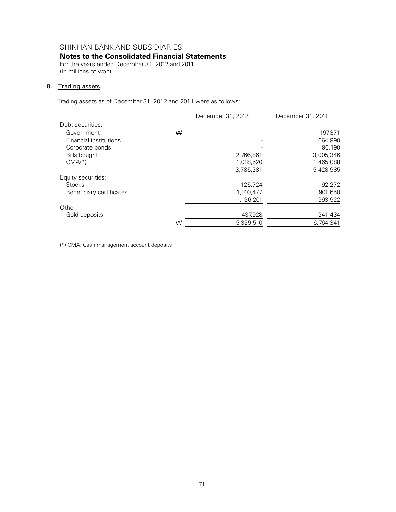## **Notes to the Consolidated Financial Statements**

For the years ended December 31, 2012 and 2011 (In millions of won)

## 8. Trading assets

Trading assets as of December 31, 2012 and 2011 were as follows:

|                          |   | December 31, 2012 | December 31, 2011 |
|--------------------------|---|-------------------|-------------------|
| Debt securities:         |   |                   |                   |
| Government               | W |                   | 197,371           |
| Financial institutions   |   |                   | 664,990           |
| Corporate bonds          |   |                   | 96,190            |
| Bills bought             |   | 2,766,861         | 3,005,346         |
| $CMA(*)$                 |   | 1,018,520         | 1,465,088         |
|                          |   | 3,785,381         | 5,428,985         |
| Equity securities:       |   |                   |                   |
| <b>Stocks</b>            |   | 125.724           | 92.272            |
| Beneficiary certificates |   | 1,010,477         | 901,650           |
|                          |   | 1,136,201         | 993,922           |
| Other:                   |   |                   |                   |
| Gold deposits            |   | 437,928           | 341,434           |
|                          | W | 5,359,510         | 6,764,341         |
|                          |   |                   |                   |

(\*) CMA: Cash management account deposits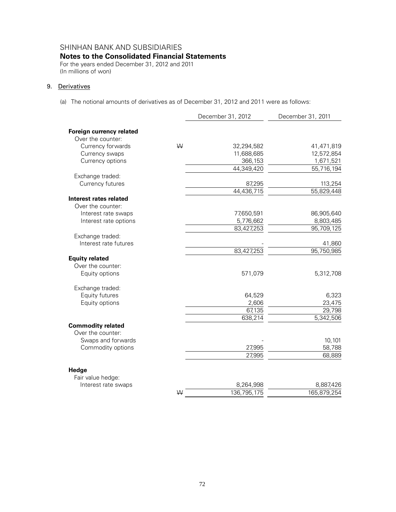## **Notes to the Consolidated Financial Statements**

For the years ended December 31, 2012 and 2011 (In millions of won)

## 9. Derivatives

(a) The notional amounts of derivatives as of December 31, 2012 and 2011 were as follows:

|                                               |   | December 31, 2012 | December 31, 2011 |
|-----------------------------------------------|---|-------------------|-------------------|
|                                               |   |                   |                   |
| Foreign currency related<br>Over the counter: |   |                   |                   |
| Currency forwards                             | W | 32,294,582        | 41,471,819        |
| Currency swaps                                |   | 11,688,685        | 12,572,854        |
| Currency options                              |   | 366,153           | 1,671,521         |
|                                               |   | 44,349,420        | 55,716,194        |
| Exchange traded:                              |   |                   |                   |
| Currency futures                              |   | 87,295            | 113,254           |
|                                               |   | 44,436,715        | 55,829,448        |
| Interest rates related                        |   |                   |                   |
| Over the counter:                             |   |                   |                   |
| Interest rate swaps                           |   | 77,650,591        | 86,905,640        |
| Interest rate options                         |   | 5,776,662         | 8,803,485         |
|                                               |   | 83,427,253        | 95,709,125        |
| Exchange traded:                              |   |                   |                   |
| Interest rate futures                         |   |                   | 41,860            |
|                                               |   | 83,427,253        | 95,750,985        |
| <b>Equity related</b>                         |   |                   |                   |
| Over the counter:                             |   |                   |                   |
| Equity options                                |   | 571,079           | 5,312,708         |
| Exchange traded:                              |   |                   |                   |
| Equity futures                                |   | 64,529            | 6,323             |
| Equity options                                |   | 2,606             | 23,475            |
|                                               |   | 67,135            | 29,798            |
|                                               |   | 638,214           | 5,342,506         |
| <b>Commodity related</b>                      |   |                   |                   |
| Over the counter:                             |   |                   |                   |
| Swaps and forwards                            |   |                   | 10,101            |
| Commodity options                             |   | 27,995            | 58,788            |
|                                               |   | 27,995            | 68,889            |
| Hedge                                         |   |                   |                   |
| Fair value hedge:                             |   |                   |                   |
| Interest rate swaps                           |   | 8,264,998         | 8,887,426         |
|                                               | W | 136,795,175       | 165,879,254       |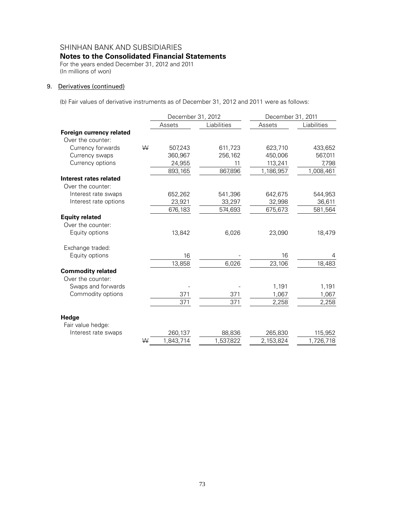## **Notes to the Consolidated Financial Statements**

For the years ended December 31, 2012 and 2011 (In millions of won)

#### 9. Derivatives (continued)

(b) Fair values of derivative instruments as of December 31, 2012 and 2011 were as follows:

|                          |   | December 31, 2012 |             | December 31, 2011 |             |
|--------------------------|---|-------------------|-------------|-------------------|-------------|
|                          |   | Assets            | Liabilities | Assets            | Liabilities |
| Foreign currency related |   |                   |             |                   |             |
| Over the counter:        |   |                   |             |                   |             |
| Currency forwards        | W | 507,243           | 611,723     | 623,710           | 433,652     |
| Currency swaps           |   | 360,967           | 256,162     | 450,006           | 567,011     |
| Currency options         |   | 24,955            | 11          | 113,241           | 7,798       |
|                          |   | 893,165           | 867,896     | 1,186,957         | 1,008,461   |
| Interest rates related   |   |                   |             |                   |             |
| Over the counter:        |   |                   |             |                   |             |
| Interest rate swaps      |   | 652,262           | 541,396     | 642,675           | 544,953     |
| Interest rate options    |   | 23,921            | 33,297      | 32,998            | 36,611      |
|                          |   | 676,183           | 574,693     | 675,673           | 581,564     |
| <b>Equity related</b>    |   |                   |             |                   |             |
| Over the counter:        |   |                   |             |                   |             |
| Equity options           |   | 13,842            | 6,026       | 23,090            | 18,479      |
| Exchange traded:         |   |                   |             |                   |             |
| Equity options           |   | 16                |             | 16                | 4           |
|                          |   | 13,858            | 6,026       | 23,106            | 18,483      |
| <b>Commodity related</b> |   |                   |             |                   |             |
| Over the counter:        |   |                   |             |                   |             |
| Swaps and forwards       |   |                   |             | 1,191             | 1,191       |
| Commodity options        |   | 371               | 371         | 1,067             | 1,067       |
|                          |   | 371               | 371         | 2,258             | 2,258       |
| Hedge                    |   |                   |             |                   |             |
| Fair value hedge:        |   |                   |             |                   |             |
| Interest rate swaps      |   | 260,137           | 88,836      | 265,830           | 115,952     |
|                          | W | 1,843,714         | 1,537,822   | 2,153,824         | 1,726,718   |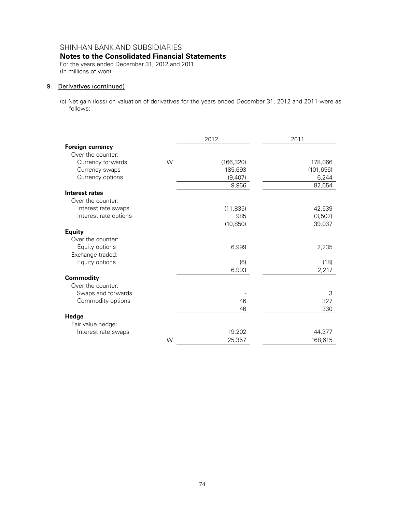## **Notes to the Consolidated Financial Statements**

For the years ended December 31, 2012 and 2011 (In millions of won)

## 9. Derivatives (continued)

(c) Net gain (loss) on valuation of derivatives for the years ended December 31, 2012 and 2011 were as follows:

|                         |    | 2012       | 2011       |
|-------------------------|----|------------|------------|
| <b>Foreign currency</b> |    |            |            |
| Over the counter:       |    |            |            |
| Currency forwards       | W. | (166, 320) | 178,066    |
| Currency swaps          |    | 185,693    | (101, 656) |
| Currency options        |    | (9,407)    | 6,244      |
|                         |    | 9,966      | 82,654     |
| Interest rates          |    |            |            |
| Over the counter:       |    |            |            |
| Interest rate swaps     |    | (11, 835)  | 42,539     |
| Interest rate options   |    | 985        | (3,502)    |
|                         |    | (10, 850)  | 39,037     |
| <b>Equity</b>           |    |            |            |
| Over the counter:       |    |            |            |
| Equity options          |    | 6,999      | 2,235      |
| Exchange traded:        |    |            |            |
| Equity options          |    | (6)        | (18)       |
|                         |    | 6,993      | 2,217      |
| <b>Commodity</b>        |    |            |            |
| Over the counter:       |    |            |            |
| Swaps and forwards      |    |            | 3          |
| Commodity options       |    | 46         | 327        |
|                         |    | 46         | 330        |
| Hedge                   |    |            |            |
| Fair value hedge:       |    |            |            |
| Interest rate swaps     |    | 19,202     | 44,377     |
|                         | W  | 25,357     | 168,615    |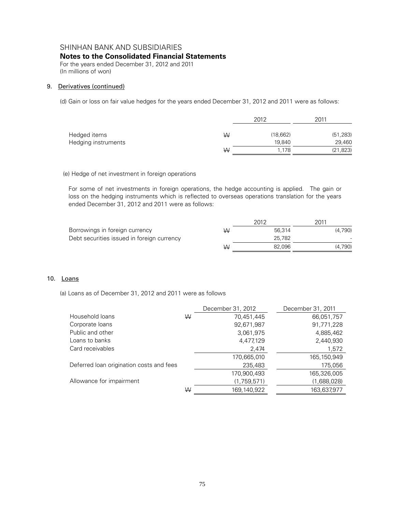## **Notes to the Consolidated Financial Statements**

For the years ended December 31, 2012 and 2011 (In millions of won)

#### 9. Derivatives (continued)

(d) Gain or loss on fair value hedges for the years ended December 31, 2012 and 2011 were as follows:

|                     |   | 2012      | 2011      |
|---------------------|---|-----------|-----------|
| Hedged items        | ₩ | (18, 662) | (51, 283) |
| Hedging instruments |   | 19,840    | 29,460    |
|                     | W | 1.178     | (21, 823) |

#### (e) Hedge of net investment in foreign operations

For some of net investments in foreign operations, the hedge accounting is applied. The gain or loss on the hedging instruments which is reflected to overseas operations translation for the years ended December 31, 2012 and 2011 were as follows:

|                                            |   | 2012   | 2011    |
|--------------------------------------------|---|--------|---------|
| Borrowings in foreign currency             | W | 56.314 | (4.790) |
| Debt securities issued in foreign currency |   | 25,782 |         |
|                                            | W | 82.096 | (4.790) |

#### 10. Loans

(a) Loans as of December 31, 2012 and 2011 were as follows

|                                          |   | December 31, 2012 | December 31, 2011 |
|------------------------------------------|---|-------------------|-------------------|
| Household loans                          | W | 70.451.445        | 66,051,757        |
| Corporate Ioans                          |   | 92,671,987        | 91,771,228        |
| Public and other                         |   | 3,061,975         | 4,885,462         |
| Loans to banks                           |   | 4,477,129         | 2,440,930         |
| Card receivables                         |   | 2,474             | 1,572             |
|                                          |   | 170,665,010       | 165,150,949       |
| Deferred loan origination costs and fees |   | 235,483           | 175,056           |
|                                          |   | 170,900,493       | 165,326,005       |
| Allowance for impairment                 |   | (1,759,571)       | (1,688,028)       |
|                                          | W | 169,140,922       | 163,637,977       |
|                                          |   |                   |                   |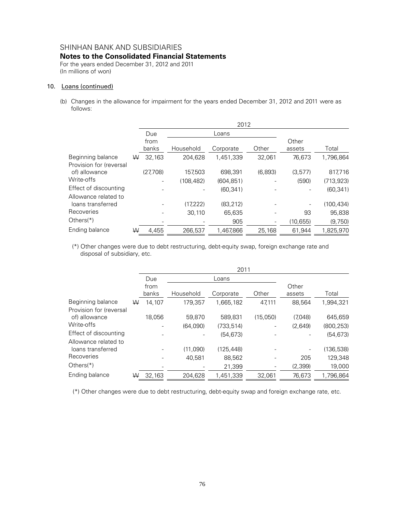#### **Notes to the Consolidated Financial Statements**

For the years ended December 31, 2012 and 2011 (In millions of won)

#### 10. Loans (continued)

(b) Changes in the allowance for impairment for the years ended December 31, 2012 and 2011 were as follows:

|                         |   | 2012          |            |            |         |                 |            |
|-------------------------|---|---------------|------------|------------|---------|-----------------|------------|
|                         |   | Due           |            | Loans      |         |                 |            |
|                         |   | from<br>banks | Household  | Corporate  | Other   | Other<br>assets | Total      |
| Beginning balance       | ₩ | 32.163        | 204.628    | 1,451,339  | 32,061  | 76,673          | 1,796,864  |
| Provision for (reversal |   |               |            |            |         |                 |            |
| of) allowance           |   | (27,708)      | 157,503    | 698,391    | (6,893) | (3.577)         | 817,716    |
| Write-offs              |   |               | (108, 482) | (604, 851) |         | (590)           | (713, 923) |
| Effect of discounting   |   |               |            | (60.341)   |         |                 | (60.341)   |
| Allowance related to    |   |               |            |            |         |                 |            |
| loans transferred       |   |               | (17, 222)  | (83, 212)  |         |                 | (100, 434) |
| Recoveries              |   |               | 30,110     | 65,635     |         | 93              | 95,838     |
| $Others(*)$             |   |               |            | 905        |         | (10, 655)       | (9,750)    |
| Ending balance          | ₩ | 4.455         | 266.537    | 1.467.866  | 25.168  | 61,944          | 1.825.970  |

(\*) Other changes were due to debt restructuring, debt-equity swap, foreign exchange rate and disposal of subsidiary, etc.

|                         |   | 2011   |           |            |          |          |            |
|-------------------------|---|--------|-----------|------------|----------|----------|------------|
|                         |   | Due    |           | Loans      |          |          |            |
|                         |   | from   |           |            |          | Other    |            |
|                         |   | banks  | Household | Corporate  | Other    | assets   | Total      |
| Beginning balance       | W | 14,107 | 179.357   | 1,665,182  | 47,111   | 88.564   | 1,994,321  |
| Provision for (reversal |   |        |           |            |          |          |            |
| of) allowance           |   | 18,056 | 59,870    | 589,831    | (15,050) | (7.048)  | 645,659    |
| Write-offs              |   |        | (64.090)  | (733, 514) |          | (2,649)  | (800, 253) |
| Effect of discounting   |   |        |           | (54,673)   |          |          | (54, 673)  |
| Allowance related to    |   |        |           |            |          |          |            |
| loans transferred       |   |        | (11,090)  | (125, 448) |          |          | (136, 538) |
| Recoveries              |   |        | 40.581    | 88,562     |          | 205      | 129,348    |
| $Others(*)$             |   |        |           | 21,399     |          | (2, 399) | 19,000     |
| Ending balance          | ₩ | 32,163 | 204,628   | 1,451,339  | 32,061   | 76,673   | 1,796,864  |

(\*) Other changes were due to debt restructuring, debt-equity swap and foreign exchange rate, etc.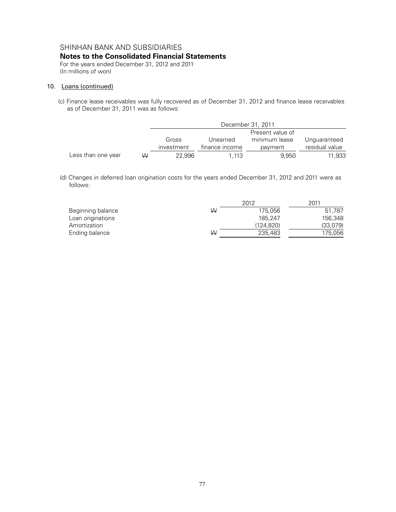# **Notes to the Consolidated Financial Statements**

For the years ended December 31, 2012 and 2011 (In millions of won)

#### 10. Loans (continued)

(c) Finance lease receivables was fully recovered as of December 31, 2012 and finance lease receivables as of December 31, 2011 was as follows:

|                    |   | December 31, 2011 |                |                  |                |  |
|--------------------|---|-------------------|----------------|------------------|----------------|--|
|                    |   |                   |                | Present value of |                |  |
|                    |   | Gross             | Unearned       | minimum lease    | Unguaranteed   |  |
|                    |   | investment        | finance income | payment          | residual value |  |
| Less than one year | W | 22,996            | 1.113          | 9.950            | 11,933         |  |

(d) Changes in deferred loan origination costs for the years ended December 31, 2012 and 2011 were as follows:

|                   |   | 2012      | 2011     |
|-------------------|---|-----------|----------|
| Beginning balance | W | 175.056   | 51.787   |
| Loan originations |   | 185.247   | 156.348  |
| Amortization      |   | (124.820) | (33,079) |
| Ending balance    | W | 235,483   | 175,056  |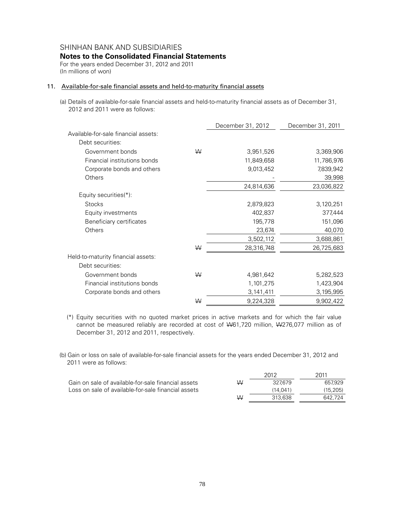#### **Notes to the Consolidated Financial Statements**

For the years ended December 31, 2012 and 2011 (In millions of won)

#### 11. Available-for-sale financial assets and held-to-maturity financial assets

(a) Details of available-for-sale financial assets and held-to-maturity financial assets as of December 31, 2012 and 2011 were as follows:

|                                      |   | December 31, 2012 | December 31, 2011 |
|--------------------------------------|---|-------------------|-------------------|
| Available-for-sale financial assets: |   |                   |                   |
| Debt securities:                     |   |                   |                   |
| Government bonds                     | W | 3,951,526         | 3,369,906         |
| Financial institutions bonds         |   | 11,849,658        | 11,786,976        |
| Corporate bonds and others           |   | 9,013,452         | 7,839,942         |
| <b>Others</b>                        |   |                   | 39,998            |
|                                      |   | 24,814,636        | 23,036,822        |
| Equity securities(*):                |   |                   |                   |
| <b>Stocks</b>                        |   | 2,879,823         | 3,120,251         |
| Equity investments                   |   | 402,837           | 377,444           |
| Beneficiary certificates             |   | 195,778           | 151,096           |
| <b>Others</b>                        |   | 23,674            | 40,070            |
|                                      |   | 3,502,112         | 3,688,861         |
|                                      | W | 28,316,748        | 26,725,683        |
| Held-to-maturity financial assets:   |   |                   |                   |
| Debt securities:                     |   |                   |                   |
| Government bonds                     | W | 4,981,642         | 5,282,523         |
| Financial institutions bonds         |   | 1,101,275         | 1,423,904         |
| Corporate bonds and others           |   | 3,141,411         | 3,195,995         |
|                                      | ₩ | 9,224,328         | 9,902,422         |

(\*) Equity securities with no quoted market prices in active markets and for which the fair value cannot be measured reliably are recorded at cost of W61,720 million, W276,077 million as of December 31, 2012 and 2011, respectively.

(b) Gain or loss on sale of available-for-sale financial assets for the years ended December 31, 2012 and 2011 were as follows:

|                                                     |   | 2012     | 2011     |
|-----------------------------------------------------|---|----------|----------|
| Gain on sale of available-for-sale financial assets | ₩ | 327.679  | 657.929  |
| Loss on sale of available-for-sale financial assets |   | (14.041) | (15.205) |
|                                                     | W | 313.638  | 642.724  |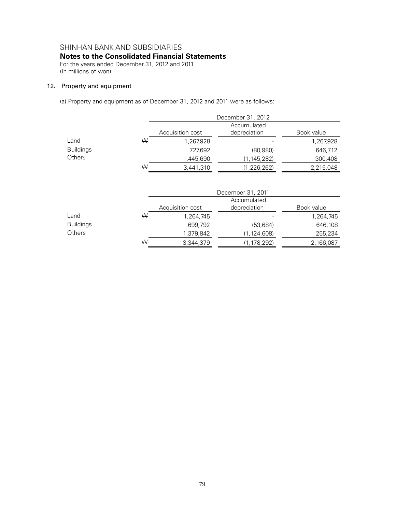## **Notes to the Consolidated Financial Statements**

For the years ended December 31, 2012 and 2011 (In millions of won)

#### 12. Property and equipment

(a) Property and equipment as of December 31, 2012 and 2011 were as follows:

|   | December 31, 2012 |               |            |  |  |
|---|-------------------|---------------|------------|--|--|
|   |                   | Accumulated   |            |  |  |
|   | Acquisition cost  | depreciation  | Book value |  |  |
| W | 1,267,928         |               | 1,267,928  |  |  |
|   | 727,692           | (80,980)      | 646,712    |  |  |
|   | 1,445,690         | (1, 145, 282) | 300,408    |  |  |
| W | 3,441,310         | (1,226,262)   | 2,215,048  |  |  |
|   |                   |               |            |  |  |

|                  |   | December 31, 2011<br>Accumulated |              |            |  |  |
|------------------|---|----------------------------------|--------------|------------|--|--|
|                  |   |                                  |              |            |  |  |
|                  |   | Acquisition cost                 | depreciation | Book value |  |  |
| Land             | W | 1,264,745                        |              | 1,264,745  |  |  |
| <b>Buildings</b> |   | 699,792                          | (53,684)     | 646,108    |  |  |
| <b>Others</b>    |   | 1,379,842                        | (1,124,608)  | 255,234    |  |  |
|                  | W | 3,344,379                        | (1,178,292)  | 2,166,087  |  |  |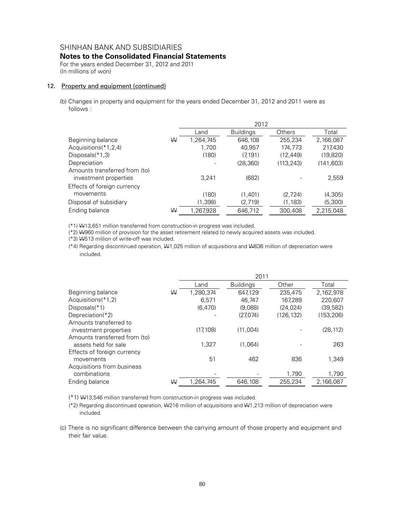#### **Notes to the Consolidated Financial Statements**

For the years ended December 31, 2012 and 2011 (In millions of won)

#### 12. Property and equipment (continued)

(b) Changes in property and equipment for the years ended December 31, 2012 and 2011 were as follows :

|                               |   | 2012      |                  |            |            |
|-------------------------------|---|-----------|------------------|------------|------------|
|                               |   | Land      | <b>Buildings</b> | Others     | Total      |
| Beginning balance             | W | 1,264,745 | 646,108          | 255,234    | 2,166,087  |
| Acquisitions (*1,2,4)         |   | 1,700     | 40.957           | 174,773    | 217,430    |
| Disposals(*1,3)               |   | (180)     | (7, 191)         | (12, 449)  | (19, 820)  |
| Depreciation                  |   |           | (28, 360)        | (113, 243) | (141, 603) |
| Amounts transferred from (to) |   |           |                  |            |            |
| investment properties         |   | 3.241     | (682)            |            | 2,559      |
| Effects of foreign currency   |   |           |                  |            |            |
| movements                     |   | (180)     | (1,401)          | (2,724)    | (4,305)    |
| Disposal of subsidiary        |   | (1,398)   | (2,719)          | (1, 183)   | (5,300)    |
| Ending balance                | W | 1.267.928 | 646.712          | 300,408    | 2.215.048  |

(\*1) W13,651 million transferred from construction-in progress was included.

(\*2) W960 million of provision for the asset retirement related to newly acquired assets was included.

(\*3) W513 million of write-off was included.

(\*4) Regarding discontinued operation, W1,025 million of acquisitions and W636 million of depreciation were included.

|                                                                                  |   | 2011      |                  |            |            |
|----------------------------------------------------------------------------------|---|-----------|------------------|------------|------------|
|                                                                                  |   | Land      | <b>Buildings</b> | Other      | Total      |
| Beginning balance                                                                | W | 1,280,374 | 647,129          | 235,475    | 2,162,978  |
| Acquisitions (*1,2)                                                              |   | 6.571     | 46,747           | 167,289    | 220,607    |
| $Disposals(*1)$                                                                  |   | (6, 470)  | (9.088)          | (24.024)   | (39.582)   |
| Depreciation(*2)                                                                 |   |           | (27,074)         | (126, 132) | (153, 206) |
| Amounts transferred to<br>investment properties<br>Amounts transferred from (to) |   | (17, 108) | (11,004)         |            | (28, 112)  |
| assets held for sale                                                             |   | 1.327     | (1.064)          |            | 263        |
| Effects of foreign currency<br>movements                                         |   | 51        | 462              | 836        | 1,349      |
| Acquisitions from business<br>combinations                                       |   |           |                  | 1,790      | 1,790      |
| Ending balance                                                                   | W | 1.264.745 | 646.108          | 255.234    | 2.166.087  |

(\*1) W13,546 million transferred from construction-in progress was included.

(\*2) Regarding discontinued operation, W216 million of acquisitions and W1,213 million of depreciation were included.

(c) There is no significant difference between the carrying amount of those property and equipment and their fair value.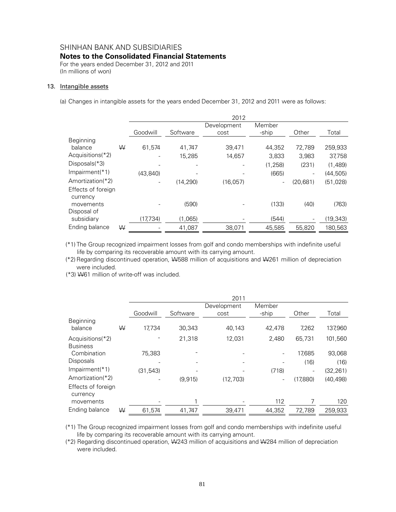**Notes to the Consolidated Financial Statements** 

For the years ended December 31, 2012 and 2011 (In millions of won)

#### 13. Intangible assets

(a) Changes in intangible assets for the years ended December 31, 2012 and 2011 were as follows:

|                                |   |           |           | 2012        |          |                          |           |
|--------------------------------|---|-----------|-----------|-------------|----------|--------------------------|-----------|
|                                |   |           |           | Development | Member   |                          |           |
|                                |   | Goodwill  | Software  | cost        | -ship    | Other                    | Total     |
| Beginning                      |   |           |           |             |          |                          |           |
| balance                        | W | 61,574    | 41,747    | 39,471      | 44,352   | 72,789                   | 259,933   |
| Acquisitions(*2)               |   |           | 15,285    | 14,657      | 3,833    | 3,983                    | 37,758    |
| $Disposals(*3)$                |   |           |           |             | (1, 258) | (231)                    | (1,489)   |
| $Impairment(*1)$               |   | (43.840)  |           |             | (665)    | $\overline{\phantom{0}}$ | (44,505)  |
| Amortization(*2)               |   |           | (14, 290) | (16,057)    |          | (20, 681)                | (51, 028) |
| Effects of foreign<br>currency |   |           |           |             |          |                          |           |
| movements                      |   |           | (590)     |             | (133)    | (40)                     | (763)     |
| Disposal of                    |   |           |           |             |          |                          |           |
| subsidiary                     |   | (17, 734) | (1,065)   |             | (544)    |                          | (19,343)  |
| Ending balance                 | W |           | 41,087    | 38.071      | 45.585   | 55,820                   | 180,563   |

(\*1) The Group recognized impairment losses from golf and condo memberships with indefinite useful life by comparing its recoverable amount with its carrying amount.

(\*2) Regarding discontinued operation, W588 million of acquisitions and W261 million of depreciation were included.

(\*3) W61 million of write-off was included.

|                                        |   |           |          | 2011                |                 |          |           |
|----------------------------------------|---|-----------|----------|---------------------|-----------------|----------|-----------|
|                                        |   | Goodwill  | Software | Development<br>cost | Member<br>-ship | Other    | Total     |
| <b>Beginning</b><br>balance            | ₩ | 17,734    | 30,343   | 40,143              | 42,478          | 7,262    | 137,960   |
| Acquisitions(*2)<br><b>Business</b>    |   |           | 21,318   | 12,031              | 2,480           | 65,731   | 101,560   |
| Combination                            |   | 75,383    |          |                     |                 | 17,685   | 93,068    |
| Disposals                              |   |           |          |                     |                 | (16)     | (16)      |
| Impairment(*1)                         |   | (31, 543) |          |                     | (718)           |          | (32, 261) |
| Amortization(*2)<br>Effects of foreign |   |           | (9, 915) | (12, 703)           |                 | (17,880) | (40, 498) |
| currency<br>movements                  |   |           |          |                     | 112             | 7        | 120       |
| Ending balance                         | W | 61,574    | 41,747   | 39,471              | 44,352          | 72,789   | 259,933   |

(\*1) The Group recognized impairment losses from golf and condo memberships with indefinite useful life by comparing its recoverable amount with its carrying amount.

(\*2) Regarding discontinued operation, W243 million of acquisitions and W284 million of depreciation were included.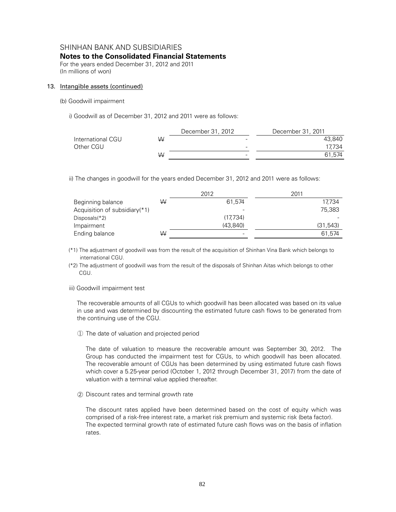#### **Notes to the Consolidated Financial Statements**

For the years ended December 31, 2012 and 2011 (In millions of won)

#### 13. Intangible assets (continued)

(b) Goodwill impairment

i) Goodwill as of December 31, 2012 and 2011 were as follows:

|                   |   | December 31, 2012 | December 31, 2011 |
|-------------------|---|-------------------|-------------------|
| International CGU | W | -                 | 43.840            |
| Other CGU         |   | -                 | 17.734            |
|                   |   | -                 | 61.574            |

ii) The changes in goodwill for the years ended December 31, 2012 and 2011 were as follows:

|                                  |   | 2012                     | 2011      |
|----------------------------------|---|--------------------------|-----------|
| Beginning balance                | W | 61.574                   | 17,734    |
| Acquisition of subsidiary $(*1)$ |   | -                        | 75,383    |
| $Disposals(*2)$                  |   | (17.734)                 |           |
| Impairment                       |   | (43, 840)                | (31, 543) |
| Ending balance                   | W | $\overline{\phantom{0}}$ | 61.574    |

(\*1) The adjustment of goodwill was from the result of the acquisition of Shinhan Vina Bank which belongs to international CGU.

(\*2) The adjustment of goodwill was from the result of the disposals of Shinhan Aitas which belongs to other CGU.

#### iii) Goodwill impairment test

The recoverable amounts of all CGUs to which goodwill has been allocated was based on its value in use and was determined by discounting the estimated future cash flows to be generated from the continuing use of the CGU.

① The date of valuation and projected period

The date of valuation to measure the recoverable amount was September 30, 2012. The Group has conducted the impairment test for CGUs, to which goodwill has been allocated. The recoverable amount of CGUs has been determined by using estimated future cash flows which cover a 5.25-year period (October 1, 2012 through December 31, 2017) from the date of valuation with a terminal value applied thereafter.

② Discount rates and terminal growth rate

The discount rates applied have been determined based on the cost of equity which was comprised of a risk-free interest rate, a market risk premium and systemic risk (beta factor). The expected terminal growth rate of estimated future cash flows was on the basis of inflation rates.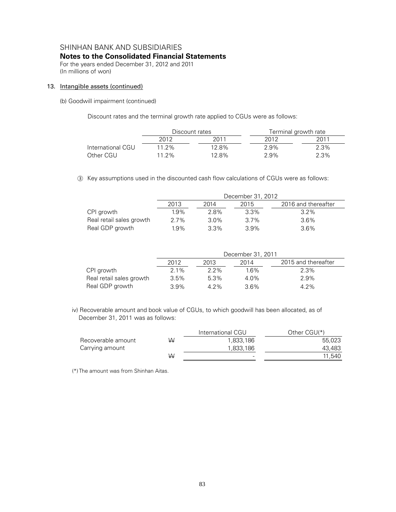# SHINHAN BANK AND SUBSIDIARIES **Notes to the Consolidated Financial Statements**  For the years ended December 31, 2012 and 2011

(In millions of won)

#### 13. Intangible assets (continued)

#### (b) Goodwill impairment (continued)

Discount rates and the terminal growth rate applied to CGUs were as follows:

|                   | Discount rates |       | Terminal growth rate |      |
|-------------------|----------------|-------|----------------------|------|
|                   | 2012           | 2011  | 2012                 | 2011 |
| International CGU | $11.2\%$       | 12.8% | 2.9%                 | 2.3% |
| Other CGU         | $11.2\%$       | 12.8% | 2.9%                 | 2.3% |

③ Key assumptions used in the discounted cash flow calculations of CGUs were as follows:

|                          | December 31, 2012 |                                     |         |         |  |  |  |
|--------------------------|-------------------|-------------------------------------|---------|---------|--|--|--|
|                          | 2013              | 2016 and thereafter<br>2014<br>2015 |         |         |  |  |  |
| CPI growth               | $1.9\%$           | 2.8%                                | $3.3\%$ | $3.2\%$ |  |  |  |
| Real retail sales growth | 2.7%              | 3.0%                                | $3.7\%$ | $3.6\%$ |  |  |  |
| Real GDP growth          | $1.9\%$           | 3.3%                                | 3.9%    | 3.6%    |  |  |  |

|                          | December 31, 2011 |                                     |         |         |  |  |  |  |
|--------------------------|-------------------|-------------------------------------|---------|---------|--|--|--|--|
|                          | 2012              | 2015 and thereafter<br>2014<br>2013 |         |         |  |  |  |  |
| CPI growth               | $2.1\%$           | $2.2\%$                             | $1.6\%$ | 2.3%    |  |  |  |  |
| Real retail sales growth | 3.5%              | 5.3%                                | $4.0\%$ | 2.9%    |  |  |  |  |
| Real GDP growth          | 3.9%              | $4.2\%$                             | $3.6\%$ | $4.2\%$ |  |  |  |  |

iv) Recoverable amount and book value of CGUs, to which goodwill has been allocated, as of December 31, 2011 was as follows:

|                    |   | International CGU | Other CGU(*) |
|--------------------|---|-------------------|--------------|
| Recoverable amount | W | 1.833.186         | 55.023       |
| Carrying amount    |   | 1,833,186         | 43.483       |
|                    | W | -                 | 11.540       |

(\*) The amount was from Shinhan Aitas.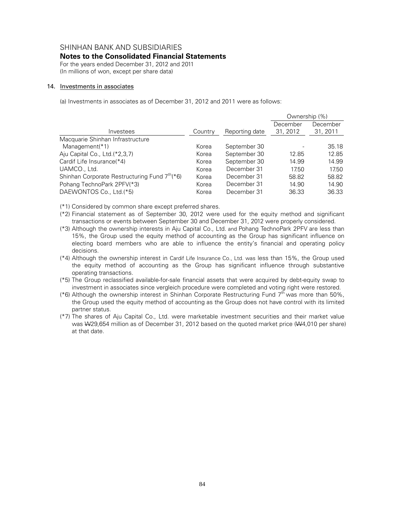#### **Notes to the Consolidated Financial Statements**

For the years ended December 31, 2012 and 2011 (In millions of won, except per share data)

#### 14. Investments in associates

(a) Investments in associates as of December 31, 2012 and 2011 were as follows:

|                                                                      |         |                | Ownership (%) |          |
|----------------------------------------------------------------------|---------|----------------|---------------|----------|
|                                                                      |         |                | December      | December |
| Investees                                                            | Country | Reporting date | 31, 2012      | 31, 2011 |
| Macquarie Shinhan Infrastructure                                     |         |                |               |          |
| Management(*1)                                                       | Korea   | September 30   |               | 35.18    |
| Aju Capital Co., Ltd.(*2,3,7)                                        | Korea   | September 30   | 12.85         | 12.85    |
| Cardif Life Insurance(*4)                                            | Korea   | September 30   | 14.99         | 14.99    |
| UAMCO., Ltd.                                                         | Korea   | December 31    | 17.50         | 17.50    |
| Shinhan Corporate Restructuring Fund 7 <sup>th</sup> <sup>(*6)</sup> | Korea   | December 31    | 58.82         | 58.82    |
| Pohang TechnoPark 2PFV(*3)                                           | Korea   | December 31    | 14.90         | 14.90    |
| DAEWONTOS Co., Ltd.(*5)                                              | Korea   | December 31    | 36.33         | 36.33    |

(\*1) Considered by common share except preferred shares.

- (\*2) Financial statement as of September 30, 2012 were used for the equity method and significant transactions or events between September 30 and December 31, 2012 were properly considered.
- (\*3) Although the ownership interests in Aju Capital Co., Ltd. and Pohang TechnoPark 2PFV are less than 15%, the Group used the equity method of accounting as the Group has significant influence on electing board members who are able to influence the entity's financial and operating policy decisions.
- (\*4) Although the ownership interest in Cardif Life Insurance Co., Ltd. was less than 15%, the Group used the equity method of accounting as the Group has significant influence through substantive operating transactions.
- (\*5) The Group reclassified available-for-sale financial assets that were acquired by debt-equity swap to investment in associates since vergleich procedure were completed and voting right were restored.
- (\*6) Although the ownership interest in Shinhan Corporate Restructuring Fund  $7<sup>th</sup>$  was more than 50%, the Group used the equity method of accounting as the Group does not have control with its limited partner status.
- (\*7) The shares of Aju Capital Co., Ltd. were marketable investment securities and their market value was W29,654 million as of December 31, 2012 based on the quoted market price (W4,010 per share) at that date.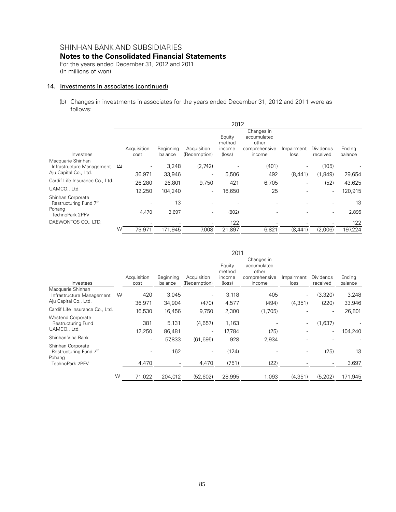# SHINHAN BANK AND SUBSIDIARIES **Notes to the Consolidated Financial Statements**  For the years ended December 31, 2012 and 2011

(In millions of won)

#### 14. Investments in associates (continued)

(b) Changes in investments in associates for the years ended December 31, 2012 and 2011 were as follows:

|                                                         | 2012 |                     |                      |                             |                                               |                                                               |                    |                              |                   |
|---------------------------------------------------------|------|---------------------|----------------------|-----------------------------|-----------------------------------------------|---------------------------------------------------------------|--------------------|------------------------------|-------------------|
| Investees                                               |      | Acquisition<br>cost | Beginning<br>balance | Acquisition<br>(Redemption) | Equity<br>method<br>income<br>$(\text{loss})$ | Changes in<br>accumulated<br>other<br>comprehensive<br>income | Impairment<br>loss | <b>Dividends</b><br>received | Ending<br>balance |
| Macquarie Shinhan<br>Infrastructure Management          | W    |                     | 3,248                | (2,742)                     |                                               | (401)                                                         |                    | (105)                        |                   |
| Aju Capital Co., Ltd.                                   |      | 36,971              | 33,946               | ۰                           | 5,506                                         | 492                                                           | (8,441)            | (1.849)                      | 29,654            |
| Cardif Life Insurance Co., Ltd.                         |      | 26,280              | 26,801               | 9.750                       | 421                                           | 6,705                                                         | ٠                  | (52)                         | 43,625            |
| UAMCO., Ltd.                                            |      | 12.250              | 104,240              | ۰                           | 16,650                                        | 25                                                            |                    |                              | 120,915           |
| Shinhan Corporate<br>Restructuring Fund 7 <sup>th</sup> |      | ۰                   | 13                   |                             |                                               |                                                               |                    |                              | 13                |
| Pohang<br>TechnoPark 2PFV                               |      | 4,470               | 3,697                |                             | (802)                                         |                                                               |                    | ۰                            | 2,895             |
| DAEWONTOS CO., LTD.                                     |      |                     |                      |                             | 122                                           |                                                               |                    |                              | 122               |
|                                                         | W    | 79,971              | 171.945              | 7,008                       | 21,897                                        | 6,821                                                         | (8, 441)           | (2,006)                      | 197,224           |

|                                                                   |   | 2011        |           |              |                 |               |            |                  |         |
|-------------------------------------------------------------------|---|-------------|-----------|--------------|-----------------|---------------|------------|------------------|---------|
|                                                                   |   |             |           |              |                 | Changes in    |            |                  |         |
|                                                                   |   |             |           |              | Equity          | accumulated   |            |                  |         |
|                                                                   |   |             |           |              | method          | other         |            |                  |         |
|                                                                   |   | Acquisition | Beginning | Acquisition  | income          | comprehensive | Impairment | <b>Dividends</b> | Ending  |
| Investees                                                         |   | cost        | balance   | (Redemption) | $(\text{loss})$ | income        | loss       | received         | balance |
| Macquarie Shinhan                                                 |   |             |           |              |                 |               |            |                  |         |
| Infrastructure Management                                         | ₩ | 420         | 3,045     |              | 3,118           | 405           |            | (3,320)          | 3,248   |
| Aju Capital Co., Ltd.                                             |   | 36,971      | 34,904    | (470)        | 4,577           | (494)         | (4, 351)   | (220)            | 33,946  |
| Cardif Life Insurance Co., Ltd.                                   |   | 16,530      | 16,456    | 9,750        | 2,300           | (1,705)       |            |                  | 26,801  |
| <b>Westend Corporate</b>                                          |   |             |           |              |                 |               |            |                  |         |
| Restructuring Fund                                                |   | 381         | 5,131     | (4,657)      | 1,163           |               |            | (1,637)          |         |
| UAMCO., Ltd.                                                      |   | 12,250      | 86,481    | ٠            | 17,784          | (25)          |            |                  | 104,240 |
| Shinhan Vina Bank                                                 |   | ٠           | 57,833    | (61, 695)    | 928             | 2,934         |            |                  |         |
| Shinhan Corporate<br>Restructuring Fund 7 <sup>th</sup><br>Pohang |   |             | 162       |              | (124)           |               | ٠          | (25)             | 13      |
| TechnoPark 2PFV                                                   |   | 4,470       |           | 4,470        | (751)           | (22)          |            |                  | 3,697   |
|                                                                   | W | 71,022      | 204,012   | (52, 602)    | 28,995          | 1,093         | (4, 351)   | (5, 202)         | 171,945 |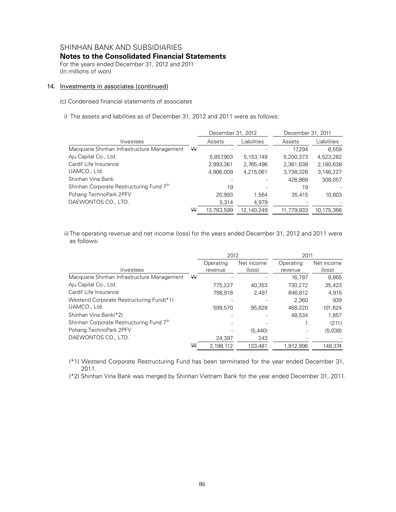## SHINHAN BANK AND SUBSIDIARIES **Notes to the Consolidated Financial Statements**  For the years ended December 31, 2012 and 2011

(In millions of won)

#### 14. Investments in associates (continued)

#### (c) Condensed financial statements of associates

i) The assets and liabilities as of December 31, 2012 and 2011 were as follows:

|                                                      |   | December 31, 2012 |             | December 31, 2011 |             |
|------------------------------------------------------|---|-------------------|-------------|-------------------|-------------|
| Investees                                            |   | Assets            | Liabilities | Assets            | Liabilities |
| Macquarie Shinhan Infrastructure Management          | ₩ |                   |             | 17.294            | 6,559       |
| Aju Capital Co., Ltd.                                |   | 5,857,903         | 5, 153, 149 | 5,200,373         | 4,523,282   |
| Cardif Life Insurance                                |   | 2,993,361         | 2,765,496   | 2,361,638         | 2,180,638   |
| UAMCO., Ltd.                                         |   | 4,906,009         | 4,215,061   | 3,738,326         | 3,146,227   |
| Shinhan Vina Bank                                    |   |                   |             | 426,868           | 308,057     |
| Shinhan Corporate Restructuring Fund 7 <sup>th</sup> |   | 19                |             | 19                |             |
| Pohang TechnoPark 2PFV                               |   | 20,993            | 1.564       | 35,415            | 10,603      |
| DAEWONTOS CO., LTD.                                  |   | 5.314             | 4,979       |                   |             |
|                                                      | ₩ | 13.783.599        | 12.140.249  | 11.779.933        | 10,175,366  |

ii) The operating revenue and net income (loss) for the years ended December 31, 2012 and 2011 were as follows:

|                                             |   | 2012      |                 | 2011      |                 |
|---------------------------------------------|---|-----------|-----------------|-----------|-----------------|
|                                             |   | Operating | Net income      | Operating | Net income      |
| Investees                                   |   | revenue   | $(\text{loss})$ | revenue   | $(\text{loss})$ |
| Macquarie Shinhan Infrastructure Management | ₩ |           |                 | 16.797    | 8.865           |
| Aju Capital Co., Ltd.                       |   | 775,227   | 40,353          | 730,272   | 35,423          |
| Cardif Life Insurance                       |   | 798.918   | 2,497           | 646.812   | 4,915           |
| Westend Corporate Restructuring Fund(*1)    |   |           |                 | 2.360     | 939             |
| UAMCO., Ltd.                                |   | 599,570   | 95.828          | 468,220   | 101.624         |
| Shinhan Vina Bank(*2)                       |   |           |                 | 48.534    | 1.857           |
| Shinhan Corporate Restructuring Fund 7th    |   |           |                 |           | (211)           |
| Pohang TechnoPark 2PFV                      |   |           | (5.440)         |           | (5,038)         |
| DAEWONTOS CO., LTD.                         |   | 24,397    | 243             |           |                 |
|                                             | W | 2,198,112 | 133,481         | 1,912,996 | 148,374         |

(\*1) Westend Corporate Restructuring Fund has been terminated for the year ended December 31, 2011.

(\*2) Shinhan Vina Bank was merged by Shinhan Vietnam Bank for the year ended December 31, 2011.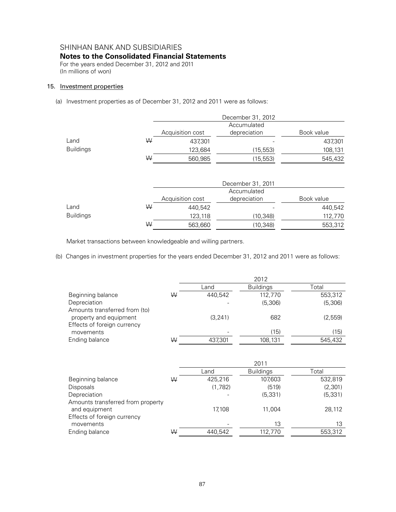## **Notes to the Consolidated Financial Statements**

For the years ended December 31, 2012 and 2011 (In millions of won)

#### 15. Investment properties

(a) Investment properties as of December 31, 2012 and 2011 were as follows:

|                  |   |                  | December 31, 2012 |            |
|------------------|---|------------------|-------------------|------------|
|                  |   |                  |                   |            |
|                  |   | Acquisition cost | depreciation      | Book value |
| Land             | W | 437,301          |                   | 437,301    |
| <b>Buildings</b> |   | 123,684          | (15,553)          | 108,131    |
|                  | W | 560,985          | (15,553)          | 545,432    |

|         | December 31, 2011 |              |
|---------|-------------------|--------------|
|         | Accumulated       |              |
|         |                   | Book value   |
| 440.542 |                   | 440,542      |
| 123,118 | (10, 348)         | 112,770      |
| 563,660 | (10,348)          | 553,312      |
|         | Acquisition cost  | depreciation |

Market transactions between knowledgeable and willing partners.

(b) Changes in investment properties for the years ended December 31, 2012 and 2011 were as follows:

|                               |   |         | 2012             |         |
|-------------------------------|---|---------|------------------|---------|
|                               |   | Land    | <b>Buildings</b> | Total   |
| Beginning balance             | W | 440.542 | 112,770          | 553,312 |
| Depreciation                  |   |         | (5,306)          | (5,306) |
| Amounts transferred from (to) |   |         |                  |         |
| property and equipment        |   | (3.241) | 682              | (2,559) |
| Effects of foreign currency   |   |         |                  |         |
| movements                     |   |         | (15)             | (15)    |
| Ending balance                | W | 437.301 | 108,131          | 545.432 |

|                                                    |   |         | 2011             |          |
|----------------------------------------------------|---|---------|------------------|----------|
|                                                    |   | Land    | <b>Buildings</b> | Total    |
| Beginning balance                                  | W | 425,216 | 107,603          | 532,819  |
| <b>Disposals</b>                                   |   | (1,782) | (519)            | (2, 301) |
| Depreciation                                       |   |         | (5, 331)         | (5, 331) |
| Amounts transferred from property<br>and equipment |   | 17.108  | 11.004           | 28,112   |
| Effects of foreign currency                        |   |         |                  |          |
| movements                                          |   |         | 13               | 13       |
| Ending balance                                     | W | 440,542 | 112,770          | 553,312  |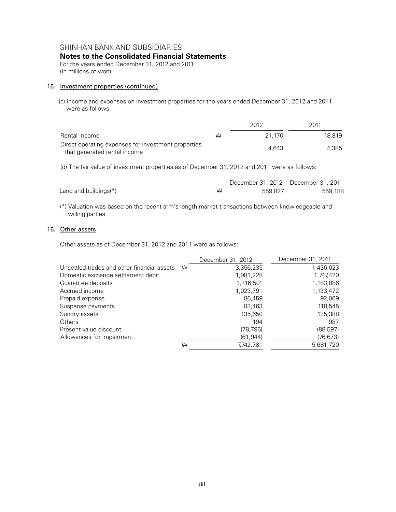#### **Notes to the Consolidated Financial Statements**

For the years ended December 31, 2012 and 2011 (In millions of won)

#### 15. Investment properties (continued)

(c) Income and expenses on investment properties for the years ended December 31, 2012 and 2011 were as follows:

|                                                                                     |   | 2012   | 2011   |
|-------------------------------------------------------------------------------------|---|--------|--------|
| Rental Income                                                                       | W | 21.170 | 18.819 |
| Direct operating expenses for investment properties<br>that generated rental income |   | 4.643  | 4.385  |

(d) The fair value of investment properties as of December 31, 2012 and 2011 were as follows:

|                          | December 31, 2012  December 31, 2011 |         |
|--------------------------|--------------------------------------|---------|
| Land and buildings $(*)$ | 559.827                              | 559,188 |

(\*) Valuation was based on the recent arm's length market transactions between knowledgeable and willing parties.

#### 16. Other assets

Other assets as of December 31, 2012 and 2011 were as follows:

|                                             |   | December 31, 2012 | December 31, 2011 |
|---------------------------------------------|---|-------------------|-------------------|
| Unsettled trades and other financial assets | ₩ | 3,356,235         | 1,436,023         |
| Domestic exchange settlement debit          |   | 1,981,228         | 1,747,420         |
| Guarantee deposits                          |   | 1,216,501         | 1,183,086         |
| Accrued income                              |   | 1,023,791         | 1,133,472         |
| Prepaid expense                             |   | 86.459            | 92.069            |
| Suspense payments                           |   | 83.463            | 118,545           |
| Sundry assets                               |   | 135,650           | 135,388           |
| <b>Others</b>                               |   | 194               | 987               |
| Present value discount                      |   | (78, 796)         | (88, 597)         |
| Allowances for impairment                   |   | (61,944)          | (76,673)          |
|                                             | ₩ | 7.742.781         | 5,681,720         |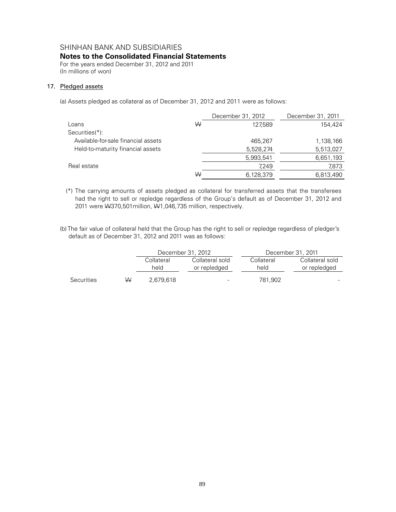## **Notes to the Consolidated Financial Statements**

For the years ended December 31, 2012 and 2011 (In millions of won)

#### 17. Pledged assets

(a) Assets pledged as collateral as of December 31, 2012 and 2011 were as follows:

|                                     |   | December 31, 2012 | December 31, 2011 |
|-------------------------------------|---|-------------------|-------------------|
| Loans                               | W | 127.589           | 154.424           |
| Securities(*):                      |   |                   |                   |
| Available-for-sale financial assets |   | 465,267           | 1,138,166         |
| Held-to-maturity financial assets   |   | 5,528,274         | 5,513,027         |
|                                     |   | 5,993,541         | 6,651,193         |
| Real estate                         |   | 7.249             | 7,873             |
|                                     | W | 6,128,379         | 6,813,490         |
|                                     |   |                   |                   |

(\*) The carrying amounts of assets pledged as collateral for transferred assets that the transferees had the right to sell or repledge regardless of the Group's default as of December 31, 2012 and 2011 were W370,501million, W1,046,735 million, respectively.

(b) The fair value of collateral held that the Group has the right to sell or repledge regardless of pledger's default as of December 31, 2012 and 2011 was as follows:

|                   |   |                    | December 31, 2012               | December 31, 2011  |                                 |  |
|-------------------|---|--------------------|---------------------------------|--------------------|---------------------------------|--|
|                   |   | Collateral<br>held | Collateral sold<br>or repledged | Collateral<br>held | Collateral sold<br>or repledged |  |
| <b>Securities</b> | W | 2.679.618          | -                               | 781.902            |                                 |  |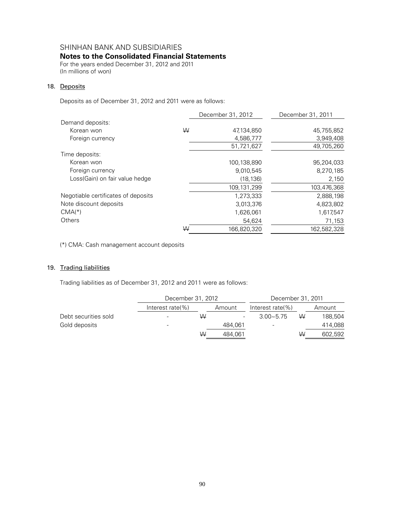## **Notes to the Consolidated Financial Statements**

For the years ended December 31, 2012 and 2011 (In millions of won)

### 18. Deposits

Deposits as of December 31, 2012 and 2011 were as follows:

|                                     |   | December 31, 2012 | December 31, 2011 |
|-------------------------------------|---|-------------------|-------------------|
| Demand deposits:                    |   |                   |                   |
| Korean won                          | W | 47,134,850        | 45,755,852        |
| Foreign currency                    |   | 4,586,777         | 3,949,408         |
|                                     |   | 51,721,627        | 49,705,260        |
| Time deposits:                      |   |                   |                   |
| Korean won                          |   | 100,138,890       | 95,204,033        |
| Foreign currency                    |   | 9,010,545         | 8,270,185         |
| Loss(Gain) on fair value hedge      |   | (18, 136)         | 2,150             |
|                                     |   | 109, 131, 299     | 103,476,368       |
| Negotiable certificates of deposits |   | 1,273,333         | 2,888,198         |
| Note discount deposits              |   | 3,013,376         | 4,823,802         |
| $CMA(*)$                            |   | 1,626,061         | 1,617,547         |
| Others                              |   | 54,624            | 71,153            |
|                                     | W | 166,820,320       | 162,582,328       |

(\*) CMA: Cash management account deposits

## 19. Trading liabilities

Trading liabilities as of December 31, 2012 and 2011 were as follows:

|                      |                          | December 31, 2012 |         |                  | December 31, 2011 |         |  |
|----------------------|--------------------------|-------------------|---------|------------------|-------------------|---------|--|
|                      | Interest rate $(\%)$     |                   | Amount  | Interest rate(%) |                   | Amount  |  |
| Debt securities sold | $\overline{\phantom{a}}$ | ₩                 |         | $3.00 - 5.75$    | ₩                 | 188.504 |  |
| Gold deposits        | -                        |                   | 484.061 |                  |                   | 414,088 |  |
|                      |                          | W                 | 484.061 |                  | W                 | 602.592 |  |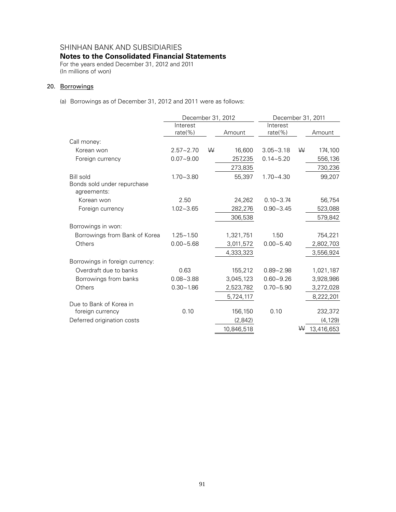## **Notes to the Consolidated Financial Statements**

For the years ended December 31, 2012 and 2011 (In millions of won)

## 20. Borrowings

(a) Borrowings as of December 31, 2012 and 2011 were as follows:

|                                                                | December 31, 2012     |   | December 31, 2011 |                        |   |            |
|----------------------------------------------------------------|-----------------------|---|-------------------|------------------------|---|------------|
|                                                                | Interest<br>$rate$ %) |   | Amount            | Interest<br>$rate(\%)$ |   | Amount     |
| Call money:                                                    |                       |   |                   |                        |   |            |
| Korean won                                                     | $2.57 - 2.70$         | W | 16,600            | $3.05 - 3.18$          | W | 174,100    |
| Foreign currency                                               | $0.07 - 9.00$         |   | 257,235           | $0.14 - 5.20$          |   | 556,136    |
|                                                                |                       |   | 273,835           |                        |   | 730,236    |
| <b>Bill sold</b><br>Bonds sold under repurchase<br>agreements: | $1.70 - 3.80$         |   | 55,397            | $1.70 - 4.30$          |   | 99,207     |
| Korean won                                                     | 2.50                  |   | 24,262            | $0.10 - 3.74$          |   | 56,754     |
| Foreign currency                                               | $1.02 - 3.65$         |   | 282,276           | $0.90 - 3.45$          |   | 523,088    |
|                                                                |                       |   | 306,538           |                        |   | 579,842    |
| Borrowings in won:                                             |                       |   |                   |                        |   |            |
| Borrowings from Bank of Korea                                  | $1.25 - 1.50$         |   | 1,321,751         | 1.50                   |   | 754,221    |
| Others                                                         | $0.00 - 5.68$         |   | 3,011,572         | $0.00 - 5.40$          |   | 2,802,703  |
|                                                                |                       |   | 4,333,323         |                        |   | 3,556,924  |
| Borrowings in foreign currency:                                |                       |   |                   |                        |   |            |
| Overdraft due to banks                                         | 0.63                  |   | 155,212           | $0.89 - 2.98$          |   | 1,021,187  |
| Borrowings from banks                                          | $0.08 - 3.88$         |   | 3,045,123         | $0.60 - 9.26$          |   | 3,928,986  |
| Others                                                         | $0.30 - 1.86$         |   | 2,523,782         | $0.70 - 5.90$          |   | 3,272,028  |
|                                                                |                       |   | 5,724,117         |                        |   | 8,222,201  |
| Due to Bank of Korea in                                        |                       |   |                   |                        |   |            |
| foreign currency                                               | 0.10                  |   | 156,150           | 0.10                   |   | 232,372    |
| Deferred origination costs                                     |                       |   | (2, 842)          |                        |   | (4, 129)   |
|                                                                |                       |   | 10,846,518        |                        | ₩ | 13,416,653 |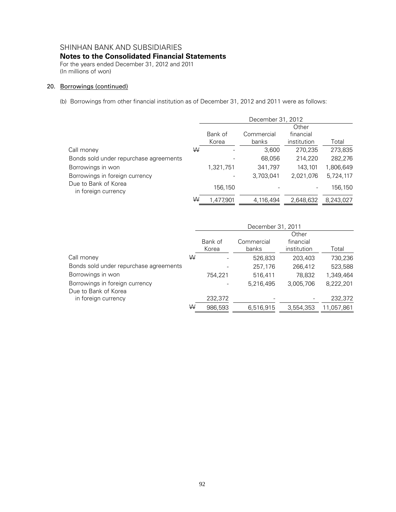## **Notes to the Consolidated Financial Statements**

For the years ended December 31, 2012 and 2011 (In millions of won)

#### 20. Borrowings (continued)

(b) Borrowings from other financial institution as of December 31, 2012 and 2011 were as follows:

|                                             |   | December 31, 2012 |            |             |           |  |  |
|---------------------------------------------|---|-------------------|------------|-------------|-----------|--|--|
|                                             |   |                   |            | Other       |           |  |  |
|                                             |   | Bank of           | Commercial | financial   |           |  |  |
|                                             |   | Korea             | banks      | institution | Total     |  |  |
| Call money                                  | W |                   | 3,600      | 270,235     | 273,835   |  |  |
| Bonds sold under repurchase agreements      |   |                   | 68,056     | 214,220     | 282,276   |  |  |
| Borrowings in won                           |   | 1,321,751         | 341,797    | 143,101     | 1,806,649 |  |  |
| Borrowings in foreign currency              |   |                   | 3,703,041  | 2,021,076   | 5,724,117 |  |  |
| Due to Bank of Korea<br>in foreign currency |   | 156,150           |            |             | 156,150   |  |  |
|                                             | W | 1.477.901         | 4.116.494  | 2,648,632   | 8.243.027 |  |  |

|                                        |   | December 31, 2011 |            |             |            |  |  |
|----------------------------------------|---|-------------------|------------|-------------|------------|--|--|
|                                        |   |                   |            | Other       |            |  |  |
|                                        |   | Bank of           | Commercial | financial   |            |  |  |
|                                        |   | Korea             | banks      | institution | Total      |  |  |
| Call money                             | W |                   | 526,833    | 203,403     | 730,236    |  |  |
| Bonds sold under repurchase agreements |   |                   | 257,176    | 266,412     | 523,588    |  |  |
| Borrowings in won                      |   | 754.221           | 516,411    | 78.832      | 1,349,464  |  |  |
| Borrowings in foreign currency         |   |                   | 5,216,495  | 3,005,706   | 8,222,201  |  |  |
| Due to Bank of Korea                   |   |                   |            |             |            |  |  |
| in foreign currency                    |   | 232,372           |            |             | 232,372    |  |  |
|                                        | W | 986,593           | 6,516,915  | 3,554,353   | 11,057,861 |  |  |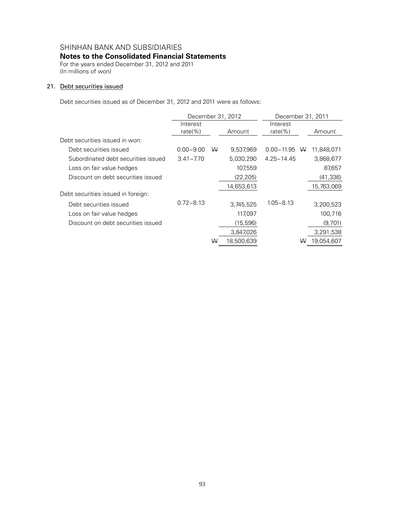## **Notes to the Consolidated Financial Statements**

For the years ended December 31, 2012 and 2011 (In millions of won)

## 21. Debt securities issued

Debt securities issued as of December 31, 2012 and 2011 were as follows:

|                                     | December 31, 2012       |   |            | December 31, 2011       |   |            |
|-------------------------------------|-------------------------|---|------------|-------------------------|---|------------|
|                                     | Interest<br>rate $(\%)$ |   | Amount     | Interest<br>rate $(\%)$ |   | Amount     |
| Debt securities issued in won:      |                         |   |            |                         |   |            |
| Debt securities issued              | $0.00 - 9.00$           | ₩ | 9,537,969  | $0.00 - 11.95$ W        |   | 11,848,071 |
| Subordinated debt securities issued | $3.41 - 7.70$           |   | 5,030,290  | $4.25 - 14.45$          |   | 3,868,677  |
| Loss on fair value hedges           |                         |   | 107,559    |                         |   | 87,657     |
| Discount on debt securities issued  |                         |   | (22, 205)  |                         |   | (41, 336)  |
|                                     |                         |   | 14,653,613 |                         |   | 15,763,069 |
| Debt securities issued in foreign:  |                         |   |            |                         |   |            |
| Debt securities issued              | $0.72 - 8.13$           |   | 3,745,525  | $1.05 - 8.13$           |   | 3,200,523  |
| Loss on fair value hedges           |                         |   | 117.097    |                         |   | 100,716    |
| Discount on debt securities issued  |                         |   | (15, 596)  |                         |   | (9,701)    |
|                                     |                         |   | 3,847,026  |                         |   | 3,291,538  |
|                                     |                         | ₩ | 18,500,639 |                         | ₩ | 19.054.607 |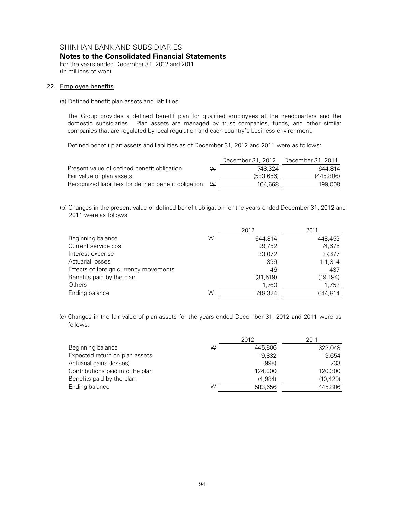## SHINHAN BANK AND SUBSIDIARIES **Notes to the Consolidated Financial Statements**  For the years ended December 31, 2012 and 2011

(In millions of won)

#### 22. Employee benefits

(a) Defined benefit plan assets and liabilities

The Group provides a defined benefit plan for qualified employees at the headquarters and the domestic subsidiaries. Plan assets are managed by trust companies, funds, and other similar companies that are regulated by local regulation and each country's business environment.

Defined benefit plan assets and liabilities as of December 31, 2012 and 2011 were as follows:

|                                                       |   | December 31, 2012 | December 31, 2011 |
|-------------------------------------------------------|---|-------------------|-------------------|
| Present value of defined benefit obligation           | W | 748.324           | 644.814           |
| Fair value of plan assets                             |   | (583.656)         | (445, 806)        |
| Recognized liabilities for defined benefit obligation | ₩ | 164.668           | 199.008           |

(b) Changes in the present value of defined benefit obligation for the years ended December 31, 2012 and 2011 were as follows:

|                                       |   | 2012      | 2011      |
|---------------------------------------|---|-----------|-----------|
| Beginning balance                     | ₩ | 644,814   | 448,453   |
| Current service cost                  |   | 99,752    | 74,675    |
| Interest expense                      |   | 33,072    | 27,377    |
| <b>Actuarial losses</b>               |   | 399       | 111,314   |
| Effects of foreign currency movements |   | 46        | 437       |
| Benefits paid by the plan             |   | (31, 519) | (19, 194) |
| Others                                |   | 1,760     | 1,752     |
| Ending balance                        | W | 748,324   | 644.814   |

(c) Changes in the fair value of plan assets for the years ended December 31, 2012 and 2011 were as follows:

|                                  |   | 2012    | 2011     |
|----------------------------------|---|---------|----------|
| Beginning balance                | ₩ | 445.806 | 322,048  |
| Expected return on plan assets   |   | 19.832  | 13,654   |
| Actuarial gains (losses)         |   | (998)   | 233      |
| Contributions paid into the plan |   | 124,000 | 120,300  |
| Benefits paid by the plan        |   | (4.984) | (10,429) |
| Ending balance                   | W | 583,656 | 445,806  |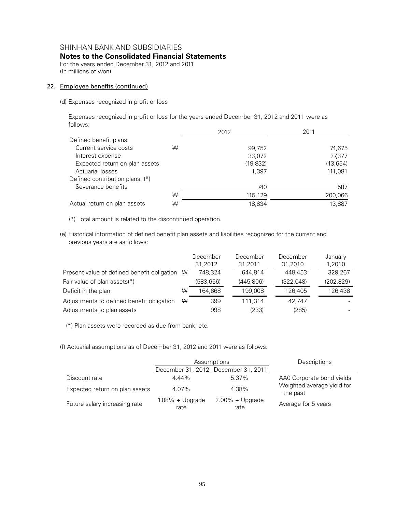#### **Notes to the Consolidated Financial Statements**

For the years ended December 31, 2012 and 2011 (In millions of won)

#### 22. Employee benefits (continued)

(d) Expenses recognized in profit or loss

Expenses recognized in profit or loss for the years ended December 31, 2012 and 2011 were as follows:

|                                 |   | 2012      | 2011     |
|---------------------------------|---|-----------|----------|
| Defined benefit plans:          |   |           |          |
| Current service costs           | W | 99,752    | 74.675   |
| Interest expense                |   | 33,072    | 27,377   |
| Expected return on plan assets  |   | (19, 832) | (13,654) |
| Actuarial losses                |   | 1.397     | 111,081  |
| Defined contribution plans: (*) |   |           |          |
| Severance benefits              |   | 740       | 587      |
|                                 | W | 115,129   | 200,066  |
| Actual return on plan assets    | W | 18.834    | 13,887   |

(\*) Total amount is related to the discontinued operation.

(e) Historical information of defined benefit plan assets and liabilities recognized for the current and previous years are as follows:

|                                             |   | December  | December   | December  | January    |
|---------------------------------------------|---|-----------|------------|-----------|------------|
|                                             |   | 31,2012   | 31,2011    | 31,2010   | 1,2010     |
| Present value of defined benefit obligation | ₩ | 748.324   | 644.814    | 448.453   | 329.267    |
| Fair value of plan assets(*)                |   | (583,656) | (445, 806) | (322,048) | (202, 829) |
| Deficit in the plan                         | ₩ | 164.668   | 199.008    | 126.405   | 126.438    |
| Adjustments to defined benefit obligation   | W | 399       | 111.314    | 42,747    |            |
| Adjustments to plan assets                  |   | 998       | (233)      | (285)     |            |

(\*) Plan assets were recorded as due from bank, etc.

(f) Actuarial assumptions as of December 31, 2012 and 2011 were as follows:

|                                | Assumptions                         |                            | <b>Descriptions</b>                    |
|--------------------------------|-------------------------------------|----------------------------|----------------------------------------|
|                                | December 31, 2012 December 31, 2011 |                            |                                        |
| Discount rate                  | 4.44%                               | 5.37%                      | AA0 Corporate bond yields              |
| Expected return on plan assets | 4.07%                               | 4.38%                      | Weighted average yield for<br>the past |
| Future salary increasing rate  | $1.88\% + Upgrade$<br>rate          | $2.00\% + Upgrade$<br>rate | Average for 5 years                    |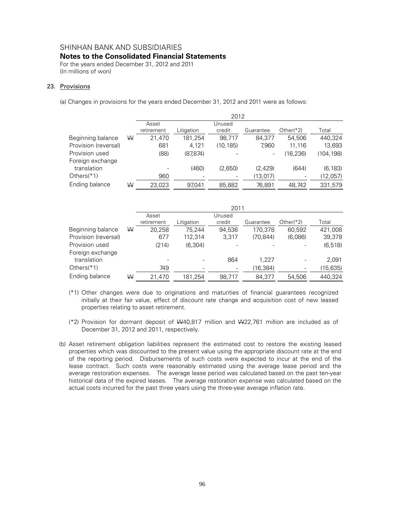**Notes to the Consolidated Financial Statements** 

For the years ended December 31, 2012 and 2011 (In millions of won)

#### 23. Provisions

(a) Changes in provisions for the years ended December 31, 2012 and 2011 were as follows:

|                      |   | 2012       |            |           |                          |              |            |  |
|----------------------|---|------------|------------|-----------|--------------------------|--------------|------------|--|
|                      |   | Asset      |            | Unused    |                          |              |            |  |
|                      |   | retirement | Litigation | credit    | Guarantee                | Other $(*2)$ | Total      |  |
| Beginning balance    | ₩ | 21.470     | 181,254    | 98,717    | 84.377                   | 54,506       | 440,324    |  |
| Provision (reversal) |   | 681        | 4.121      | (10, 185) | 7,960                    | 11.116       | 13,693     |  |
| Provision used       |   | (88)       | (87, 874)  |           | $\overline{\phantom{a}}$ | (16, 236)    | (104, 198) |  |
| Foreign exchange     |   |            |            |           |                          |              |            |  |
| translation          |   |            | (460)      | (2.650)   | (2,429)                  | (644)        | (6, 183)   |  |
| Others $(*1)$        |   | 960        |            |           | (13,017)                 |              | (12, 057)  |  |
| Ending balance       | W | 23,023     | 97.041     | 85,882    | 76,891                   | 48.742       | 331,579    |  |

|                      |   | 2011       |            |        |           |                          |           |  |  |
|----------------------|---|------------|------------|--------|-----------|--------------------------|-----------|--|--|
|                      |   | Asset      |            | Unused |           |                          |           |  |  |
|                      |   | retirement | Litigation | credit | Guarantee | Other $(*2)$             | Total     |  |  |
| Beginning balance    | ₩ | 20,258     | 75.244     | 94,536 | 170.378   | 60,592                   | 421,008   |  |  |
| Provision (reversal) |   | 677        | 112,314    | 3.317  | (70.844)  | (6,086)                  | 39,378    |  |  |
| Provision used       |   | (214)      | (6.304)    |        |           |                          | (6, 518)  |  |  |
| Foreign exchange     |   |            |            |        |           |                          |           |  |  |
| translation          |   |            |            | 864    | 1.227     | $\overline{\phantom{a}}$ | 2.091     |  |  |
| Others $(*1)$        |   | 749        |            |        | (16, 384) | $\overline{\phantom{a}}$ | (15, 635) |  |  |
| Ending balance       | W | 21.470     | 181,254    | 98.717 | 84.377    | 54,506                   | 440.324   |  |  |

- (\*1) Other changes were due to originations and maturities of financial guarantees recognized initially at their fair value, effect of discount rate change and acquisition cost of new leased properties relating to asset retirement.
- (\*2) Provision for dormant deposit of W40,817 million and W22,761 million are included as of December 31, 2012 and 2011, respectively.
- (b) Asset retirement obligation liabilities represent the estimated cost to restore the existing leased properties which was discounted to the present value using the appropriate discount rate at the end of the reporting period. Disbursements of such costs were expected to incur at the end of the lease contract. Such costs were reasonably estimated using the average lease period and the average restoration expenses. The average lease period was calculated based on the past ten-year historical data of the expired leases. The average restoration expense was calculated based on the actual costs incurred for the past three years using the three-year average inflation rate.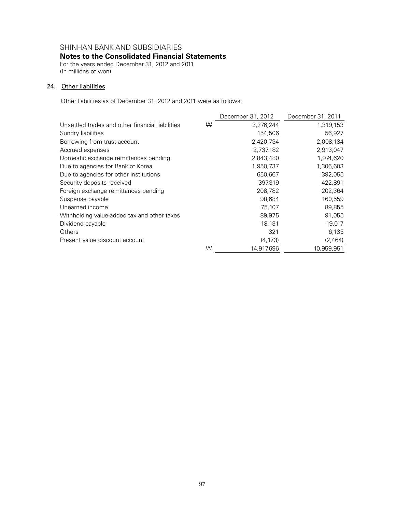## **Notes to the Consolidated Financial Statements**

For the years ended December 31, 2012 and 2011 (In millions of won)

## 24. Other liabilities

Other liabilities as of December 31, 2012 and 2011 were as follows:

|                                                  |   | December 31, 2012 | December 31, 2011 |
|--------------------------------------------------|---|-------------------|-------------------|
| Unsettled trades and other financial liabilities | W | 3,276,244         | 1,319,153         |
| Sundry liabilities                               |   | 154,506           | 56,927            |
| Borrowing from trust account                     |   | 2,420,734         | 2,008,134         |
| Accrued expenses                                 |   | 2,737,182         | 2,913,047         |
| Domestic exchange remittances pending            |   | 2,843,480         | 1,974,620         |
| Due to agencies for Bank of Korea                |   | 1,950,737         | 1,306,603         |
| Due to agencies for other institutions           |   | 650,667           | 392,055           |
| Security deposits received                       |   | 397,319           | 422,891           |
| Foreign exchange remittances pending             |   | 208,782           | 202,364           |
| Suspense payable                                 |   | 98,684            | 160,559           |
| Unearned income                                  |   | 75,107            | 89,855            |
| Withholding value-added tax and other taxes      |   | 89,975            | 91,055            |
| Dividend payable                                 |   | 18,131            | 19,017            |
| Others                                           |   | 321               | 6,135             |
| Present value discount account                   |   | (4, 173)          | (2,464)           |
|                                                  | W | 14,917,696        | 10,959,951        |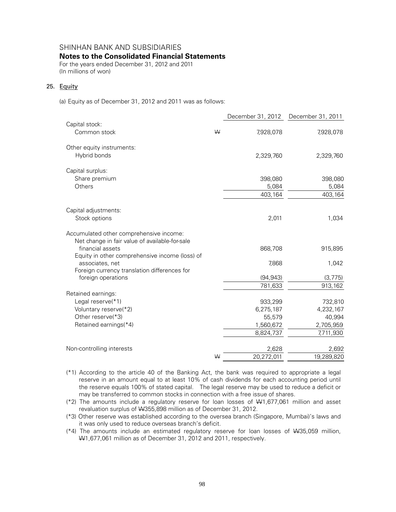#### **Notes to the Consolidated Financial Statements**

For the years ended December 31, 2012 and 2011 (In millions of won)

#### 25. Equity

(a) Equity as of December 31, 2012 and 2011 was as follows:

|                                                                                           |   | December 31, 2012 | December 31, 2011 |
|-------------------------------------------------------------------------------------------|---|-------------------|-------------------|
| Capital stock:                                                                            |   |                   |                   |
| Common stock                                                                              | W | 7,928,078         | 7,928,078         |
| Other equity instruments:                                                                 |   |                   |                   |
| Hybrid bonds                                                                              |   | 2,329,760         | 2,329,760         |
| Capital surplus:                                                                          |   |                   |                   |
| Share premium                                                                             |   | 398,080           | 398,080           |
| Others                                                                                    |   | 5,084             | 5,084             |
|                                                                                           |   | 403,164           | 403,164           |
| Capital adjustments:                                                                      |   |                   |                   |
| Stock options                                                                             |   | 2,011             | 1,034             |
| Accumulated other comprehensive income:<br>Net change in fair value of available-for-sale |   |                   |                   |
| financial assets<br>Equity in other comprehensive income (loss) of                        |   | 868,708           | 915,895           |
| associates, net<br>Foreign currency translation differences for                           |   | 7,868             | 1,042             |
| foreign operations                                                                        |   | (94, 943)         | (3,775)           |
|                                                                                           |   | 781,633           | 913,162           |
| Retained earnings:                                                                        |   |                   |                   |
| Legal reserve(*1)                                                                         |   | 933,299           | 732,810           |
| Voluntary reserve(*2)                                                                     |   | 6,275,187         | 4,232,167         |
| Other reserve(*3)                                                                         |   | 55,579            | 40,994            |
| Retained earnings(*4)                                                                     |   | 1,560,672         | 2,705,959         |
|                                                                                           |   | 8,824,737         | 7,711,930         |
| Non-controlling interests                                                                 |   | 2,628             | 2,692             |
|                                                                                           | W | 20,272,011        | 19,289,820        |

(\*1) According to the article 40 of the Banking Act, the bank was required to appropriate a legal reserve in an amount equal to at least 10% of cash dividends for each accounting period until the reserve equals 100% of stated capital. The legal reserve may be used to reduce a deficit or may be transferred to common stocks in connection with a free issue of shares.

- (\*2) The amounts include a regulatory reserve for loan losses of W1,677,061 million and asset revaluation surplus of W355,898 million as of December 31, 2012.
- (\*3) Other reserve was established according to the oversea branch (Singapore, Mumbai)'s laws and it was only used to reduce overseas branch's deficit.

(\*4) The amounts include an estimated regulatory reserve for loan losses of W35,059 million, W1,677,061 million as of December 31, 2012 and 2011, respectively.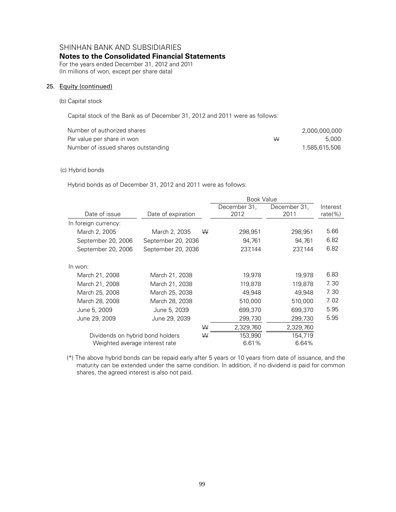## **Notes to the Consolidated Financial Statements**

For the years ended December 31, 2012 and 2011 (In millions of won, except per share data)

#### 25. Equity (continued)

(b) Capital stock

Capital stock of the Bank as of December 31, 2012 and 2011 were as follows:

| Number of authorized shares .       |   | 2,000,000,000 |
|-------------------------------------|---|---------------|
| Par value per share in won          | ₩ | 5.000         |
| Number of issued shares outstanding |   | 1,585,615,506 |

#### (c) Hybrid bonds

Hybrid bonds as of December 31, 2012 and 2011 were as follows:

|                                  |                    |   | <b>Book Value</b>    |                      |                         |
|----------------------------------|--------------------|---|----------------------|----------------------|-------------------------|
| Date of issue                    | Date of expiration |   | December 31,<br>2012 | December 31,<br>2011 | Interest<br>rate $(\%)$ |
| In foreign currency:             |                    |   |                      |                      |                         |
| March 2, 2005                    | March 2, 2035      | ₩ | 298,951              | 298,951              | 5.66                    |
| September 20, 2006               | September 20, 2036 |   | 94,761               | 94,761               | 6.82                    |
| September 20, 2006               | September 20, 2036 |   | 237,144              | 237,144              | 6.82                    |
| In won:                          |                    |   |                      |                      |                         |
| March 21, 2008                   | March 21, 2038     |   | 19,978               | 19,978               | 6.83                    |
| March 21, 2008                   | March 21, 2038     |   | 119,878              | 119.878              | 7.30                    |
| March 25, 2008                   | March 25, 2038     |   | 49,948               | 49.948               | 7.30                    |
| March 28, 2008                   | March 28, 2038     |   | 510,000              | 510,000              | 7.02                    |
| June 5, 2009                     | June 5, 2039       |   | 699,370              | 699,370              | 5.95                    |
| June 29, 2009                    | June 29, 2039      |   | 299,730              | 299,730              | 5.95                    |
|                                  |                    | W | 2,329,760            | 2,329,760            |                         |
| Dividends on hybrid bond holders |                    | ₩ | 153,990              | 154,719              |                         |
| Weighted average interest rate   |                    |   | 6.61%                | 6.64%                |                         |

(\*) The above hybrid bonds can be repaid early after 5 years or 10 years from date of issuance, and the maturity can be extended under the same condition. In addition, if no dividend is paid for common shares, the agreed interest is also not paid.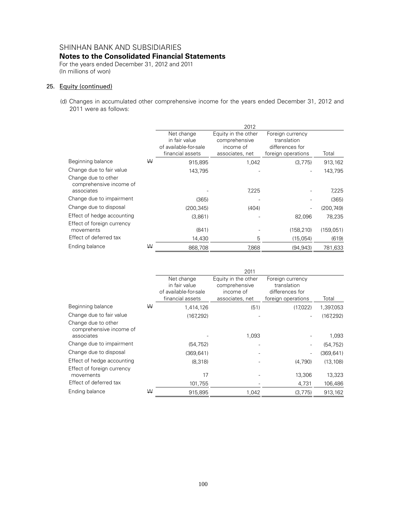## **Notes to the Consolidated Financial Statements**

For the years ended December 31, 2012 and 2011 (In millions of won)

#### 25. Equity (continued)

(d) Changes in accumulated other comprehensive income for the years ended December 31, 2012 and 2011 were as follows:

|                                                                            |   |                                                                          | 2012                                                                 |                                                                          |            |
|----------------------------------------------------------------------------|---|--------------------------------------------------------------------------|----------------------------------------------------------------------|--------------------------------------------------------------------------|------------|
|                                                                            |   | Net change<br>in fair value<br>of available-for-sale<br>financial assets | Equity in the other<br>comprehensive<br>income of<br>associates, net | Foreign currency<br>translation<br>differences for<br>foreign operations | Total      |
| Beginning balance                                                          | W | 915,895                                                                  | 1,042                                                                | (3,775)                                                                  | 913,162    |
| Change due to fair value<br>Change due to other<br>comprehensive income of |   | 143,795                                                                  |                                                                      |                                                                          | 143,795    |
| associates                                                                 |   |                                                                          | 7,225                                                                |                                                                          | 7,225      |
| Change due to impairment                                                   |   | (365)                                                                    |                                                                      |                                                                          | (365)      |
| Change due to disposal                                                     |   | (200, 345)                                                               | (404)                                                                |                                                                          | (200, 749) |
| Effect of hedge accounting<br>Effect of foreign currency                   |   | (3,861)                                                                  |                                                                      | 82,096                                                                   | 78,235     |
| movements                                                                  |   | (841)                                                                    |                                                                      | (158, 210)                                                               | (159,051)  |
| Effect of deferred tax                                                     |   | 14,430                                                                   | 5                                                                    | (15,054)                                                                 | (619)      |
| Ending balance                                                             | W | 868,708                                                                  | 7,868                                                                | (94, 943)                                                                | 781,633    |

|                                                                            |   |                                                                          | 2011                                                                 |                                                                          |            |
|----------------------------------------------------------------------------|---|--------------------------------------------------------------------------|----------------------------------------------------------------------|--------------------------------------------------------------------------|------------|
|                                                                            |   | Net change<br>in fair value<br>of available-for-sale<br>financial assets | Equity in the other<br>comprehensive<br>income of<br>associates, net | Foreign currency<br>translation<br>differences for<br>foreign operations | Total      |
| Beginning balance                                                          | W | 1,414,126                                                                | (51)                                                                 | (17,022)                                                                 | 1,397,053  |
| Change due to fair value<br>Change due to other<br>comprehensive income of |   | (167, 292)                                                               |                                                                      |                                                                          | (167, 292) |
| associates                                                                 |   |                                                                          | 1,093                                                                |                                                                          | 1,093      |
| Change due to impairment                                                   |   | (54, 752)                                                                |                                                                      |                                                                          | (54, 752)  |
| Change due to disposal                                                     |   | (369, 641)                                                               |                                                                      |                                                                          | (369, 641) |
| Effect of hedge accounting<br>Effect of foreign currency                   |   | (8,318)                                                                  |                                                                      | (4,790)                                                                  | (13, 108)  |
| movements                                                                  |   | 17                                                                       |                                                                      | 13,306                                                                   | 13,323     |
| Effect of deferred tax                                                     |   | 101,755                                                                  |                                                                      | 4,731                                                                    | 106,486    |
| Ending balance                                                             | W | 915,895                                                                  | 1,042                                                                | (3,775)                                                                  | 913,162    |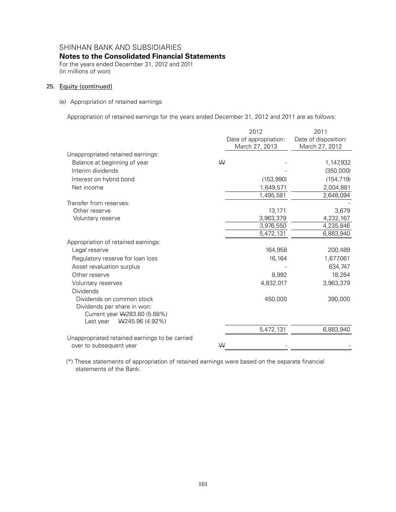## **Notes to the Consolidated Financial Statements**

For the years ended December 31, 2012 and 2011 (In millions of won)

#### 25. Equity (continued)

#### (e) Appropriation of retained earnings

Appropriation of retained earnings for the years ended December 31, 2012 and 2011 are as follows:

|                                                |   | 2012                                     | 2011                                   |
|------------------------------------------------|---|------------------------------------------|----------------------------------------|
|                                                |   | Date of appropriation:<br>March 27, 2013 | Date of disposition:<br>March 27, 2012 |
| Unappropriated retained earnings:              |   |                                          |                                        |
| Balance at beginning of year                   | W |                                          | 1,147,932                              |
| Interim dividends                              |   |                                          | (350,000)                              |
| Interest on hybrid bond                        |   | (153,990)                                | (154, 719)                             |
| Net income                                     |   | 1,649,571                                | 2,004,881                              |
|                                                |   | 1,495,581                                | 2,648,094                              |
| Transfer from reserves:                        |   |                                          |                                        |
| Other reserve                                  |   | 13,171                                   | 3,679                                  |
| Voluntary reserve                              |   | 3,963,379                                | 4,232,167                              |
|                                                |   | 3,976,550                                | 4,235,846                              |
|                                                |   | 5,472,131                                | 6,883,940                              |
| Appropriation of retained earnings:            |   |                                          |                                        |
| Legal reserve                                  |   | 164,958                                  | 200,489                                |
| Regulatory reserve for loan loss               |   | 16,164                                   | 1,677,061                              |
| Asset revaluation surplus                      |   |                                          | 634,747                                |
| Other reserve                                  |   | 8,992                                    | 18,264                                 |
| Voluntary reserves                             |   | 4,832,017                                | 3,963,379                              |
| <b>Dividends</b>                               |   |                                          |                                        |
| Dividends on common stock                      |   | 450,000                                  | 390,000                                |
| Dividends per share in won:                    |   |                                          |                                        |
| Current year \\$283.80 (5.68%)                 |   |                                          |                                        |
| W245.96 (4.92%)<br>Last year                   |   |                                          |                                        |
|                                                |   | 5,472,131                                | 6,883,940                              |
| Unappropriated retained earnings to be carried |   |                                          |                                        |
| over to subsequent year                        | W |                                          |                                        |

(\*) These statements of appropriation of retained earnings were based on the separate financial statements of the Bank.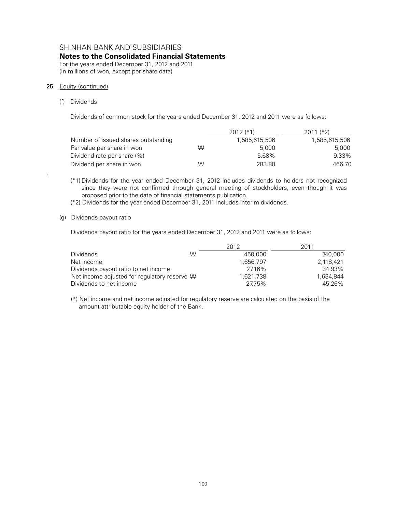## **Notes to the Consolidated Financial Statements**

For the years ended December 31, 2012 and 2011 (In millions of won, except per share data)

#### 25. Equity (continued)

(f) Dividends

.

Dividends of common stock for the years ended December 31, 2012 and 2011 were as follows:

|                                     |   | $2012$ (*1)   | $2011$ (*2)   |
|-------------------------------------|---|---------------|---------------|
| Number of issued shares outstanding |   | 1.585.615.506 | 1.585.615.506 |
| Par value per share in won          | W | 5.000         | 5.000         |
| Dividend rate per share (%)         |   | 5.68%         | 9.33%         |
| Dividend per share in won           | W | 283.80        | 466.70        |

- (\*1) Dividends for the year ended December 31, 2012 includes dividends to holders not recognized since they were not confirmed through general meeting of stockholders, even though it was proposed prior to the date of financial statements publication.
- (\*2) Dividends for the year ended December 31, 2011 includes interim dividends.
- (g) Dividends payout ratio

Dividends payout ratio for the years ended December 31, 2012 and 2011 were as follows:

|                                              | 2012      | 2011      |
|----------------------------------------------|-----------|-----------|
| W<br><b>Dividends</b>                        | 450.000   | 740.000   |
| Net income                                   | 1.656.797 | 2,118,421 |
| Dividends payout ratio to net income         | 27.16%    | 34.93%    |
| Net income adjusted for regulatory reserve W | 1,621,738 | 1.634.844 |
| Dividends to net income                      | 27.75%    | 45.26%    |

(\*) Net income and net income adjusted for regulatory reserve are calculated on the basis of the amount attributable equity holder of the Bank.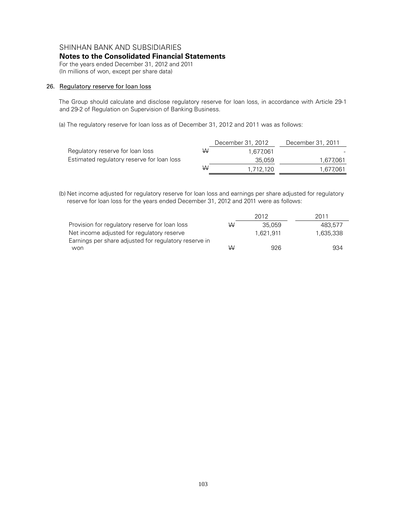#### **Notes to the Consolidated Financial Statements**

For the years ended December 31, 2012 and 2011 (In millions of won, except per share data)

#### 26. Regulatory reserve for loan loss

The Group should calculate and disclose regulatory reserve for loan loss, in accordance with Article 29-1 and 29-2 of Regulation on Supervision of Banking Business.

(a) The regulatory reserve for loan loss as of December 31, 2012 and 2011 was as follows:

|                                            |   | December 31, 2012 | December 31, 2011 |
|--------------------------------------------|---|-------------------|-------------------|
| Regulatory reserve for loan loss           | W | 1.677.061         |                   |
| Estimated regulatory reserve for loan loss |   | 35,059            | 1,677,061         |
|                                            | W | 1.712.120         | 1.677.061         |

(b) Net income adjusted for regulatory reserve for loan loss and earnings per share adjusted for regulatory reserve for loan loss for the years ended December 31, 2012 and 2011 were as follows:

|                                                       |   | 2012      | 2011      |
|-------------------------------------------------------|---|-----------|-----------|
| Provision for regulatory reserve for loan loss        | W | 35.059    | 483.577   |
| Net income adjusted for regulatory reserve            |   | 1.621.911 | 1.635.338 |
| Earnings per share adjusted for regulatory reserve in |   |           |           |
| won                                                   | W | 926       | 934       |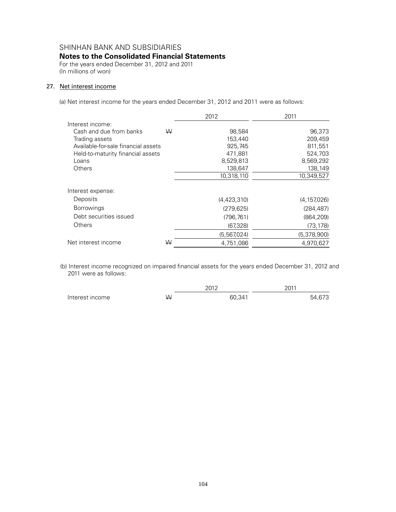## **Notes to the Consolidated Financial Statements**

For the years ended December 31, 2012 and 2011 (In millions of won)

#### 27. Net interest income

(a) Net interest income for the years ended December 31, 2012 and 2011 were as follows:

|                                     |   | 2012        | 2011          |
|-------------------------------------|---|-------------|---------------|
| Interest income:                    |   |             |               |
| Cash and due from banks             | W | 98,584      | 96,373        |
| Trading assets                      |   | 153,440     | 209,459       |
| Available-for-sale financial assets |   | 925,745     | 811,551       |
| Held-to-maturity financial assets   |   | 471,881     | 524,703       |
| Loans                               |   | 8,529,813   | 8,569,292     |
| Others                              |   | 138,647     | 138,149       |
|                                     |   | 10,318,110  | 10,349,527    |
| Interest expense:                   |   |             |               |
| Deposits                            |   | (4,423,310) | (4, 157, 026) |
| <b>Borrowings</b>                   |   | (279, 625)  | (284, 487)    |
| Debt securities issued              |   | (796, 761)  | (864, 209)    |
| Others                              |   | (67, 328)   | (73, 178)     |
|                                     |   | (5,567,024) | (5,378,900)   |
| Net interest income                 | W | 4,751,086   | 4,970,627     |

(b) Interest income recognized on impaired financial assets for the years ended December 31, 2012 and 2011 were as follows:

|                 |   | 2012   | 2011   |  |
|-----------------|---|--------|--------|--|
| Interest income | W | 60.341 | 54.673 |  |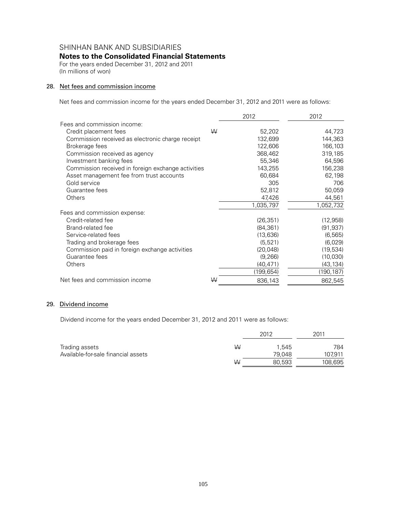## **Notes to the Consolidated Financial Statements**

For the years ended December 31, 2012 and 2011 (In millions of won)

#### 28. Net fees and commission income

Net fees and commission income for the years ended December 31, 2012 and 2011 were as follows:

|                                                    |   | 2012      | 2012       |
|----------------------------------------------------|---|-----------|------------|
| Fees and commission income:                        |   |           |            |
| Credit placement fees                              | W | 52,202    | 44,723     |
| Commission received as electronic charge receipt   |   | 132,699   | 144,363    |
| Brokerage fees                                     |   | 122,606   | 166,103    |
| Commission received as agency                      |   | 368,462   | 319,185    |
| Investment banking fees                            |   | 55,346    | 64,596     |
| Commission received in foreign exchange activities |   | 143,255   | 156,238    |
| Asset management fee from trust accounts           |   | 60,684    | 62,198     |
| Gold service                                       |   | 305       | 706        |
| Guarantee fees                                     |   | 52,812    | 50,059     |
| Others                                             |   | 47,426    | 44,561     |
|                                                    |   | 1,035,797 | 1,052,732  |
| Fees and commission expense:                       |   |           |            |
| Credit-related fee                                 |   | (26, 351) | (12, 958)  |
| Brand-related fee                                  |   | (84, 361) | (91, 937)  |
| Service-related fees                               |   | (13,636)  | (6, 565)   |
| Trading and brokerage fees                         |   | (5, 521)  | (6,029)    |
| Commission paid in foreign exchange activities     |   | (20, 048) | (19, 534)  |
| Guarantee fees                                     |   | (9,266)   | (10,030)   |
| Others                                             |   | (40, 471) | (43, 134)  |
|                                                    |   | (199,654) | (190, 187) |
| Net fees and commission income                     | ₩ | 836,143   | 862,545    |

#### 29. Dividend income

Dividend income for the years ended December 31, 2012 and 2011 were as follows:

|                                     |   | 2012   | 2011    |
|-------------------------------------|---|--------|---------|
| Trading assets                      | W | 1.545  | 784     |
| Available-for-sale financial assets |   | 79.048 | 107.911 |
|                                     | W | 80.593 | 108,695 |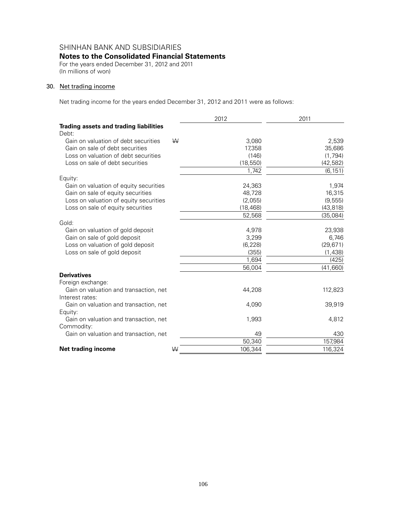## **Notes to the Consolidated Financial Statements**

For the years ended December 31, 2012 and 2011 (In millions of won)

#### 30. Net trading income

Net trading income for the years ended December 31, 2012 and 2011 were as follows:

|                                               |   | 2012      | 2011      |
|-----------------------------------------------|---|-----------|-----------|
| <b>Trading assets and trading liabilities</b> |   |           |           |
| Debt:                                         |   |           |           |
| Gain on valuation of debt securities          | W | 3,080     | 2,539     |
| Gain on sale of debt securities               |   | 17,358    | 35,686    |
| Loss on valuation of debt securities          |   | (146)     | (1,794)   |
| Loss on sale of debt securities               |   | (18, 550) | (42, 582) |
|                                               |   | 1,742     | (6, 151)  |
| Equity:                                       |   |           |           |
| Gain on valuation of equity securities        |   | 24,363    | 1,974     |
| Gain on sale of equity securities             |   | 48,728    | 16,315    |
| Loss on valuation of equity securities        |   | (2,055)   | (9, 555)  |
| Loss on sale of equity securities             |   | (18, 468) | (43, 818) |
|                                               |   | 52,568    | (35,084)  |
| Gold:                                         |   |           |           |
| Gain on valuation of gold deposit             |   | 4,978     | 23,938    |
| Gain on sale of gold deposit                  |   | 3,299     | 6,746     |
| Loss on valuation of gold deposit             |   | (6, 228)  | (29, 671) |
| Loss on sale of gold deposit                  |   | (355)     | (1,438)   |
|                                               |   | 1,694     | (425)     |
|                                               |   | 56,004    | (41,660)  |
| <b>Derivatives</b>                            |   |           |           |
| Foreign exchange:                             |   |           |           |
| Gain on valuation and transaction, net        |   | 44,208    | 112,823   |
| Interest rates:                               |   |           |           |
| Gain on valuation and transaction, net        |   | 4,090     | 39,919    |
| Equity:                                       |   |           |           |
| Gain on valuation and transaction, net        |   | 1,993     | 4,812     |
| Commodity:                                    |   | 49        | 430       |
| Gain on valuation and transaction, net        |   | 50,340    |           |
|                                               |   |           | 157,984   |
| <b>Net trading income</b>                     | W | 106,344   | 116,324   |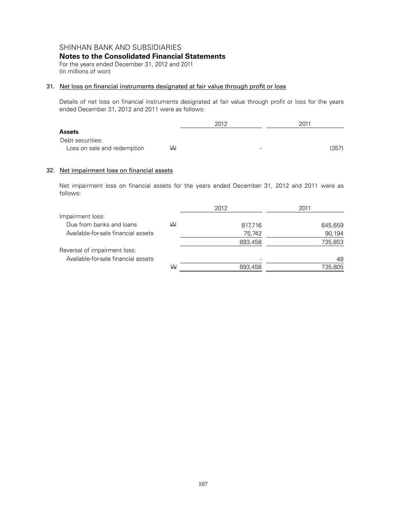## **Notes to the Consolidated Financial Statements**

For the years ended December 31, 2012 and 2011 (In millions of won)

### 31. Net loss on financial instruments designated at fair value through profit or loss

Details of net loss on financial instruments designated at fair value through profit or loss for the years ended December 31, 2012 and 2011 were as follows:

|                             |   | 2012 |   | 2011 |       |
|-----------------------------|---|------|---|------|-------|
| Assets                      |   |      |   |      |       |
| Debt securities:            |   |      |   |      |       |
| Loss on sale and redemption | W |      | - |      | (357) |

### 32. Net impairment loss on financial assets

Net impairment loss on financial assets for the years ended December 31, 2012 and 2011 were as follows:

|                                     |   | 2012    | 2011    |
|-------------------------------------|---|---------|---------|
| Impairment loss:                    |   |         |         |
| Due from banks and loans            | W | 817,716 | 645,659 |
| Available-for-sale financial assets |   | 75,742  | 90,194  |
|                                     |   | 893,458 | 735,853 |
| Reversal of impairment loss:        |   |         |         |
| Available-for-sale financial assets |   |         | 48      |
|                                     | ₩ | 893,458 | 735,805 |
|                                     |   |         |         |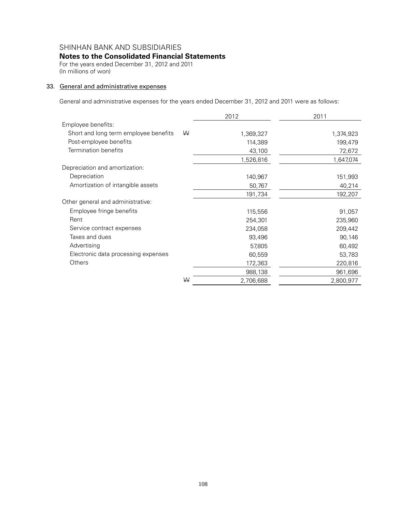## **Notes to the Consolidated Financial Statements**

For the years ended December 31, 2012 and 2011 (In millions of won)

## 33. General and administrative expenses

General and administrative expenses for the years ended December 31, 2012 and 2011 were as follows:

|                                       |   | 2012      | 2011      |
|---------------------------------------|---|-----------|-----------|
| Employee benefits:                    |   |           |           |
| Short and long term employee benefits | W | 1,369,327 | 1,374,923 |
| Post-employee benefits                |   | 114,389   | 199,479   |
| Termination benefits                  |   | 43,100    | 72,672    |
|                                       |   | 1,526,816 | 1,647,074 |
| Depreciation and amortization:        |   |           |           |
| Depreciation                          |   | 140,967   | 151,993   |
| Amortization of intangible assets     |   | 50,767    | 40,214    |
|                                       |   | 191,734   | 192,207   |
| Other general and administrative:     |   |           |           |
| Employee fringe benefits              |   | 115,556   | 91,057    |
| Rent                                  |   | 254,301   | 235,960   |
| Service contract expenses             |   | 234,058   | 209,442   |
| Taxes and dues                        |   | 93,496    | 90,146    |
| Advertising                           |   | 57,805    | 60,492    |
| Electronic data processing expenses   |   | 60,559    | 53,783    |
| Others                                |   | 172,363   | 220,816   |
|                                       |   | 988,138   | 961,696   |
|                                       | W | 2,706,688 | 2,800,977 |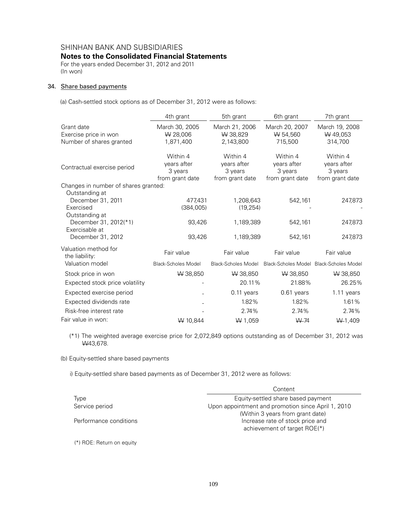## **Notes to the Consolidated Financial Statements**

For the years ended December 31, 2012 and 2011 (In won)

#### 34. Share based payments

(a) Cash-settled stock options as of December 31, 2012 were as follows:

|                                                                 | 4th grant                                             | 5th grant                                             | 6th grant                                             | 7th grant                                             |
|-----------------------------------------------------------------|-------------------------------------------------------|-------------------------------------------------------|-------------------------------------------------------|-------------------------------------------------------|
| Grant date<br>Exercise price in won<br>Number of shares granted | March 30, 2005<br>₩ 28,006<br>1,871,400               | March 21, 2006<br>W 38,829<br>2,143,800               | March 20, 2007<br>W 54,560<br>715,500                 | March 19, 2008<br>W 49,053<br>314,700                 |
| Contractual exercise period                                     | Within 4<br>years after<br>3 years<br>from grant date | Within 4<br>years after<br>3 years<br>from grant date | Within 4<br>years after<br>3 years<br>from grant date | Within 4<br>years after<br>3 years<br>from grant date |
| Changes in number of shares granted:<br>Outstanding at          |                                                       |                                                       |                                                       |                                                       |
| December 31, 2011<br>Exercised<br>Outstanding at                | 477,431<br>(384,005)                                  | 1,208,643<br>(19, 254)                                | 542,161                                               | 247,873                                               |
| December 31, 2012(*1)<br>Exercisable at                         | 93,426                                                | 1,189,389                                             | 542,161                                               | 247,873                                               |
| December 31, 2012                                               | 93,426                                                | 1,189,389                                             | 542,161                                               | 247,873                                               |
| Valuation method for<br>the liability:                          | Fair value                                            | Fair value                                            | Fair value                                            | Fair value                                            |
| Valuation model                                                 | <b>Black-Scholes Model</b>                            | Black-Scholes Model                                   | Black-Scholes Model Black-Scholes Model               |                                                       |
| Stock price in won                                              | W 38,850                                              | W 38,850                                              | W 38,850                                              | W 38,850                                              |
| Expected stock price volatility                                 |                                                       | 20.11%                                                | 21.88%                                                | 26.25%                                                |
| Expected exercise period                                        |                                                       | 0.11 years                                            | 0.61 years                                            | 1.11 years                                            |
| Expected dividends rate                                         |                                                       | 1.82%                                                 | 1.82%                                                 | 1.61%                                                 |
| Risk-free interest rate                                         |                                                       | 2.74%                                                 | 2.74%                                                 | 2.74%                                                 |
| Fair value in won:                                              | W 10,844                                              | W 1,059                                               | W-74                                                  | W1,409                                                |

(\*1) The weighted average exercise price for 2,072,849 options outstanding as of December 31, 2012 was W43,678.

(b) Equity-settled share based payments

i) Equity-settled share based payments as of December 31, 2012 were as follows:

Content

Type Equity-settled share based payment Service period Upon appointment and promotion since April 1, 2010 (Within 3 years from grant date) Performance conditions **Increase rate of stock price and** achievement of target ROE(\*)

(\*) ROE: Return on equity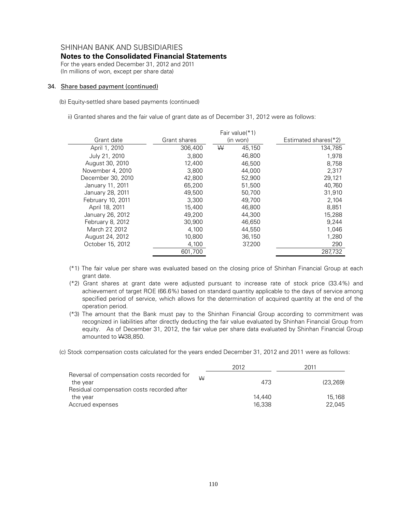## **Notes to the Consolidated Financial Statements**

For the years ended December 31, 2012 and 2011 (In millions of won, except per share data)

#### 34. Share based payment (continued)

(b) Equity-settled share based payments (continued)

ii) Granted shares and the fair value of grant date as of December 31, 2012 were as follows:

|                   | Fair value <sup>(*1)</sup> |   |          |                      |
|-------------------|----------------------------|---|----------|----------------------|
| Grant date        | Grant shares               |   | (in won) | Estimated shares(*2) |
| April 1, 2010     | 306,400                    | ₩ | 45,150   | 134,785              |
| July 21, 2010     | 3,800                      |   | 46.800   | 1.978                |
| August 30, 2010   | 12.400                     |   | 46.500   | 8,758                |
| November 4, 2010  | 3,800                      |   | 44,000   | 2,317                |
| December 30, 2010 | 42,800                     |   | 52,900   | 29,121               |
| January 11, 2011  | 65,200                     |   | 51,500   | 40.760               |
| January 28, 2011  | 49,500                     |   | 50,700   | 31,910               |
| February 10, 2011 | 3,300                      |   | 49.700   | 2,104                |
| April 18, 2011    | 15.400                     |   | 46,800   | 8,851                |
| January 26, 2012  | 49.200                     |   | 44.300   | 15,288               |
| February 8, 2012  | 30.900                     |   | 46.650   | 9,244                |
| March 27, 2012    | 4,100                      |   | 44.550   | 1,046                |
| August 24, 2012   | 10,800                     |   | 36,150   | 1,280                |
| October 15, 2012  | 4,100                      |   | 37,200   | 290                  |
|                   | 601.700                    |   |          | 287.732              |
|                   |                            |   |          |                      |

- (\*1) The fair value per share was evaluated based on the closing price of Shinhan Financial Group at each grant date.
- (\*2) Grant shares at grant date were adjusted pursuant to increase rate of stock price (33.4%) and achievement of target ROE (66.6%) based on standard quantity applicable to the days of service among specified period of service, which allows for the determination of acquired quantity at the end of the operation period.
- (\*3) The amount that the Bank must pay to the Shinhan Financial Group according to commitment was recognized in liabilities after directly deducting the fair value evaluated by Shinhan Financial Group from equity. As of December 31, 2012, the fair value per share data evaluated by Shinhan Financial Group amounted to W38,850.
- (c) Stock compensation costs calculated for the years ended December 31, 2012 and 2011 were as follows:

|                                                         |   | 2012   | 2011     |
|---------------------------------------------------------|---|--------|----------|
| Reversal of compensation costs recorded for<br>the year | W | 473    | (23.269) |
| Residual compensation costs recorded after              |   |        |          |
| the year                                                |   | 14.440 | 15.168   |
| Accrued expenses                                        |   | 16.338 | 22.045   |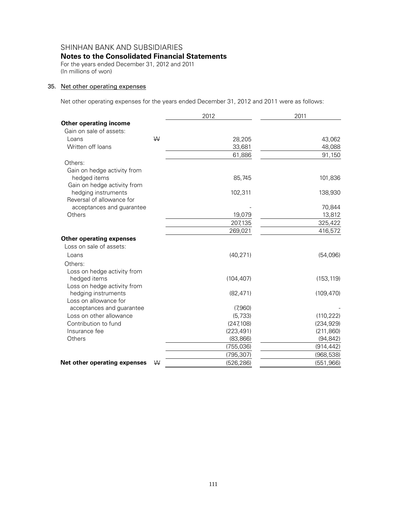## **Notes to the Consolidated Financial Statements**

For the years ended December 31, 2012 and 2011 (In millions of won)

### 35. Net other operating expenses

Net other operating expenses for the years ended December 31, 2012 and 2011 were as follows:

|                                                  | 2012       | 2011       |
|--------------------------------------------------|------------|------------|
| <b>Other operating income</b>                    |            |            |
| Gain on sale of assets:                          |            |            |
| W<br>Loans                                       | 28,205     | 43,062     |
| Written off loans                                | 33,681     | 48,088     |
|                                                  | 61,886     | 91,150     |
| Others:                                          |            |            |
| Gain on hedge activity from<br>hedged items      | 85,745     | 101,836    |
| Gain on hedge activity from                      |            |            |
| hedging instruments<br>Reversal of allowance for | 102,311    | 138,930    |
| acceptances and guarantee                        |            | 70,844     |
| Others                                           | 19,079     | 13,812     |
|                                                  | 207,135    | 325,422    |
|                                                  | 269,021    | 416,572    |
| <b>Other operating expenses</b>                  |            |            |
| Loss on sale of assets:                          |            |            |
| Loans                                            | (40, 271)  | (54,096)   |
| Others:                                          |            |            |
| Loss on hedge activity from                      |            |            |
| hedged items                                     | (104, 407) | (153, 119) |
| Loss on hedge activity from                      |            |            |
| hedging instruments                              | (82, 471)  | (109, 470) |
| Loss on allowance for                            |            |            |
| acceptances and guarantee                        | (7,960)    |            |
| Loss on other allowance                          | (5,733)    | (110, 222) |
| Contribution to fund                             | (247, 108) | (234, 929) |
| Insurance fee<br>Others                          | (223, 491) | (211, 860) |
|                                                  | (83, 866)  | (94, 842)  |
|                                                  | (755, 036) | (914, 442) |
| W                                                | (795, 307) | (968, 538) |
| Net other operating expenses                     | (526, 286) | (551, 966) |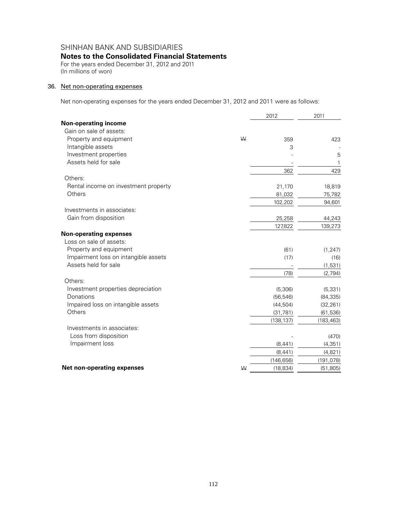## **Notes to the Consolidated Financial Statements**

For the years ended December 31, 2012 and 2011 (In millions of won)

## 36. Net non-operating expenses

Net non-operating expenses for the years ended December 31, 2012 and 2011 were as follows:

|                                      |   | 2012       | 2011       |
|--------------------------------------|---|------------|------------|
| <b>Non-operating income</b>          |   |            |            |
| Gain on sale of assets:              |   |            |            |
| Property and equipment               | W | 359        | 423        |
| Intangible assets                    |   | 3          |            |
| Investment properties                |   |            | 5          |
| Assets held for sale                 |   |            | 1          |
|                                      |   | 362        | 429        |
| Others:                              |   |            |            |
| Rental income on investment property |   | 21,170     | 18,819     |
| Others                               |   | 81,032     | 75,782     |
|                                      |   | 102,202    | 94,601     |
| Investments in associates:           |   |            |            |
| Gain from disposition                |   | 25,258     | 44,243     |
|                                      |   | 127,822    | 139,273    |
| <b>Non-operating expenses</b>        |   |            |            |
| Loss on sale of assets:              |   |            |            |
| Property and equipment               |   | (61)       | (1, 247)   |
| Impairment loss on intangible assets |   | (17)       | (16)       |
| Assets held for sale                 |   |            | (1,531)    |
|                                      |   | (78)       | (2,794)    |
| Others:                              |   |            |            |
| Investment properties depreciation   |   | (5,306)    | (5, 331)   |
| Donations                            |   | (56, 546)  | (84, 335)  |
| Impaired loss on intangible assets   |   | (44, 504)  | (32, 261)  |
| Others                               |   | (31, 781)  | (61, 536)  |
|                                      |   | (138, 137) | (183, 463) |
| Investments in associates:           |   |            |            |
| Loss from disposition                |   |            | (470)      |
| Impairment loss                      |   | (8, 441)   | (4, 351)   |
|                                      |   | (8, 441)   | (4,821)    |
|                                      |   | (146, 656) | (191, 078) |
| <b>Net non-operating expenses</b>    | W | (18, 834)  | (51, 805)  |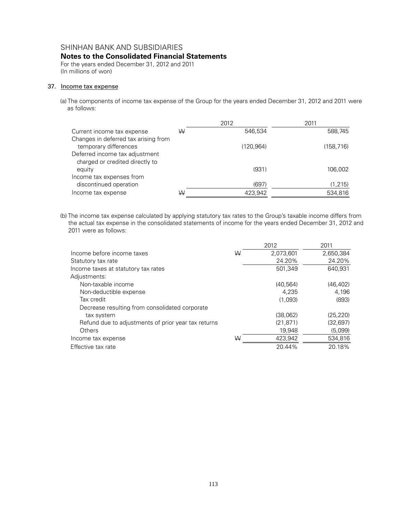# **Notes to the Consolidated Financial Statements**

For the years ended December 31, 2012 and 2011 (In millions of won)

#### 37. Income tax expense

(a) The components of income tax expense of the Group for the years ended December 31, 2012 and 2011 were as follows:

|                                      |   | 2012       | 2011      |
|--------------------------------------|---|------------|-----------|
| Current income tax expense           | W | 546.534    | 588,745   |
| Changes in deferred tax arising from |   |            |           |
| temporary differences                |   | (120, 964) | (158,716) |
| Deferred income tax adjustment       |   |            |           |
| charged or credited directly to      |   |            |           |
| equity                               |   | (931)      | 106,002   |
| Income tax expenses from             |   |            |           |
| discontinued operation               |   | (697)      | (1, 215)  |
| Income tax expense                   | W | 423,942    | 534,816   |

(b) The income tax expense calculated by applying statutory tax rates to the Group's taxable income differs from the actual tax expense in the consolidated statements of income for the years ended December 31, 2012 and 2011 were as follows:

|                                                     |   | 2012      | 2011      |
|-----------------------------------------------------|---|-----------|-----------|
| Income before income taxes                          | W | 2,073,601 | 2,650,384 |
| Statutory tax rate                                  |   | 24.20%    | 24.20%    |
| Income taxes at statutory tax rates                 |   | 501.349   | 640,931   |
| Adjustments:                                        |   |           |           |
| Non-taxable income                                  |   | (40, 564) | (46, 402) |
| Non-deductible expense                              |   | 4.235     | 4,196     |
| Tax credit                                          |   | (1,093)   | (893)     |
| Decrease resulting from consolidated corporate      |   |           |           |
| tax system                                          |   | (38.062)  | (25, 220) |
| Refund due to adjustments of prior year tax returns |   | (21, 871) | (32, 697) |
| Others                                              |   | 19,948    | (5,099)   |
| Income tax expense                                  | W | 423,942   | 534,816   |
| Effective tax rate                                  |   | 20.44%    | 20.18%    |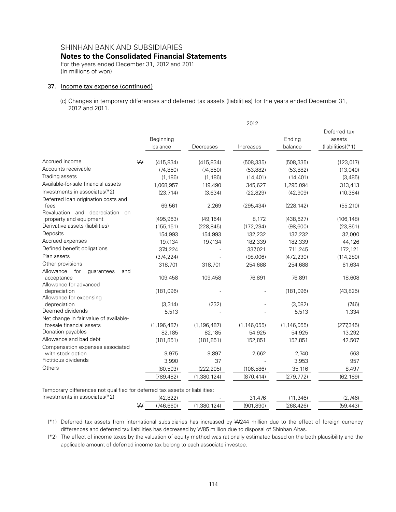### **Notes to the Consolidated Financial Statements**

For the years ended December 31, 2012 and 2011 (In millions of won)

#### 37. Income tax expense (continued)

(c) Changes in temporary differences and deferred tax assets (liabilities) for the years ended December 31, 2012 and 2011.

|                                                                                                              |                      |               | 2012          |                   |                                               |
|--------------------------------------------------------------------------------------------------------------|----------------------|---------------|---------------|-------------------|-----------------------------------------------|
|                                                                                                              | Beginning<br>balance | Decreases     | Increases     | Ending<br>balance | Deferred tax<br>assets<br>$(liabilities)(*1)$ |
| Accrued income                                                                                               | W<br>(415, 834)      | (415, 834)    | (508, 335)    | (508, 335)        | (123, 017)                                    |
| Accounts receivable                                                                                          | (74, 850)            | (74, 850)     | (53, 882)     | (53, 882)         | (13,040)                                      |
| Trading assets                                                                                               | (1, 186)             | (1, 186)      | (14, 401)     | (14, 401)         | (3,485)                                       |
| Available-for-sale financial assets                                                                          | 1,068,957            | 119,490       | 345,627       | 1,295,094         | 313,413                                       |
| Investments in associates(*2)<br>Deferred loan origination costs and                                         | (23, 714)            | (3,634)       | (22, 829)     | (42, 909)         | (10, 384)                                     |
| fees<br>Revaluation and depreciation<br>on                                                                   | 69,561               | 2,269         | (295, 434)    | (228, 142)        | (55, 210)                                     |
| property and equipment                                                                                       | (495, 963)           | (49, 164)     | 8,172         | (438, 627)        | (106, 148)                                    |
| Derivative assets (liabilities)                                                                              | (155, 151)           | (228, 845)    | (172, 294)    | (98, 600)         | (23, 861)                                     |
| Deposits                                                                                                     | 154,993              | 154,993       | 132,232       | 132,232           | 32,000                                        |
| Accrued expenses                                                                                             | 197,134              | 197,134       | 182,339       | 182,339           | 44,126                                        |
| Defined benefit obligations                                                                                  | 374,224              |               | 337,021       | 711,245           | 172,121                                       |
| Plan assets                                                                                                  | (374, 224)           |               | (98,006)      | (472, 230)        | (114, 280)                                    |
| Other provisions                                                                                             | 318,701              | 318,701       | 254,688       | 254,688           | 61,634                                        |
| Allowance<br>for<br>quarantees<br>and<br>acceptance                                                          | 109,458              | 109,458       | 76,891        | 76,891            | 18,608                                        |
| Allowance for advanced<br>depreciation                                                                       | (181,096)            |               |               | (181,096)         | (43, 825)                                     |
| Allowance for expensing                                                                                      |                      |               |               |                   |                                               |
| depreciation                                                                                                 | (3, 314)             | (232)         |               | (3,082)           | (746)                                         |
| Deemed dividends                                                                                             | 5,513                |               |               | 5,513             | 1,334                                         |
| Net change in fair value of available-<br>for-sale financial assets                                          | (1, 196, 487)        | (1, 196, 487) | (1, 146, 055) | (1, 146, 055)     | (277, 345)                                    |
| Donation payables                                                                                            | 82,185               | 82,185        | 54,925        | 54,925            | 13,292                                        |
| Allowance and bad debt                                                                                       | (181, 851)           | (181, 851)    | 152,851       | 152,851           | 42,507                                        |
| Compensation expenses associated                                                                             |                      |               |               |                   |                                               |
| with stock option                                                                                            | 9,975                | 9,897         | 2,662         | 2,740             | 663                                           |
| Fictitious dividends                                                                                         | 3,990                | 37            |               | 3,953             | 957                                           |
| Others                                                                                                       | (80, 503)            | (222, 205)    | (106, 586)    | 35,116            | 8,497                                         |
|                                                                                                              | (789, 482)           | (1,380,124)   | (870, 414)    | (279, 772)        | (62, 189)                                     |
| Temporary differences not qualified for deferred tax assets or liabilities:<br>Investments in associates(*2) | (42.822)             |               | 31.476        | (11.346)          | (2.746)                                       |

(\*1) Deferred tax assets from international subsidiaries has increased by W244 million due to the effect of foreign currency differences and deferred tax liabilities has decreased by W85 million due to disposal of Shinhan Aitas.

W (746,660) (1,380,124) (901,890) (268,426) (59,443)

(\*2) The effect of income taxes by the valuation of equity method was rationally estimated based on the both plausibility and the applicable amount of deferred income tax belong to each associate investee.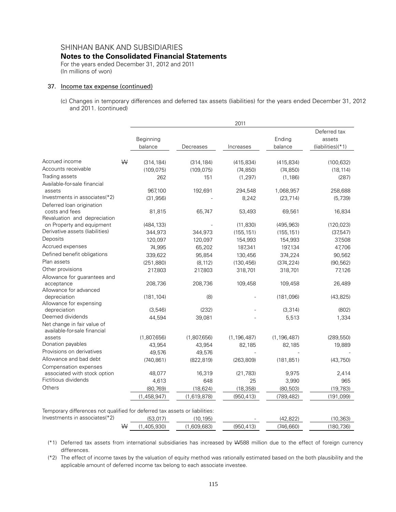### **Notes to the Consolidated Financial Statements**

For the years ended December 31, 2012 and 2011 (In millions of won)

#### 37. Income tax expense (continued)

(c) Changes in temporary differences and deferred tax assets (liabilities) for the years ended December 31, 2012 and 2011. (continued)

|                                                                             |   | 2011        |             |               |               |                     |  |  |
|-----------------------------------------------------------------------------|---|-------------|-------------|---------------|---------------|---------------------|--|--|
|                                                                             |   |             |             |               |               | Deferred tax        |  |  |
|                                                                             |   | Beginning   |             |               | Ending        | assets              |  |  |
|                                                                             |   | balance     | Decreases   | Increases     | balance       | $(liabilities)(*1)$ |  |  |
| Accrued income                                                              | W | (314, 184)  | (314, 184)  | (415, 834)    | (415, 834)    | (100, 632)          |  |  |
| Accounts receivable                                                         |   | (109, 075)  | (109, 075)  | (74, 850)     | (74, 850)     | (18, 114)           |  |  |
| Trading assets                                                              |   | 262         | 151         | (1, 297)      | (1, 186)      | (287)               |  |  |
| Available-for-sale financial                                                |   |             |             |               |               |                     |  |  |
| assets                                                                      |   | 967,100     | 192,691     | 294,548       | 1,068,957     | 258,688             |  |  |
| Investments in associates(*2)                                               |   | (31, 956)   |             | 8,242         | (23, 714)     | (5,739)             |  |  |
| Deferred loan origination<br>costs and fees                                 |   | 81,815      | 65,747      | 53,493        | 69,561        | 16,834              |  |  |
| Revaluation and depreciation                                                |   |             |             |               |               |                     |  |  |
| on Property and equipment                                                   |   | (484, 133)  |             | (11, 830)     | (495, 963)    | (120, 023)          |  |  |
| Derivative assets (liabilities)                                             |   | 344,973     | 344,973     | (155, 151)    | (155, 151)    | (37,547)            |  |  |
| Deposits                                                                    |   | 120,097     | 120,097     | 154,993       | 154,993       | 37,508              |  |  |
| Accrued expenses                                                            |   | 74,995      | 65,202      | 187,341       | 197,134       | 47,706              |  |  |
| Defined benefit obligations                                                 |   | 339,622     | 95,854      | 130,456       | 374,224       | 90,562              |  |  |
| Plan assets                                                                 |   | (251, 880)  | (8, 112)    | (130, 456)    | (374, 224)    | (90, 562)           |  |  |
| Other provisions                                                            |   | 217,803     | 217,803     | 318,701       | 318,701       | 77,126              |  |  |
| Allowance for guarantees and                                                |   |             |             |               |               |                     |  |  |
| acceptance                                                                  |   | 208,736     | 208,736     | 109,458       | 109,458       | 26,489              |  |  |
| Allowance for advanced                                                      |   |             |             |               |               |                     |  |  |
| depreciation<br>Allowance for expensing                                     |   | (181, 104)  | (8)         |               | (181, 096)    | (43, 825)           |  |  |
| depreciation                                                                |   | (3,546)     | (232)       |               | (3, 314)      | (802)               |  |  |
| Deemed dividends                                                            |   | 44,594      | 39,081      |               | 5,513         | 1,334               |  |  |
| Net change in fair value of<br>available-for-sale financial                 |   |             |             |               |               |                     |  |  |
| assets                                                                      |   | (1,807,656) | (1,807,656) | (1, 196, 487) | (1, 196, 487) | (289, 550)          |  |  |
| Donation payables                                                           |   | 43,954      | 43,954      | 82,185        | 82,185        | 19,889              |  |  |
| Provisions on derivatives                                                   |   | 49,576      | 49,576      |               |               |                     |  |  |
| Allowance and bad debt                                                      |   | (740, 861)  | (822, 819)  | (263, 809)    | (181, 851)    | (43, 750)           |  |  |
| Compensation expenses                                                       |   |             |             |               |               |                     |  |  |
| associated with stock option                                                |   | 48,077      | 16,319      | (21, 783)     | 9,975         | 2,414               |  |  |
| Fictitious dividends                                                        |   | 4,613       | 648         | 25            | 3,990         | 965                 |  |  |
| Others                                                                      |   | (80, 769)   | (18, 624)   | (18, 358)     | (80, 503)     | (19, 783)           |  |  |
|                                                                             |   | (1,458,947) | (1,619,878) | (950, 413)    | (789, 482)    | (191,099)           |  |  |
| Temporary differences not qualified for deferred tax assets or liabilities: |   |             |             |               |               |                     |  |  |
| Investments in associates(*2)                                               |   | (53, 017)   | (10, 195)   |               | (42, 822)     | (10, 363)           |  |  |
|                                                                             | W | (1,405,930) | (1,609,683) | (950, 413)    | (746, 660)    | (180, 736)          |  |  |

(\*1) Deferred tax assets from international subsidiaries has increased by W588 million due to the effect of foreign currency differences.

(\*2) The effect of income taxes by the valuation of equity method was rationally estimated based on the both plausibility and the applicable amount of deferred income tax belong to each associate investee.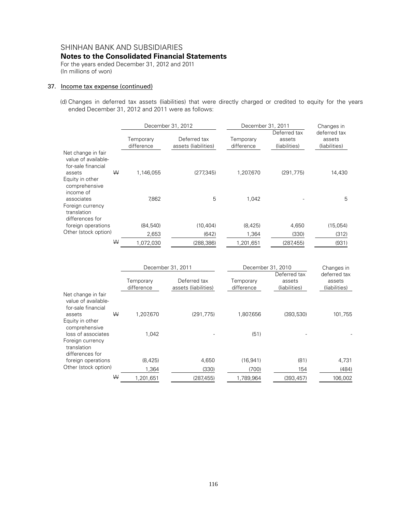## **Notes to the Consolidated Financial Statements**

For the years ended December 31, 2012 and 2011 (In millions of won)

## 37. Income tax expense (continued)

(d) Changes in deferred tax assets (liabilities) that were directly charged or credited to equity for the years ended December 31, 2012 and 2011 were as follows:

|                                                                                                               |   |                         | December 31, 2012                                         | December 31, 2011       | Changes in                                                   |                                                       |  |
|---------------------------------------------------------------------------------------------------------------|---|-------------------------|-----------------------------------------------------------|-------------------------|--------------------------------------------------------------|-------------------------------------------------------|--|
|                                                                                                               |   | Temporary<br>difference | Deferred tax<br>assets (liabilities)                      | Temporary<br>difference | Deferred tax<br>assets<br>(liabilities)                      | deferred tax<br>assets<br>(liabilities)               |  |
| Net change in fair<br>value of available-<br>for-sale financial<br>assets<br>Equity in other<br>comprehensive | W | 1,146,055               | (277, 345)                                                | 1,207,670               | (291, 775)                                                   | 14,430                                                |  |
| income of<br>associates<br>Foreign currency<br>translation<br>differences for                                 |   | 7,862                   | 5                                                         | 1,042                   |                                                              | 5                                                     |  |
| foreign operations                                                                                            |   | (84, 540)               | (10, 404)                                                 | (8, 425)                | 4,650                                                        | (15,054)                                              |  |
| Other (stock option)                                                                                          |   | 2,653                   | (642)                                                     | 1,364                   | (330)                                                        | (312)                                                 |  |
|                                                                                                               | W | 1,072,030               | (288, 386)                                                | 1,201,651               | (287, 455)                                                   | (931)                                                 |  |
|                                                                                                               |   | Temporary<br>difference | December 31, 2011<br>Deferred tax<br>assets (liabilities) | Temporary<br>difference | December 31, 2010<br>Deferred tax<br>assets<br>(liabilities) | Changes in<br>deferred tax<br>assets<br>(liabilities) |  |
| Net change in fair<br>value of available-<br>for-sale financial<br>assets<br>Equity in other                  | W | 1,207,670               | (291, 775)                                                | 1,807,656               | (393, 530)                                                   | 101,755                                               |  |
| comprehensive<br>loss of associates<br>Foreign currency<br>translation<br>differences for                     |   | 1,042                   |                                                           | (51)                    |                                                              |                                                       |  |
| foreign operations                                                                                            |   | (8, 425)                | 4,650                                                     | (16, 941)               | (81)                                                         | 4,731                                                 |  |
| Other (stock option)                                                                                          |   | 1,364                   | (330)                                                     | (700)                   | 154                                                          | (484)                                                 |  |
|                                                                                                               | W | 1,201,651               | (287, 455)                                                | 1,789,964               | (393, 457)                                                   | 106,002                                               |  |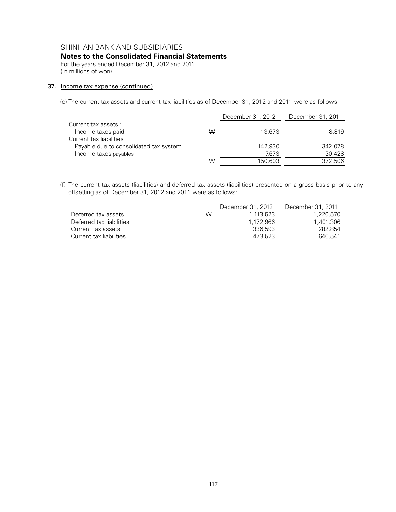## **Notes to the Consolidated Financial Statements**

For the years ended December 31, 2012 and 2011 (In millions of won)

### 37. Income tax expense (continued)

(e) The current tax assets and current tax liabilities as of December 31, 2012 and 2011 were as follows:

|                                        |   | December 31, 2012 | December 31, 2011 |
|----------------------------------------|---|-------------------|-------------------|
| Current tax assets:                    |   |                   |                   |
| Income taxes paid                      | W | 13.673            | 8.819             |
| Current tax liabilities :              |   |                   |                   |
| Payable due to consolidated tax system |   | 142.930           | 342.078           |
| Income taxes payables                  |   | 7.673             | 30.428            |
|                                        | W | 150,603           | 372.506           |

(f) The current tax assets (liabilities) and deferred tax assets (liabilities) presented on a gross basis prior to any offsetting as of December 31, 2012 and 2011 were as follows:

|                          | December 31, 2012 | December 31, 2011 |
|--------------------------|-------------------|-------------------|
| Deferred tax assets<br>W | 1.113.523         | 1.220.570         |
| Deferred tax liabilities | 1.172.966         | 1.401.306         |
| Current tax assets       | 336.593           | 282.854           |
| Current tax liabilities  | 473.523           | 646.541           |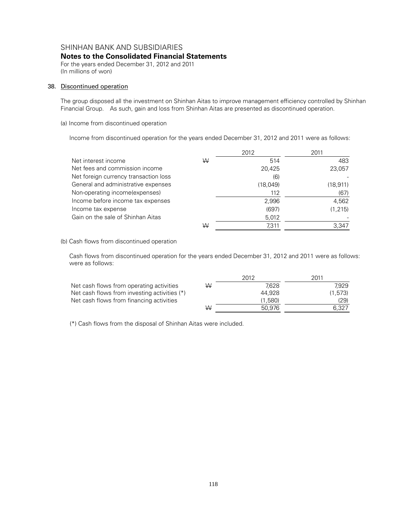# SHINHAN BANK AND SUBSIDIARIES **Notes to the Consolidated Financial Statements**

For the years ended December 31, 2012 and 2011 (In millions of won)

#### 38. Discontinued operation

The group disposed all the investment on Shinhan Aitas to improve management efficiency controlled by Shinhan Financial Group. As such, gain and loss from Shinhan Aitas are presented as discontinued operation.

#### (a) Income from discontinued operation

Income from discontinued operation for the years ended December 31, 2012 and 2011 were as follows:

|                                       |   | 2012     | 2011      |
|---------------------------------------|---|----------|-----------|
| Net interest income                   | W | 514      | 483       |
| Net fees and commission income        |   | 20,425   | 23,057    |
| Net foreign currency transaction loss |   | (6)      |           |
| General and administrative expenses   |   | (18,049) | (18, 911) |
| Non-operating income(expenses)        |   | 112      | (67)      |
| Income before income tax expenses     |   | 2,996    | 4,562     |
| Income tax expense                    |   | (697)    | (1, 215)  |
| Gain on the sale of Shinhan Aitas     |   | 5,012    |           |
|                                       | W | 7.311    | 3.347     |

### (b) Cash flows from discontinued operation

Cash flows from discontinued operation for the years ended December 31, 2012 and 2011 were as follows: were as follows:

|                                              |   | 2012    | 2011    |
|----------------------------------------------|---|---------|---------|
| Net cash flows from operating activities     | W | 7.628   | 7.929   |
| Net cash flows from investing activities (*) |   | 44.928  | (1.573) |
| Net cash flows from financing activities     |   | (1.580) | (29)    |
|                                              | W | 50.976  | 6.327   |

(\*) Cash flows from the disposal of Shinhan Aitas were included.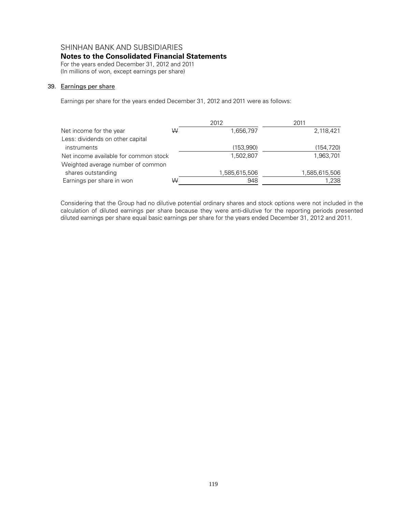# **Notes to the Consolidated Financial Statements**

For the years ended December 31, 2012 and 2011 (In millions of won, except earnings per share)

### 39. Earnings per share

Earnings per share for the years ended December 31, 2012 and 2011 were as follows:

|                                       |   | 2012          | 2011          |
|---------------------------------------|---|---------------|---------------|
| Net income for the year               | W | 1,656,797     | 2,118,421     |
| Less: dividends on other capital      |   |               |               |
| instruments                           |   | (153,990)     | (154, 720)    |
| Net income available for common stock |   | 1,502,807     | 1,963,701     |
| Weighted average number of common     |   |               |               |
| shares outstanding                    |   | 1,585,615,506 | 1,585,615,506 |
| Earnings per share in won             | W | 948           | 1,238         |

Considering that the Group had no dilutive potential ordinary shares and stock options were not included in the calculation of diluted earnings per share because they were anti-dilutive for the reporting periods presented diluted earnings per share equal basic earnings per share for the years ended December 31, 2012 and 2011.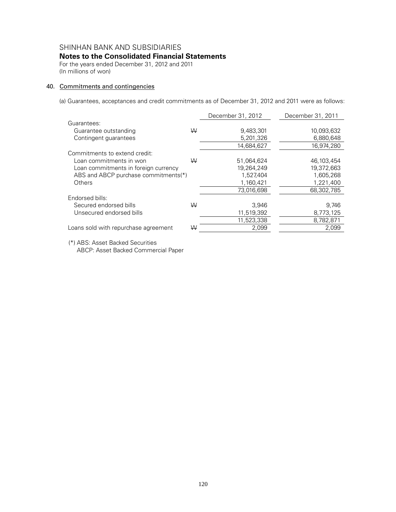## **Notes to the Consolidated Financial Statements**

For the years ended December 31, 2012 and 2011 (In millions of won)

### 40. Commitments and contingencies

(a) Guarantees, acceptances and credit commitments as of December 31, 2012 and 2011 were as follows:

|                                      |   | December 31, 2012 | December 31, 2011 |
|--------------------------------------|---|-------------------|-------------------|
| Guarantees:                          |   |                   |                   |
| Guarantee outstanding                | W | 9,483,301         | 10,093,632        |
| Contingent quarantees                |   | 5,201,326         | 6,880,648         |
|                                      |   | 14,684,627        | 16,974,280        |
| Commitments to extend credit:        |   |                   |                   |
| Loan commitments in won              | W | 51,064,624        | 46.103.454        |
| Loan commitments in foreign currency |   | 19,264,249        | 19.372.663        |
| ABS and ABCP purchase commitments(*) |   | 1,527,404         | 1,605,268         |
| Others                               |   | 1,160,421         | 1,221,400         |
|                                      |   | 73,016,698        | 68,302,785        |
| Endorsed bills:                      |   |                   |                   |
| Secured endorsed bills               | W | 3,946             | 9,746             |
| Unsecured endorsed bills             |   | 11,519,392        | 8,773,125         |
|                                      |   | 11,523,338        | 8,782,871         |
| Loans sold with repurchase agreement | ₩ | 2,099             | 2,099             |
|                                      |   |                   |                   |

(\*) ABS: Asset Backed Securities ABCP: Asset Backed Commercial Paper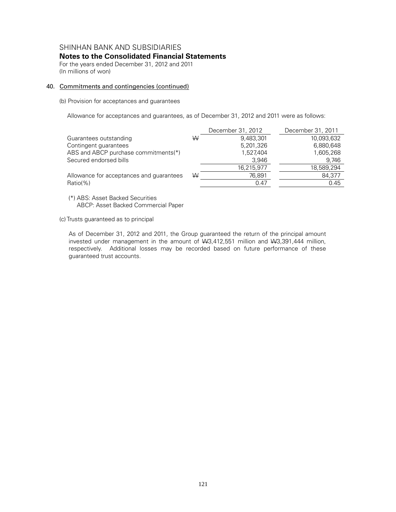## **Notes to the Consolidated Financial Statements**

For the years ended December 31, 2012 and 2011 (In millions of won)

### 40. Commitments and contingencies (continued)

(b) Provision for acceptances and guarantees

Allowance for acceptances and guarantees, as of December 31, 2012 and 2011 were as follows:

|                                          |   | December 31, 2012 | December 31, 2011 |
|------------------------------------------|---|-------------------|-------------------|
| Guarantees outstanding                   | W | 9,483,301         | 10,093,632        |
| Contingent guarantees                    |   | 5,201,326         | 6,880,648         |
| ABS and ABCP purchase commitments(*)     |   | 1.527.404         | 1,605,268         |
| Secured endorsed bills                   |   | 3.946             | 9.746             |
|                                          |   | 16,215,977        | 18.589.294        |
| Allowance for acceptances and guarantees | W | 76,891            | 84,377            |
| Ratio(%)                                 |   | 0.47              | 0.45              |
|                                          |   |                   |                   |

(\*) ABS: Asset Backed Securities ABCP: Asset Backed Commercial Paper

(c) Trusts guaranteed as to principal

As of December 31, 2012 and 2011, the Group guaranteed the return of the principal amount invested under management in the amount of W3,412,551 million and W3,391,444 million, respectively. Additional losses may be recorded based on future performance of these guaranteed trust accounts.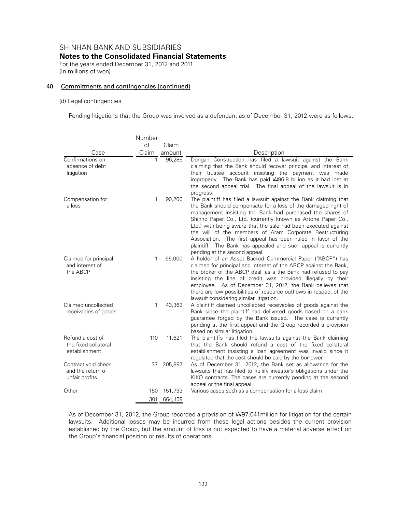# 40. Commitments and contingencies (continued)

#### (d) Legal contingencies

Pending litigations that the Group was involved as a defendant as of December 31, 2012 were as follows:

|                                                            | Number       |                    |                                                                                                                                                                                                                                                                                                                                                                                                                                                                                                                                                               |
|------------------------------------------------------------|--------------|--------------------|---------------------------------------------------------------------------------------------------------------------------------------------------------------------------------------------------------------------------------------------------------------------------------------------------------------------------------------------------------------------------------------------------------------------------------------------------------------------------------------------------------------------------------------------------------------|
|                                                            | $\circ$ f    | Claim              |                                                                                                                                                                                                                                                                                                                                                                                                                                                                                                                                                               |
| Case                                                       | Claim        | amount             | Description                                                                                                                                                                                                                                                                                                                                                                                                                                                                                                                                                   |
| Confirmations on<br>absence of debt<br>litigation          | $\mathbf{1}$ | 96,286             | Dongah Construction has filed a lawsuit against the Bank<br>claiming that the Bank should recover principal and interest of<br>their trustee account insisting the payment was made<br>improperly. The Bank has paid W96.8 billion as it had lost at<br>the second appeal trial. The final appeal of the lawsuit is in<br>progress.                                                                                                                                                                                                                           |
| Compensation for<br>a loss                                 | 1            | 90,200             | The plaintiff has filed a lawsuit against the Bank claiming that<br>the Bank should compensate for a loss of the damaged right of<br>management insisting the Bank had purchased the shares of<br>Shinho Paper Co., Ltd. (currently known as Artone Paper Co.,<br>Ltd.) with being aware that the sale had been executed against<br>the will of the members of Aram Corporate Restructuring<br>Association. The first appeal has been ruled in favor of the<br>plaintiff. The Bank has appealed and such appeal is currently<br>pending at the second appeal. |
| Claimed for principal<br>and interest of<br>the ABCP       | 1            | 65,000             | A holder of an Asset Backed Commercial Paper ("ABCP") has<br>claimed for principal and interest of the ABCP against the Bank,<br>the broker of the ABCP deal, as a the Bank had refused to pay<br>insisting the line of credit was provided illegally by their<br>employee. As of December 31, 2012, the Bank believes that<br>there are low possibilities of resource outflows in respect of the<br>lawsuit considering similar litigation.                                                                                                                  |
| Claimed uncollected<br>receivables of goods                | 1            | 43,362             | A plaintiff claimed uncollected receivables of goods against the<br>Bank since the plaintiff had delivered goods based on a bank<br>guarantee forged by the Bank issued. The case is currently<br>pending at the first appeal and the Group recorded a provision<br>based on similar litigation.                                                                                                                                                                                                                                                              |
| Refund a cost of<br>the fixed collateral<br>establishment  | 110          | 11,621             | The plaintiffs has filed the lawsuits against the Bank claiming<br>that the Bank should refund a cost of the fixed collateral<br>establishment insisting a loan agreement was invalid since it<br>regulated that the cost should be paid by the borrower.                                                                                                                                                                                                                                                                                                     |
| Contract void check<br>and the return of<br>unfair profits | 37           | 205,897            | As of December 31, 2012, the Bank set as allowance for the<br>lawsuits that has filed to nullify investor's obligations under the<br>KIKO contracts. The cases are currently pending at the second<br>appeal or the final appeal.                                                                                                                                                                                                                                                                                                                             |
| Other                                                      | 150<br>301   | 151,793<br>664,159 | Various cases such as a compensation for a loss claim.                                                                                                                                                                                                                                                                                                                                                                                                                                                                                                        |

As of December 31, 2012, the Group recorded a provision of W97,041million for litigation for the certain lawsuits. Additional losses may be incurred from these legal actions besides the current provision established by the Group, but the amount of loss is not expected to have a material adverse effect on the Group's financial position or results of operations.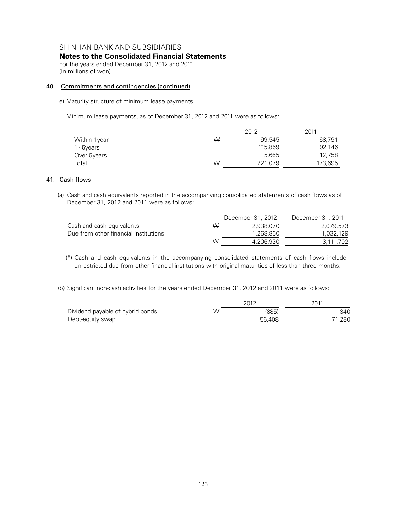## **Notes to the Consolidated Financial Statements**

For the years ended December 31, 2012 and 2011 (In millions of won)

### 40. Commitments and contingencies (continued)

e) Maturity structure of minimum lease payments

Minimum lease payments, as of December 31, 2012 and 2011 were as follows:

|               |   | 2012    | 2011    |
|---------------|---|---------|---------|
| Within 1year  | W | 99.545  | 68.791  |
| $1 - 5$ vears |   | 115,869 | 92,146  |
| Over 5years   |   | 5,665   | 12,758  |
| Total         | W | 221.079 | 173,695 |

### 41. Cash flows

(a) Cash and cash equivalents reported in the accompanying consolidated statements of cash flows as of December 31, 2012 and 2011 were as follows:

|                                       |   | December 31, 2012 | December 31, 2011 |
|---------------------------------------|---|-------------------|-------------------|
| Cash and cash equivalents             | W | 2.938.070         | 2,079,573         |
| Due from other financial institutions |   | 1,268,860         | 1,032,129         |
|                                       | W | 4.206.930         | 3.111.702         |

(\*) Cash and cash equivalents in the accompanying consolidated statements of cash flows include unrestricted due from other financial institutions with original maturities of less than three months.

(b) Significant non-cash activities for the years ended December 31, 2012 and 2011 were as follows:

|                                  |   | 2012   | 2011   |
|----------------------------------|---|--------|--------|
| Dividend payable of hybrid bonds | W | (885)  | 340    |
| Debt-equity swap                 |   | 56.408 | 71.280 |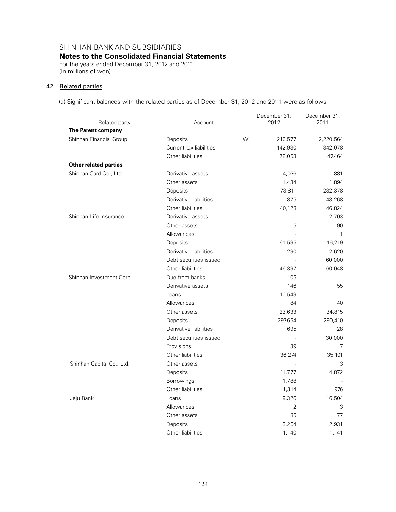## **Notes to the Consolidated Financial Statements**

For the years ended December 31, 2012 and 2011 (In millions of won)

## 42. Related parties

(a) Significant balances with the related parties as of December 31, 2012 and 2011 were as follows:

| Related party                | Account                 |   | December 31,<br>2012 | December 31,<br>2011 |
|------------------------------|-------------------------|---|----------------------|----------------------|
| The Parent company           |                         |   |                      |                      |
| Shinhan Financial Group      | Deposits                | W | 216,577              | 2,220,564            |
|                              | Current tax liabilities |   | 142,930              | 342,078              |
|                              | Other liabilities       |   | 78,053               | 47,464               |
| <b>Other related parties</b> |                         |   |                      |                      |
| Shinhan Card Co., Ltd.       | Derivative assets       |   | 4,076                | 881                  |
|                              | Other assets            |   | 1,434                | 1,894                |
|                              | Deposits                |   | 73,811               | 232,378              |
|                              | Derivative liabilities  |   | 875                  | 43,268               |
|                              | Other liabilities       |   | 40,128               | 46,824               |
| Shinhan Life Insurance       | Derivative assets       |   | $\mathbf{1}$         | 2,703                |
|                              | Other assets            |   | 5                    | 90                   |
|                              | Allowances              |   |                      | $\mathbf{1}$         |
|                              | Deposits                |   | 61,595               | 16,219               |
|                              | Derivative liabilities  |   | 290                  | 2,620                |
|                              | Debt securities issued  |   |                      | 60,000               |
|                              | Other liabilities       |   | 46,397               | 60,048               |
| Shinhan Investment Corp.     | Due from banks          |   | 105                  |                      |
|                              | Derivative assets       |   | 146                  | 55                   |
|                              | Loans                   |   | 10,549               |                      |
|                              | Allowances              |   | 84                   | 40                   |
|                              | Other assets            |   | 23,633               | 34,815               |
|                              | Deposits                |   | 297,654              | 290,410              |
|                              | Derivative liabilities  |   | 695                  | 28                   |
|                              | Debt securities issued  |   |                      | 30,000               |
|                              | Provisions              |   | 39                   | 7                    |
|                              | Other liabilities       |   | 36,274               | 35,101               |
| Shinhan Capital Co., Ltd.    | Other assets            |   |                      | 3                    |
|                              | Deposits                |   | 11,777               | 4,872                |
|                              | Borrowings              |   | 1,788                |                      |
|                              | Other liabilities       |   | 1,314                | 976                  |
| Jeju Bank                    | Loans                   |   | 9,326                | 16,504               |
|                              | Allowances              |   | 2                    | 3                    |
|                              | Other assets            |   | 85                   | 77                   |
|                              | Deposits                |   | 3,264                | 2,931                |
|                              | Other liabilities       |   | 1,140                | 1,141                |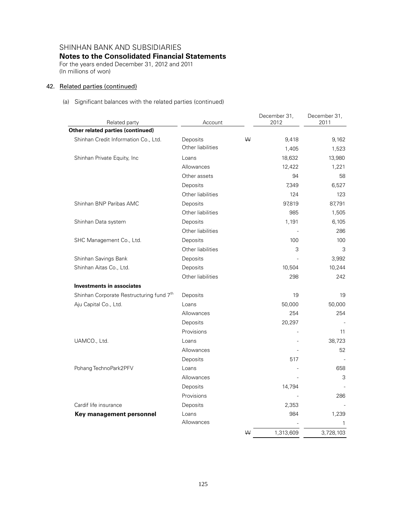## **Notes to the Consolidated Financial Statements**

For the years ended December 31, 2012 and 2011 (In millions of won)

## 42. Related parties (continued)

(a) Significant balances with the related parties (continued)

| Related party                                        | Account           |              | December 31,<br>2012 | December 31,<br>2011 |
|------------------------------------------------------|-------------------|--------------|----------------------|----------------------|
| Other related parties (continued)                    |                   |              |                      |                      |
| Shinhan Credit Information Co., Ltd.                 | Deposits          | W            | 9,418                | 9,162                |
|                                                      | Other liabilities |              | 1,405                | 1,523                |
| Shinhan Private Equity, Inc                          | Loans             |              | 18,632               | 13,980               |
|                                                      | Allowances        |              | 12,422               | 1,221                |
|                                                      | Other assets      |              | 94                   | 58                   |
|                                                      | Deposits          |              | 7,349                | 6,527                |
|                                                      | Other liabilities |              | 124                  | 123                  |
| Shinhan BNP Paribas AMC                              | Deposits          |              | 97,819               | 87,791               |
|                                                      | Other liabilities |              | 985                  | 1,505                |
| Shinhan Data system                                  | Deposits          |              | 1,191                | 6,105                |
|                                                      | Other liabilities |              |                      | 286                  |
| SHC Management Co., Ltd.                             | Deposits          |              | 100                  | 100                  |
|                                                      | Other liabilities |              | 3                    | 3                    |
| Shinhan Savings Bank                                 | Deposits          |              |                      | 3,992                |
| Shinhan Aitas Co., Ltd.                              | Deposits          |              | 10,504               | 10,244               |
|                                                      | Other liabilities |              | 298                  | 242                  |
| <b>Investments in associates</b>                     |                   |              |                      |                      |
| Shinhan Corporate Restructuring fund 7 <sup>th</sup> | Deposits          |              | 19                   | 19                   |
| Aju Capital Co., Ltd.                                | Loans             |              | 50,000               | 50,000               |
|                                                      | Allowances        |              | 254                  | 254                  |
|                                                      | Deposits          |              | 20,297               |                      |
|                                                      | Provisions        |              |                      | 11                   |
| UAMCO., Ltd.                                         | Loans             |              |                      | 38,723               |
|                                                      | Allowances        |              |                      | 52                   |
|                                                      | Deposits          |              | 517                  |                      |
| Pohang TechnoPark2PFV                                | Loans             |              |                      | 658                  |
|                                                      | Allowances        |              |                      | 3                    |
|                                                      | Deposits          |              | 14,794               |                      |
|                                                      | Provisions        |              |                      | 286                  |
| Cardif life insurance                                | Deposits          |              | 2,353                |                      |
| Key management personnel                             | Loans             |              | 984                  | 1,239                |
|                                                      | Allowances        |              |                      | 1                    |
|                                                      |                   | $\mathsf{W}$ | 1,313,609            | 3,728,103            |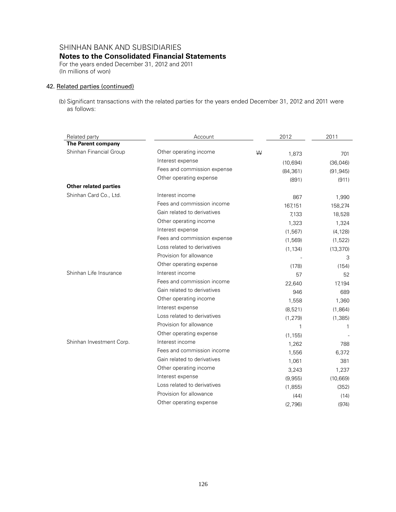## **Notes to the Consolidated Financial Statements**

For the years ended December 31, 2012 and 2011 (In millions of won)

### 42. Related parties (continued)

(b) Significant transactions with the related parties for the years ended December 31, 2012 and 2011 were as follows:

| Related party            | Account                     |   | 2012      | 2011      |
|--------------------------|-----------------------------|---|-----------|-----------|
| The Parent company       |                             |   |           |           |
| Shinhan Financial Group  | Other operating income      | W | 1,873     | 701       |
|                          | Interest expense            |   | (10, 694) | (36,046)  |
|                          | Fees and commission expense |   | (84, 361) | (91, 945) |
|                          | Other operating expense     |   | (891)     | (911)     |
| Other related parties    |                             |   |           |           |
| Shinhan Card Co., Ltd.   | Interest income             |   | 867       | 1,990     |
|                          | Fees and commission income  |   | 167,151   | 158,274   |
|                          | Gain related to derivatives |   | 7,133     | 18,528    |
|                          | Other operating income      |   | 1,323     | 1,324     |
|                          | Interest expense            |   | (1, 567)  | (4, 128)  |
|                          | Fees and commission expense |   | (1,569)   | (1,522)   |
|                          | Loss related to derivatives |   | (1, 134)  | (13, 370) |
|                          | Provision for allowance     |   |           | 3         |
|                          | Other operating expense     |   | (178)     | (154)     |
| Shinhan Life Insurance   | Interest income             |   | 57        | 52        |
|                          | Fees and commission income  |   | 22,640    | 17.194    |
|                          | Gain related to derivatives |   | 946       | 689       |
|                          | Other operating income      |   | 1,558     | 1,360     |
|                          | Interest expense            |   | (8,521)   | (1,864)   |
|                          | Loss related to derivatives |   | (1, 279)  | (1, 385)  |
|                          | Provision for allowance     |   | 1         |           |
|                          | Other operating expense     |   | (1, 155)  |           |
| Shinhan Investment Corp. | Interest income             |   | 1,262     | 788       |
|                          | Fees and commission income  |   | 1,556     | 6,372     |
|                          | Gain related to derivatives |   | 1,061     | 381       |
|                          | Other operating income      |   | 3,243     | 1,237     |
|                          | Interest expense            |   | (9,955)   | (10, 669) |
|                          | Loss related to derivatives |   | (1,855)   | (352)     |
|                          | Provision for allowance     |   | (44)      | (14)      |
|                          | Other operating expense     |   | (2,796)   | (974)     |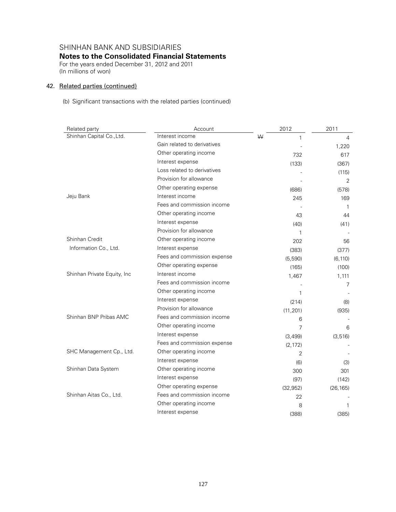## SHINHAN BANK AND SUBSIDIARIES **Notes to the Consolidated Financial Statements**  For the years ended December 31, 2012 and 2011 (In millions of won)

#### 42. Related parties (continued)

(b) Significant transactions with the related parties (continued)

| Related party                | Account                     |   | 2012           | 2011      |
|------------------------------|-----------------------------|---|----------------|-----------|
| Shinhan Capital Co., Ltd.    | Interest income             | W | 1              | 4         |
|                              | Gain related to derivatives |   |                | 1,220     |
|                              | Other operating income      |   | 732            | 617       |
|                              | Interest expense            |   | (133)          | (367)     |
|                              | Loss related to derivatives |   |                | (115)     |
|                              | Provision for allowance     |   |                | 2         |
|                              | Other operating expense     |   | (686)          | (578)     |
| Jeju Bank                    | Interest income             |   | 245            | 169       |
|                              | Fees and commission income  |   |                | 1         |
|                              | Other operating income      |   | 43             | 44        |
|                              | Interest expense            |   | (40)           | (41)      |
|                              | Provision for allowance     |   | 1              |           |
| Shinhan Credit               | Other operating income      |   | 202            | 56        |
| Information Co., Ltd.        | Interest expense            |   | (383)          | (377)     |
|                              | Fees and commission expense |   | (5,590)        | (6, 110)  |
|                              | Other operating expense     |   | (165)          | (100)     |
| Shinhan Private Equity, Inc. | Interest income             |   | 1,467          | 1,111     |
|                              | Fees and commission income  |   |                | 7         |
|                              | Other operating income      |   | 1              |           |
|                              | Interest expense            |   | (214)          | (8)       |
|                              | Provision for allowance     |   | (11, 201)      | (935)     |
| Shinhan BNP Pribas AMC       | Fees and commission income  |   | 6              |           |
|                              | Other operating income      |   | 7              | 6         |
|                              | Interest expense            |   | (3,499)        | (3, 516)  |
|                              | Fees and commission expense |   | (2, 172)       |           |
| SHC Management Cp., Ltd.     | Other operating income      |   | $\overline{2}$ |           |
|                              | Interest expense            |   | (6)            | (3)       |
| Shinhan Data System          | Other operating income      |   | 300            | 301       |
|                              | Interest expense            |   | (97)           | (142)     |
|                              | Other operating expense     |   | (32, 952)      | (26, 165) |
| Shinhan Aitas Co., Ltd.      | Fees and commission income  |   | 22             |           |
|                              | Other operating income      |   | 8              | 1         |
|                              | Interest expense            |   | (388)          | (385)     |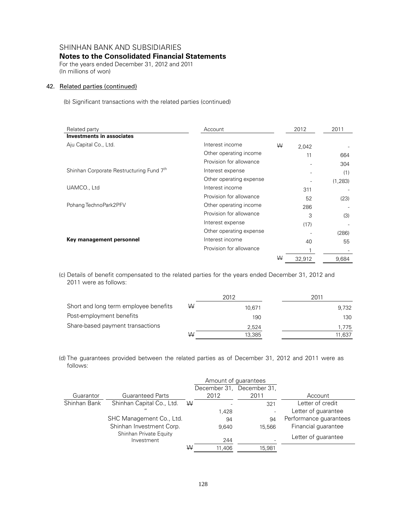# SHINHAN BANK AND SUBSIDIARIES **Notes to the Consolidated Financial Statements**

For the years ended December 31, 2012 and 2011 (In millions of won)

### 42. Related parties (continued)

(b) Significant transactions with the related parties (continued)

| Related party                            | Account                 |   | 2012   | 2011    |
|------------------------------------------|-------------------------|---|--------|---------|
| Investments in associates                |                         |   |        |         |
| Aju Capital Co., Ltd.                    | Interest income         | W | 2,042  |         |
|                                          | Other operating income  |   | 11     | 664     |
|                                          | Provision for allowance |   |        | 304     |
| Shinhan Corporate Restructuring Fund 7th | Interest expense        |   |        | (1)     |
|                                          | Other operating expense |   |        | (1,283) |
| UAMCO., Ltd                              | Interest income         |   | 311    |         |
|                                          | Provision for allowance |   | 52     | (23)    |
| Pohang TechnoPark2PFV                    | Other operating income  |   | 286    |         |
|                                          | Provision for allowance |   | З      | (3)     |
|                                          | Interest expense        |   | (17)   |         |
|                                          | Other operating expense |   |        | (286)   |
| Key management personnel                 | Interest income         |   | 40     | 55      |
|                                          | Provision for allowance |   |        |         |
|                                          |                         | ₩ | 32,912 | 9,684   |
|                                          |                         |   |        |         |

(c) Details of benefit compensated to the related parties for the years ended December 31, 2012 and 2011 were as follows:

|                                       |   | 2012   | 2011   |
|---------------------------------------|---|--------|--------|
| Short and long term employee benefits | W | 10.671 | 9.732  |
| Post-employment benefits              |   | 190    | 130    |
| Share-based payment transactions      |   | 2,524  | 1.775  |
|                                       | W | 13,385 | 11.637 |

(d) The guarantees provided between the related parties as of December 31, 2012 and 2011 were as follows:

|              |                                      |   |        | Amount of guarantees      |                        |
|--------------|--------------------------------------|---|--------|---------------------------|------------------------|
|              |                                      |   |        | December 31, December 31, |                        |
| Guarantor    | <b>Guaranteed Parts</b>              |   | 2012   | 2011                      | Account                |
| Shinhan Bank | Shinhan Capital Co., Ltd.            | W |        | 321                       | Letter of credit       |
|              | $\mathbf{u}$                         |   | 1,428  | $\overline{\phantom{a}}$  | Letter of guarantee    |
|              | SHC Management Co., Ltd.             |   | 94     | 94                        | Performance guarantees |
|              | Shinhan Investment Corp.             |   | 9,640  | 15.566                    | Financial guarantee    |
|              | Shinhan Private Equity<br>Investment |   | 244    |                           | Letter of guarantee    |
|              |                                      | W | 11.406 | 15.981                    |                        |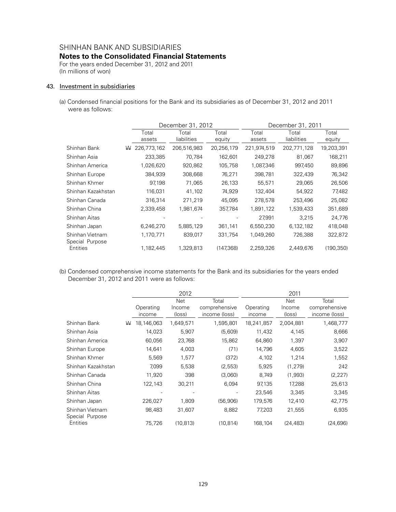## **Notes to the Consolidated Financial Statements**

For the years ended December 31, 2012 and 2011 (In millions of won)

### 43. Investment in subsidiaries

(a) Condensed financial positions for the Bank and its subsidiaries as of December 31, 2012 and 2011 were as follows:

|                                    |   |             | December 31, 2012 |            | December 31, 2011 |             |            |  |
|------------------------------------|---|-------------|-------------------|------------|-------------------|-------------|------------|--|
|                                    |   | Total       | Total             | Total      | Total             | Total       | Total      |  |
|                                    |   | assets      | liabilities       | equity     | assets            | liabilities | equity     |  |
| Shinhan Bank                       | ₩ | 226,773,162 | 206,516,983       | 20,256,179 | 221,974,519       | 202,771,128 | 19,203,391 |  |
| Shinhan Asia                       |   | 233,385     | 70,784            | 162,601    | 249,278           | 81,067      | 168,211    |  |
| Shinhan America                    |   | 1,026,620   | 920,862           | 105,758    | 1,087,346         | 997,450     | 89,896     |  |
| Shinhan Europe                     |   | 384,939     | 308,668           | 76,271     | 398,781           | 322,439     | 76,342     |  |
| Shinhan Khmer                      |   | 97,198      | 71,065            | 26,133     | 55,571            | 29,065      | 26,506     |  |
| Shinhan Kazakhstan                 |   | 116,031     | 41,102            | 74,929     | 132,404           | 54,922      | 77,482     |  |
| Shinhan Canada                     |   | 316,314     | 271,219           | 45,095     | 278,578           | 253,496     | 25,082     |  |
| Shinhan China                      |   | 2,339,458   | 1,981,674         | 357,784    | 1,891,122         | 1,539,433   | 351,689    |  |
| Shinhan Aitas                      |   |             |                   |            | 27,991            | 3,215       | 24,776     |  |
| Shinhan Japan                      |   | 6,246,270   | 5,885,129         | 361,141    | 6,550,230         | 6,132,182   | 418,048    |  |
| Shinhan Vietnam<br>Special Purpose |   | 1,170,771   | 839,017           | 331,754    | 1,049,260         | 726,388     | 322,872    |  |
| Entities                           |   | 1,182,445   | 1,329,813         | (147, 368) | 2,259,326         | 2,449,676   | (190, 350) |  |

(b) Condensed comprehensive income statements for the Bank and its subsidiaries for the years ended December 31, 2012 and 2011 were as follows:

|                                    |   |                     | 2012                      |                                |                     | 2011                      |                                |
|------------------------------------|---|---------------------|---------------------------|--------------------------------|---------------------|---------------------------|--------------------------------|
|                                    |   |                     | <b>Net</b>                | Total                          |                     | Net                       | Total                          |
|                                    |   | Operating<br>income | Income<br>$(\text{loss})$ | comprehensive<br>income (loss) | Operating<br>income | Income<br>$(\text{loss})$ | comprehensive<br>income (loss) |
| Shinhan Bank                       | W | 18,146,063          | 1,649,571                 | 1,595,801                      | 18,241,857          | 2,004,881                 | 1,468,777                      |
| Shinhan Asia                       |   | 14,023              | 5,907                     | (5,609)                        | 11,432              | 4,145                     | 8,666                          |
| Shinhan America                    |   | 60,056              | 23,768                    | 15,862                         | 64,860              | 1,397                     | 3,907                          |
| Shinhan Europe                     |   | 14,641              | 4,003                     | (71)                           | 14,796              | 4,605                     | 3,522                          |
| Shinhan Khmer                      |   | 5,569               | 1,577                     | (372)                          | 4,102               | 1,214                     | 1,552                          |
| Shinhan Kazakhstan                 |   | 7,099               | 5,538                     | (2,553)                        | 5,925               | (1, 279)                  | 242                            |
| Shinhan Canada                     |   | 11,920              | 398                       | (3,060)                        | 8,749               | (1,993)                   | (2,227)                        |
| Shinhan China                      |   | 122,143             | 30,211                    | 6,094                          | 97,135              | 17,288                    | 25,613                         |
| Shinhan Aitas                      |   |                     |                           |                                | 23,546              | 3,345                     | 3,345                          |
| Shinhan Japan                      |   | 226,027             | 1,809                     | (56,906)                       | 179,576             | 12,410                    | 42,775                         |
| Shinhan Vietnam<br>Special Purpose |   | 98,483              | 31,607                    | 8,882                          | 77,203              | 21,555                    | 6,935                          |
| Entities                           |   | 75,726              | (10, 813)                 | (10, 814)                      | 168,104             | (24, 483)                 | (24, 696)                      |